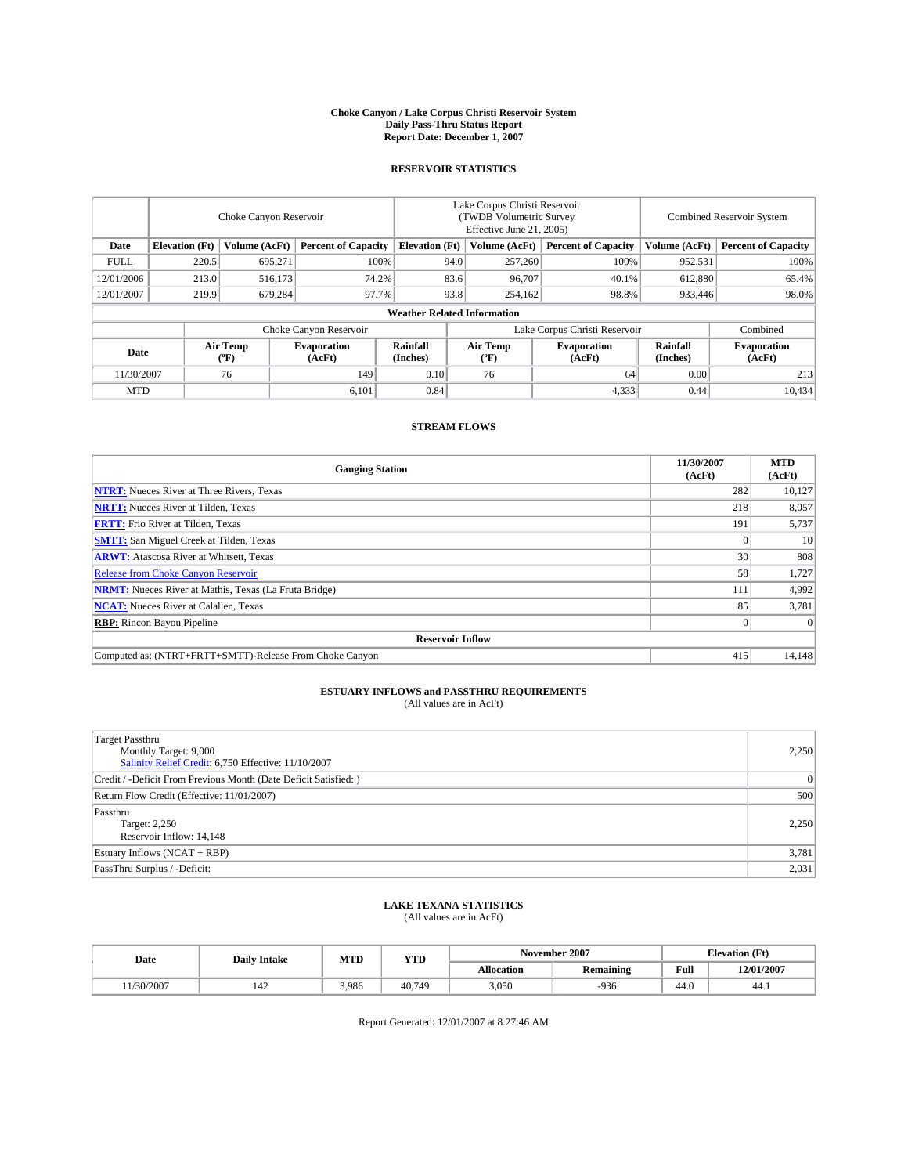#### **Choke Canyon / Lake Corpus Christi Reservoir System Daily Pass-Thru Status Report Report Date: December 1, 2007**

### **RESERVOIR STATISTICS**

|             | Choke Canyon Reservoir             |                  |                              |                       | Lake Corpus Christi Reservoir<br>(TWDB Volumetric Survey<br>Effective June 21, 2005) |                  |                               |                      | <b>Combined Reservoir System</b> |  |  |
|-------------|------------------------------------|------------------|------------------------------|-----------------------|--------------------------------------------------------------------------------------|------------------|-------------------------------|----------------------|----------------------------------|--|--|
| Date        | <b>Elevation</b> (Ft)              | Volume (AcFt)    | <b>Percent of Capacity</b>   | <b>Elevation</b> (Ft) |                                                                                      | Volume (AcFt)    | <b>Percent of Capacity</b>    | Volume (AcFt)        | <b>Percent of Capacity</b>       |  |  |
| <b>FULL</b> | 220.5                              | 695,271          |                              | 100%                  | 94.0                                                                                 | 257,260          | 100%                          | 952,531              | 100%                             |  |  |
| 12/01/2006  | 213.0                              | 516,173          | 74.2%                        |                       | 83.6                                                                                 | 96,707           | 40.1%                         | 612,880              | 65.4%                            |  |  |
| 12/01/2007  | 219.9                              | 679,284          | 97.7%                        |                       | 93.8                                                                                 | 254,162          | 98.8%                         | 933,446              | 98.0%                            |  |  |
|             | <b>Weather Related Information</b> |                  |                              |                       |                                                                                      |                  |                               |                      |                                  |  |  |
|             |                                    |                  | Choke Canyon Reservoir       |                       |                                                                                      |                  | Lake Corpus Christi Reservoir |                      | Combined                         |  |  |
| Date        |                                    | Air Temp<br>(°F) | <b>Evaporation</b><br>(AcFt) | Rainfall<br>(Inches)  |                                                                                      | Air Temp<br>("F) | <b>Evaporation</b><br>(AcFt)  | Rainfall<br>(Inches) | <b>Evaporation</b><br>(AcFt)     |  |  |
| 11/30/2007  |                                    | 76               | 149                          | 0.10                  |                                                                                      | 76               | 64                            | 0.00                 | 213                              |  |  |
| <b>MTD</b>  |                                    |                  | 6,101                        | 0.84                  |                                                                                      |                  | 4,333                         | 0.44                 | 10,434                           |  |  |

## **STREAM FLOWS**

| <b>Gauging Station</b>                                       | 11/30/2007<br>(AcFt) | <b>MTD</b><br>(AcFt) |
|--------------------------------------------------------------|----------------------|----------------------|
| <b>NTRT:</b> Nueces River at Three Rivers, Texas             | 282                  | 10,127               |
| <b>NRTT:</b> Nueces River at Tilden, Texas                   | 218                  | 8,057                |
| <b>FRTT:</b> Frio River at Tilden, Texas                     | 191                  | 5,737                |
| <b>SMTT:</b> San Miguel Creek at Tilden, Texas               |                      | 10                   |
| <b>ARWT:</b> Atascosa River at Whitsett, Texas               | 30                   | 808                  |
| <b>Release from Choke Canyon Reservoir</b>                   | 58                   | 1,727                |
| <b>NRMT:</b> Nueces River at Mathis, Texas (La Fruta Bridge) | 111                  | 4,992                |
| <b>NCAT:</b> Nueces River at Calallen, Texas                 | 85                   | 3,781                |
| <b>RBP:</b> Rincon Bayou Pipeline                            |                      | $\Omega$             |
| <b>Reservoir Inflow</b>                                      |                      |                      |
| Computed as: (NTRT+FRTT+SMTT)-Release From Choke Canyon      | 415                  | 14,148               |

# **ESTUARY INFLOWS and PASSTHRU REQUIREMENTS**<br>(All values are in AcFt)

| <b>Target Passthru</b><br>Monthly Target: 9,000<br>Salinity Relief Credit: 6,750 Effective: 11/10/2007 | 2,250          |
|--------------------------------------------------------------------------------------------------------|----------------|
| Credit / -Deficit From Previous Month (Date Deficit Satisfied: )                                       | $\overline{0}$ |
| Return Flow Credit (Effective: 11/01/2007)                                                             | 500            |
| Passthru<br>Target: 2,250<br>Reservoir Inflow: 14,148                                                  | 2.250          |
| Estuary Inflows (NCAT + RBP)                                                                           | 3,781          |
| PassThru Surplus / -Deficit:                                                                           | 2,031          |

# **LAKE TEXANA STATISTICS** (All values are in AcFt)

| Date      | <b>Daily Intake</b>   | MTD   | <b>YTD</b> |                   | November 2007    | <b>Elevation</b> (Ft) |            |
|-----------|-----------------------|-------|------------|-------------------|------------------|-----------------------|------------|
|           |                       |       |            | <b>Allocation</b> | <b>Remaining</b> | Full                  | 12/01/2007 |
| 1/30/2007 | $\overline{A}$<br>142 | 3.986 | 40,749     | 3.050             | $-936$           | 44.0                  | 44.1       |

Report Generated: 12/01/2007 at 8:27:46 AM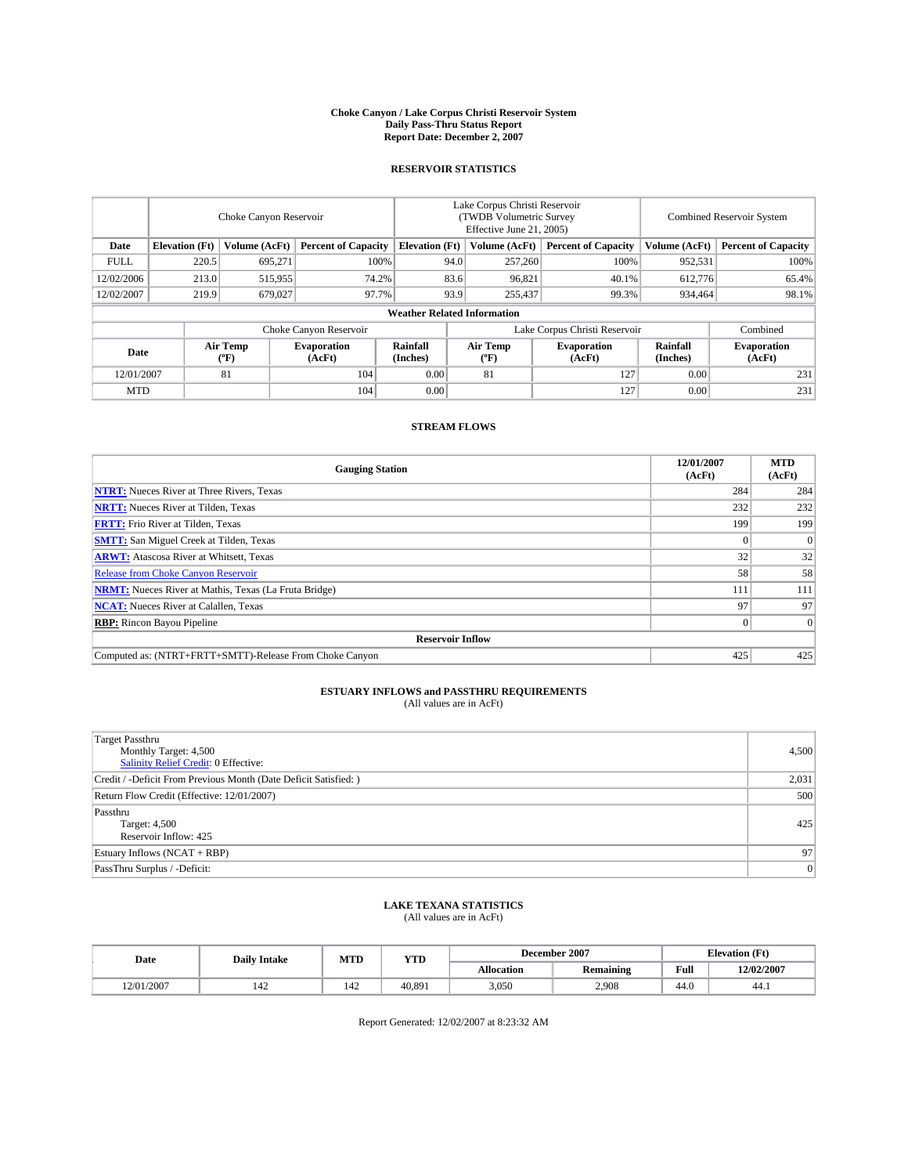#### **Choke Canyon / Lake Corpus Christi Reservoir System Daily Pass-Thru Status Report Report Date: December 2, 2007**

### **RESERVOIR STATISTICS**

|             | Choke Canyon Reservoir |                         |                              |                                    | Lake Corpus Christi Reservoir<br>(TWDB Volumetric Survey<br>Effective June 21, 2005) |                  |                               | Combined Reservoir System |                              |  |
|-------------|------------------------|-------------------------|------------------------------|------------------------------------|--------------------------------------------------------------------------------------|------------------|-------------------------------|---------------------------|------------------------------|--|
| Date        | <b>Elevation</b> (Ft)  | Volume (AcFt)           | <b>Percent of Capacity</b>   | <b>Elevation</b> (Ft)              |                                                                                      | Volume (AcFt)    | <b>Percent of Capacity</b>    | Volume (AcFt)             | <b>Percent of Capacity</b>   |  |
| <b>FULL</b> | 220.5                  | 695,271                 |                              | 100%                               | 94.0                                                                                 | 257,260          | 100%                          | 952.531                   | 100%                         |  |
| 12/02/2006  | 213.0                  | 515,955                 | 74.2%                        |                                    | 83.6                                                                                 | 96,821           | 40.1%                         | 612,776                   | 65.4%                        |  |
| 12/02/2007  | 219.9                  | 679,027                 | 97.7%                        |                                    | 93.9                                                                                 | 255,437          | 99.3%                         | 934,464                   | 98.1%                        |  |
|             |                        |                         |                              | <b>Weather Related Information</b> |                                                                                      |                  |                               |                           |                              |  |
|             |                        |                         | Choke Canyon Reservoir       |                                    |                                                                                      |                  | Lake Corpus Christi Reservoir |                           | Combined                     |  |
| Date        |                        | <b>Air Temp</b><br>(°F) | <b>Evaporation</b><br>(AcFt) | Rainfall<br>(Inches)               |                                                                                      | Air Temp<br>("F) | <b>Evaporation</b><br>(AcFt)  | Rainfall<br>(Inches)      | <b>Evaporation</b><br>(AcFt) |  |
| 12/01/2007  |                        | 81                      | 104                          | 0.00                               |                                                                                      | 81               | 127                           | 0.00                      | 231                          |  |
| <b>MTD</b>  |                        |                         | 104                          | 0.00                               |                                                                                      |                  | 127                           | 0.00                      | 231                          |  |

## **STREAM FLOWS**

| <b>Gauging Station</b>                                       | 12/01/2007<br>(AcFt) | <b>MTD</b><br>(AcFt) |
|--------------------------------------------------------------|----------------------|----------------------|
| <b>NTRT:</b> Nueces River at Three Rivers, Texas             | 284                  | 284                  |
| <b>NRTT:</b> Nueces River at Tilden, Texas                   | 232                  | 232                  |
| <b>FRTT:</b> Frio River at Tilden, Texas                     | 199                  | 199                  |
| <b>SMTT:</b> San Miguel Creek at Tilden, Texas               |                      | $\Omega$             |
| <b>ARWT:</b> Atascosa River at Whitsett, Texas               | 32                   | 32                   |
| <b>Release from Choke Canyon Reservoir</b>                   | 58                   | 58                   |
| <b>NRMT:</b> Nueces River at Mathis, Texas (La Fruta Bridge) | 111                  | 111                  |
| <b>NCAT:</b> Nueces River at Calallen, Texas                 | 97                   | 97                   |
| <b>RBP:</b> Rincon Bayou Pipeline                            |                      | $\Omega$             |
| <b>Reservoir Inflow</b>                                      |                      |                      |
| Computed as: (NTRT+FRTT+SMTT)-Release From Choke Canyon      | 425                  | 425                  |

## **ESTUARY INFLOWS and PASSTHRU REQUIREMENTS**<br>(All values are in AcFt)

| Target Passthru<br>Monthly Target: 4,500<br>Salinity Relief Credit: 0 Effective: | 4,500          |
|----------------------------------------------------------------------------------|----------------|
| Credit / -Deficit From Previous Month (Date Deficit Satisfied: )                 | 2,031          |
| Return Flow Credit (Effective: 12/01/2007)                                       | 500            |
| Passthru<br>Target: 4,500<br>Reservoir Inflow: 425                               | 425            |
| Estuary Inflows (NCAT + RBP)                                                     | 97             |
| PassThru Surplus / -Deficit:                                                     | $\overline{0}$ |

## **LAKE TEXANA STATISTICS** (All values are in AcFt)

| Date       | <b>Daily Intake</b>   | MTD | <b>YTD</b> |                   | December 2007    | <b>Elevation</b> (Ft) |            |
|------------|-----------------------|-----|------------|-------------------|------------------|-----------------------|------------|
|            |                       |     |            | <b>Allocation</b> | <b>Remaining</b> | Full                  | 12/02/2007 |
| 12/01/2007 | $\overline{A}$<br>142 | 142 | 40.891     | 3,050             | 2.908            | 44.0                  | 44.1       |

Report Generated: 12/02/2007 at 8:23:32 AM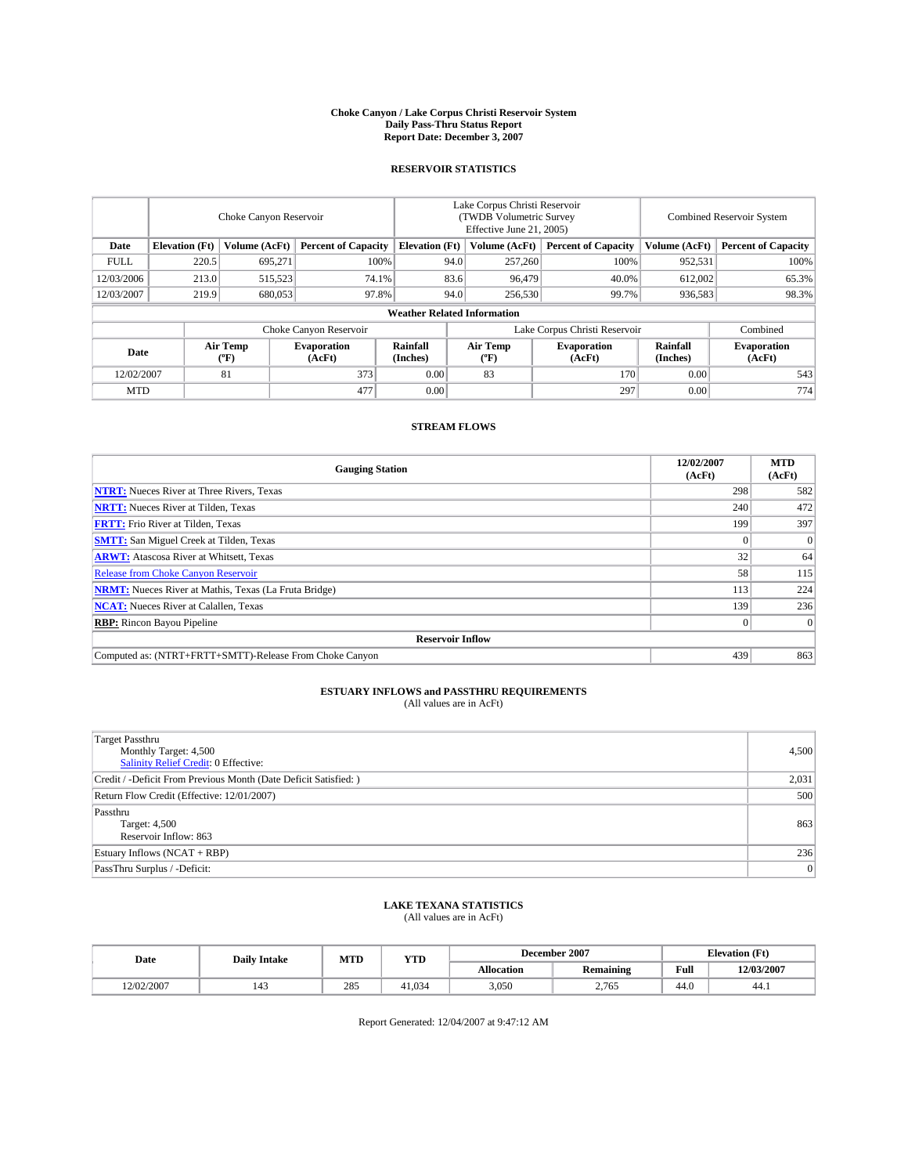#### **Choke Canyon / Lake Corpus Christi Reservoir System Daily Pass-Thru Status Report Report Date: December 3, 2007**

### **RESERVOIR STATISTICS**

|            | Choke Canyon Reservoir |                  |                              |                                    | Lake Corpus Christi Reservoir<br>(TWDB Volumetric Survey<br>Effective June 21, 2005) |                  |                               | Combined Reservoir System |                              |  |
|------------|------------------------|------------------|------------------------------|------------------------------------|--------------------------------------------------------------------------------------|------------------|-------------------------------|---------------------------|------------------------------|--|
| Date       | <b>Elevation</b> (Ft)  | Volume (AcFt)    | <b>Percent of Capacity</b>   | <b>Elevation</b> (Ft)              |                                                                                      | Volume (AcFt)    | <b>Percent of Capacity</b>    | Volume (AcFt)             | <b>Percent of Capacity</b>   |  |
| FULL.      | 220.5                  | 695,271          | 100%                         |                                    | 94.0                                                                                 | 257,260          | 100%                          | 952,531                   | 100%                         |  |
| 12/03/2006 | 213.0                  | 515,523          | 74.1%                        |                                    | 83.6                                                                                 | 96.479           | 40.0%                         | 612,002                   | 65.3%                        |  |
| 12/03/2007 | 219.9                  | 680,053          | 97.8%                        |                                    | 94.0                                                                                 | 256,530          | 99.7%                         | 936,583                   | 98.3%                        |  |
|            |                        |                  |                              | <b>Weather Related Information</b> |                                                                                      |                  |                               |                           |                              |  |
|            |                        |                  | Choke Canyon Reservoir       |                                    |                                                                                      |                  | Lake Corpus Christi Reservoir |                           | Combined                     |  |
| Date       |                        | Air Temp<br>("F) | <b>Evaporation</b><br>(AcFt) | Rainfall<br>(Inches)               |                                                                                      | Air Temp<br>("F) | <b>Evaporation</b><br>(AcFt)  | Rainfall<br>(Inches)      | <b>Evaporation</b><br>(AcFt) |  |
| 12/02/2007 |                        | 81               | 373                          | 0.00                               |                                                                                      | 83               | 170                           | 0.00                      | 543                          |  |
| <b>MTD</b> |                        |                  | 477                          | 0.00                               |                                                                                      |                  | 297                           | 0.00                      | 774                          |  |

## **STREAM FLOWS**

| <b>Gauging Station</b>                                       | 12/02/2007<br>(AcFt) | <b>MTD</b><br>(AcFt) |
|--------------------------------------------------------------|----------------------|----------------------|
| <b>NTRT:</b> Nueces River at Three Rivers, Texas             | 298                  | 582                  |
| <b>NRTT:</b> Nueces River at Tilden, Texas                   | 240                  | 472                  |
| <b>FRTT:</b> Frio River at Tilden, Texas                     | 199                  | 397                  |
| <b>SMTT:</b> San Miguel Creek at Tilden, Texas               |                      | $\Omega$             |
| <b>ARWT:</b> Atascosa River at Whitsett, Texas               | 32                   | 64                   |
| <b>Release from Choke Canyon Reservoir</b>                   | 58                   | 115                  |
| <b>NRMT:</b> Nueces River at Mathis, Texas (La Fruta Bridge) | 113                  | 224                  |
| <b>NCAT:</b> Nueces River at Calallen, Texas                 | 139                  | 236                  |
| <b>RBP:</b> Rincon Bayou Pipeline                            |                      | $\Omega$             |
| <b>Reservoir Inflow</b>                                      |                      |                      |
| Computed as: (NTRT+FRTT+SMTT)-Release From Choke Canyon      | 439                  | 863                  |

## **ESTUARY INFLOWS and PASSTHRU REQUIREMENTS**<br>(All values are in AcFt)

| Target Passthru<br>Monthly Target: 4,500<br><b>Salinity Relief Credit: 0 Effective:</b> | 4,500 |
|-----------------------------------------------------------------------------------------|-------|
| Credit / -Deficit From Previous Month (Date Deficit Satisfied: )                        | 2,031 |
| Return Flow Credit (Effective: 12/01/2007)                                              | 500   |
| Passthru<br>Target: 4,500<br>Reservoir Inflow: 863                                      | 863   |
| Estuary Inflows (NCAT + RBP)                                                            | 236   |
| PassThru Surplus / -Deficit:                                                            | 0     |

## **LAKE TEXANA STATISTICS** (All values are in AcFt)

| Date       | <b>Daily Intake</b>   | MTD | <b>YTD</b> |                   | December 2007    |      | <b>Elevation (Ft)</b> |
|------------|-----------------------|-----|------------|-------------------|------------------|------|-----------------------|
|            |                       |     |            | <b>Allocation</b> | <b>Remaining</b> | Full | 12/03/2007            |
| 12/02/2007 | $\overline{A}$<br>143 | 285 | 41.034     | 3,050             | 2,765            | 44.0 | 44.1                  |

Report Generated: 12/04/2007 at 9:47:12 AM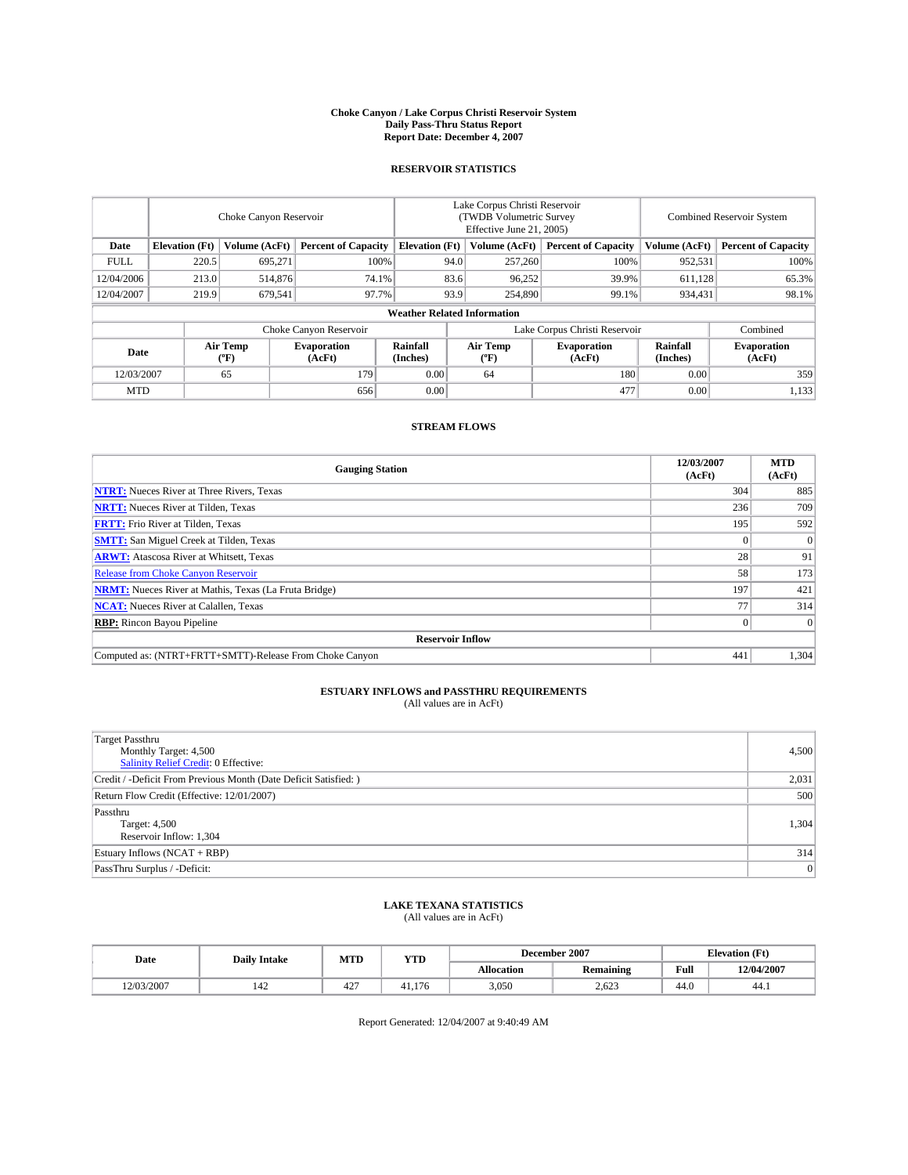#### **Choke Canyon / Lake Corpus Christi Reservoir System Daily Pass-Thru Status Report Report Date: December 4, 2007**

### **RESERVOIR STATISTICS**

|             | Choke Canyon Reservoir |                         |                              |                                    | Lake Corpus Christi Reservoir<br>(TWDB Volumetric Survey<br>Effective June 21, 2005) |                  |                               | Combined Reservoir System |                              |  |
|-------------|------------------------|-------------------------|------------------------------|------------------------------------|--------------------------------------------------------------------------------------|------------------|-------------------------------|---------------------------|------------------------------|--|
| Date        | <b>Elevation</b> (Ft)  | Volume (AcFt)           | <b>Percent of Capacity</b>   | <b>Elevation</b> (Ft)              |                                                                                      | Volume (AcFt)    | <b>Percent of Capacity</b>    | Volume (AcFt)             | <b>Percent of Capacity</b>   |  |
| <b>FULL</b> | 220.5                  | 695.271                 | 100%                         |                                    | 94.0                                                                                 | 257,260          | 100%                          | 952,531                   | 100%                         |  |
| 12/04/2006  | 213.0                  | 514,876                 | 74.1%                        |                                    | 83.6                                                                                 | 96,252           | 39.9%                         | 611,128                   | 65.3%                        |  |
| 12/04/2007  | 219.9                  | 679,541                 | 97.7%                        |                                    | 93.9                                                                                 | 254,890          | 99.1%                         | 934.431                   | 98.1%                        |  |
|             |                        |                         |                              | <b>Weather Related Information</b> |                                                                                      |                  |                               |                           |                              |  |
|             |                        |                         | Choke Canyon Reservoir       |                                    |                                                                                      |                  | Lake Corpus Christi Reservoir |                           | Combined                     |  |
| Date        |                        | <b>Air Temp</b><br>(°F) | <b>Evaporation</b><br>(AcFt) | Rainfall<br>(Inches)               |                                                                                      | Air Temp<br>("F) | <b>Evaporation</b><br>(AcFt)  | Rainfall<br>(Inches)      | <b>Evaporation</b><br>(AcFt) |  |
| 12/03/2007  |                        | 65                      | 179                          | 0.00                               |                                                                                      | 64               | 180                           | 0.00                      | 359                          |  |
| <b>MTD</b>  |                        |                         | 656                          | 0.00                               |                                                                                      |                  | 477                           | 0.00                      | 1,133                        |  |

## **STREAM FLOWS**

| <b>Gauging Station</b>                                       | 12/03/2007<br>(AcFt) | <b>MTD</b><br>(AcFt) |
|--------------------------------------------------------------|----------------------|----------------------|
| <b>NTRT:</b> Nueces River at Three Rivers, Texas             | 304                  | 885                  |
| <b>NRTT:</b> Nueces River at Tilden, Texas                   | 236                  | 709                  |
| <b>FRTT:</b> Frio River at Tilden, Texas                     | 195                  | 592                  |
| <b>SMTT:</b> San Miguel Creek at Tilden, Texas               |                      | $\Omega$             |
| <b>ARWT:</b> Atascosa River at Whitsett, Texas               | 28                   | 91                   |
| <b>Release from Choke Canyon Reservoir</b>                   | 58                   | 173                  |
| <b>NRMT:</b> Nueces River at Mathis, Texas (La Fruta Bridge) | 197                  | 421                  |
| <b>NCAT:</b> Nueces River at Calallen, Texas                 | 77                   | 314                  |
| <b>RBP:</b> Rincon Bayou Pipeline                            |                      | $\Omega$             |
| <b>Reservoir Inflow</b>                                      |                      |                      |
| Computed as: (NTRT+FRTT+SMTT)-Release From Choke Canyon      | 441                  | 1.304                |

## **ESTUARY INFLOWS and PASSTHRU REQUIREMENTS**<br>(All values are in AcFt)

| <b>Target Passthru</b><br>Monthly Target: 4,500<br>Salinity Relief Credit: 0 Effective: | 4,500 |
|-----------------------------------------------------------------------------------------|-------|
| Credit / -Deficit From Previous Month (Date Deficit Satisfied: )                        | 2,031 |
| Return Flow Credit (Effective: 12/01/2007)                                              | 500   |
| Passthru<br>Target: 4,500<br>Reservoir Inflow: 1,304                                    | 1.304 |
| Estuary Inflows (NCAT + RBP)                                                            | 314   |
| PassThru Surplus / -Deficit:                                                            | 0     |

## **LAKE TEXANA STATISTICS** (All values are in AcFt)

| Date       | <b>Daily Intake</b>   | MTD       | <b>YTD</b> |                   | December 2007    | <b>Elevation</b> (Ft) |            |
|------------|-----------------------|-----------|------------|-------------------|------------------|-----------------------|------------|
|            |                       |           |            | <b>Allocation</b> | <b>Remaining</b> | Full                  | 12/04/2007 |
| 12/03/2007 | $\overline{A}$<br>142 | 107<br>42 | 41.176     | 3,050             | 2.623            | 44.0                  | 44.1       |

Report Generated: 12/04/2007 at 9:40:49 AM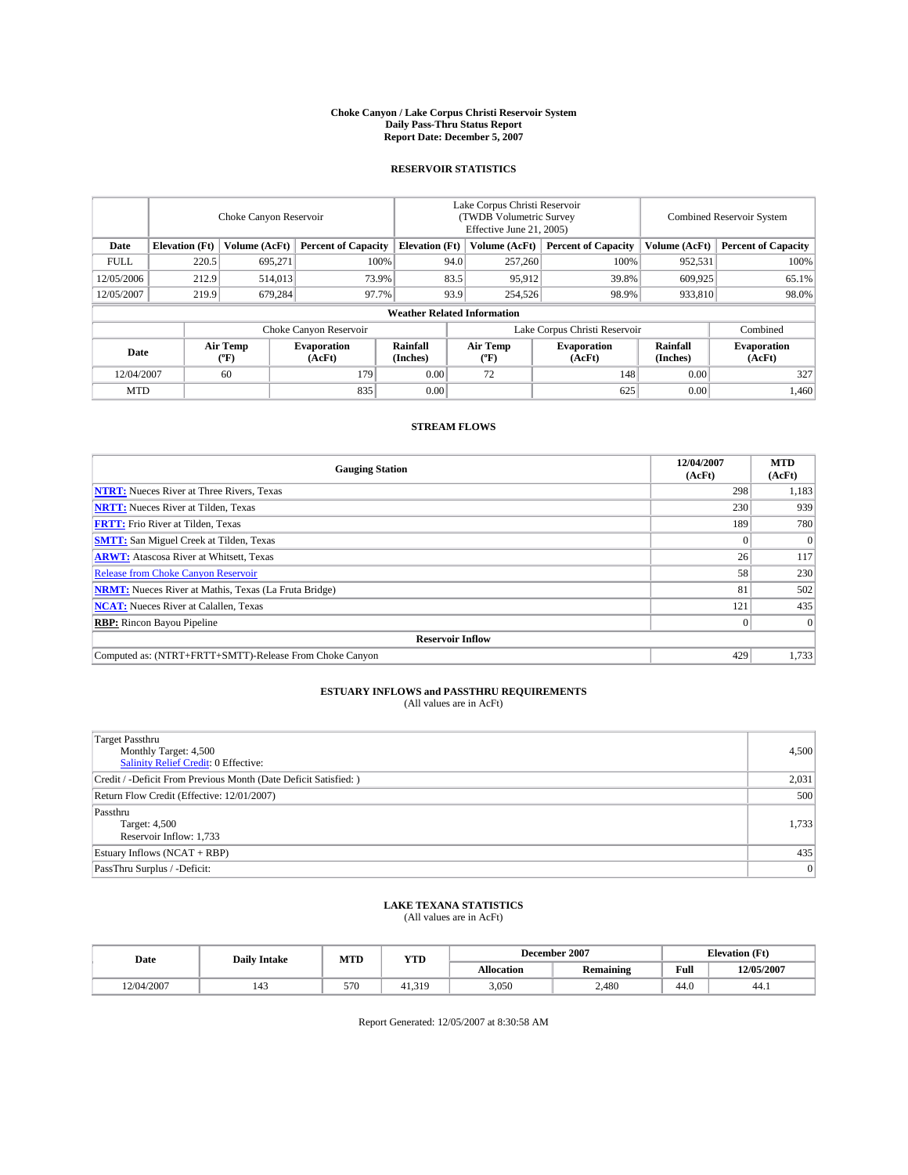#### **Choke Canyon / Lake Corpus Christi Reservoir System Daily Pass-Thru Status Report Report Date: December 5, 2007**

### **RESERVOIR STATISTICS**

|             | Choke Canyon Reservoir |                  |                              |                                    | Lake Corpus Christi Reservoir<br>(TWDB Volumetric Survey<br>Effective June 21, 2005) |                  |                               | Combined Reservoir System |                              |  |
|-------------|------------------------|------------------|------------------------------|------------------------------------|--------------------------------------------------------------------------------------|------------------|-------------------------------|---------------------------|------------------------------|--|
| Date        | <b>Elevation</b> (Ft)  | Volume (AcFt)    | <b>Percent of Capacity</b>   | <b>Elevation</b> (Ft)              |                                                                                      | Volume (AcFt)    | <b>Percent of Capacity</b>    | Volume (AcFt)             | <b>Percent of Capacity</b>   |  |
| <b>FULL</b> | 220.5                  | 695,271          | 100%                         |                                    | 94.0                                                                                 | 257,260          | 100%                          | 952,531                   | 100%                         |  |
| 12/05/2006  | 212.9                  | 514,013          | 73.9%                        |                                    | 83.5                                                                                 | 95,912           | 39.8%                         | 609,925                   | 65.1%                        |  |
| 12/05/2007  | 219.9                  | 679,284          | 97.7%                        |                                    | 93.9                                                                                 | 254,526          | 98.9%                         | 933,810                   | 98.0%                        |  |
|             |                        |                  |                              | <b>Weather Related Information</b> |                                                                                      |                  |                               |                           |                              |  |
|             |                        |                  | Choke Canyon Reservoir       |                                    |                                                                                      |                  | Lake Corpus Christi Reservoir |                           | Combined                     |  |
| Date        |                        | Air Temp<br>(°F) | <b>Evaporation</b><br>(AcFt) | Rainfall<br>(Inches)               |                                                                                      | Air Temp<br>("F) | <b>Evaporation</b><br>(AcFt)  | Rainfall<br>(Inches)      | <b>Evaporation</b><br>(AcFt) |  |
| 12/04/2007  |                        | 60               | 179                          | 0.00                               |                                                                                      | 72               | 148                           | 0.00                      | 327                          |  |
| <b>MTD</b>  |                        |                  | 835                          | 0.00                               |                                                                                      |                  | 625                           | 0.00                      | 1,460                        |  |

## **STREAM FLOWS**

| <b>Gauging Station</b>                                       | 12/04/2007<br>(AcFt) | <b>MTD</b><br>(AcFt) |
|--------------------------------------------------------------|----------------------|----------------------|
| <b>NTRT:</b> Nueces River at Three Rivers, Texas             | 298                  | 1,183                |
| <b>NRTT:</b> Nueces River at Tilden, Texas                   | 230                  | 939                  |
| <b>FRTT:</b> Frio River at Tilden, Texas                     | 189                  | 780                  |
| <b>SMTT:</b> San Miguel Creek at Tilden, Texas               |                      | $\Omega$             |
| <b>ARWT:</b> Atascosa River at Whitsett, Texas               | 26                   | 117                  |
| <b>Release from Choke Canyon Reservoir</b>                   | 58                   | 230                  |
| <b>NRMT:</b> Nueces River at Mathis, Texas (La Fruta Bridge) | 81                   | 502                  |
| <b>NCAT:</b> Nueces River at Calallen, Texas                 | 121                  | 435                  |
| <b>RBP:</b> Rincon Bayou Pipeline                            |                      | $\Omega$             |
| <b>Reservoir Inflow</b>                                      |                      |                      |
| Computed as: (NTRT+FRTT+SMTT)-Release From Choke Canyon      | 429                  | 1,733                |

## **ESTUARY INFLOWS and PASSTHRU REQUIREMENTS**<br>(All values are in AcFt)

| <b>Target Passthru</b><br>Monthly Target: 4,500<br>Salinity Relief Credit: 0 Effective: | 4,500 |
|-----------------------------------------------------------------------------------------|-------|
| Credit / -Deficit From Previous Month (Date Deficit Satisfied: )                        | 2,031 |
| Return Flow Credit (Effective: 12/01/2007)                                              | 500   |
| Passthru<br>Target: 4,500<br>Reservoir Inflow: 1,733                                    | 1,733 |
| Estuary Inflows (NCAT + RBP)                                                            | 435   |
| PassThru Surplus / -Deficit:                                                            | 0     |

## **LAKE TEXANA STATISTICS** (All values are in AcFt)

| Date       | <b>Daily Intake</b>   | MTD | <b>YTD</b> |                   | December 2007    | <b>Elevation (Ft)</b> |            |
|------------|-----------------------|-----|------------|-------------------|------------------|-----------------------|------------|
|            |                       |     |            | <b>Allocation</b> | <b>Remaining</b> | Full                  | 12/05/2007 |
| 12/04/2007 | $\overline{A}$<br>143 | 570 | 41.319     | 3,050             | 2.480            | 44.0                  | 44.1       |

Report Generated: 12/05/2007 at 8:30:58 AM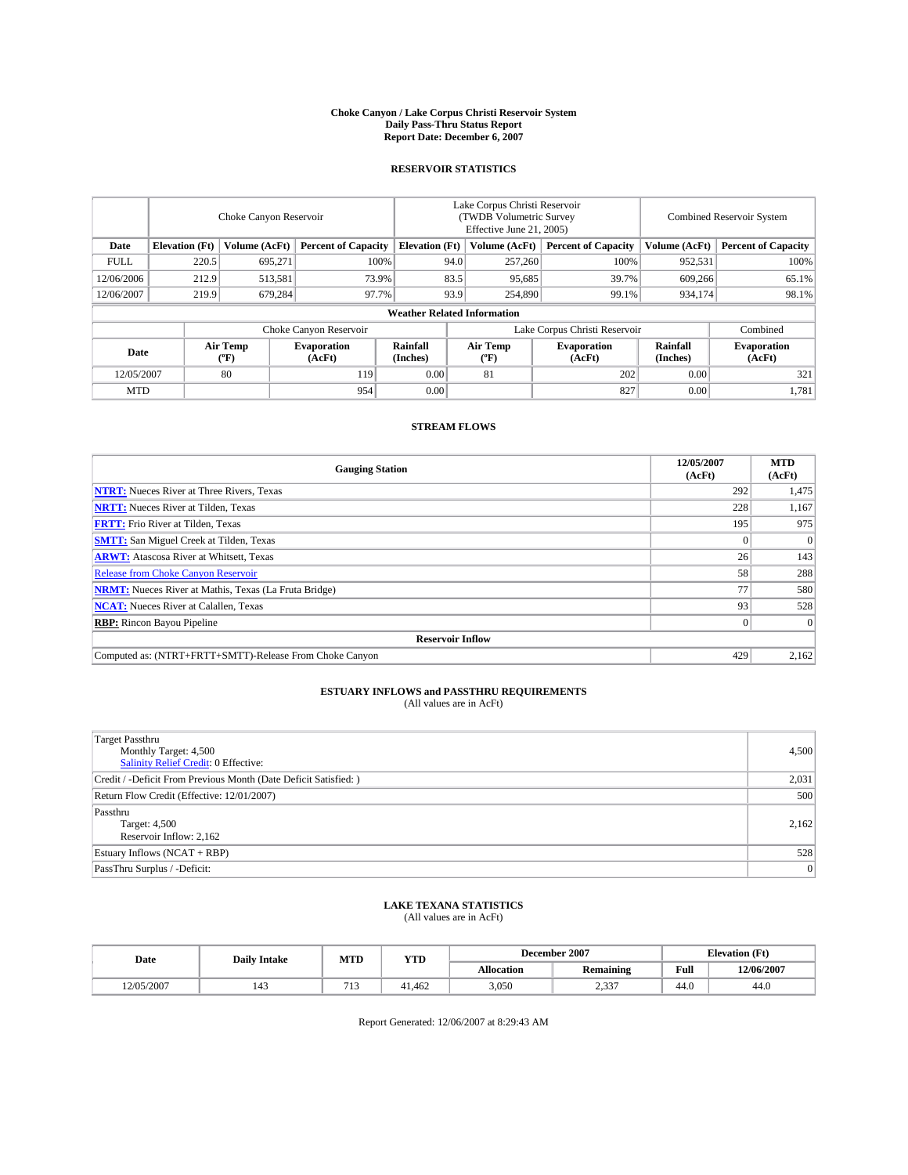#### **Choke Canyon / Lake Corpus Christi Reservoir System Daily Pass-Thru Status Report Report Date: December 6, 2007**

### **RESERVOIR STATISTICS**

|             | Choke Canyon Reservoir |                  |                              |                                    | Lake Corpus Christi Reservoir<br>(TWDB Volumetric Survey<br>Effective June 21, 2005) |                               |                              | Combined Reservoir System |                              |  |
|-------------|------------------------|------------------|------------------------------|------------------------------------|--------------------------------------------------------------------------------------|-------------------------------|------------------------------|---------------------------|------------------------------|--|
| Date        | <b>Elevation</b> (Ft)  | Volume (AcFt)    | <b>Percent of Capacity</b>   | <b>Elevation</b> (Ft)              |                                                                                      | Volume (AcFt)                 | <b>Percent of Capacity</b>   | Volume (AcFt)             | <b>Percent of Capacity</b>   |  |
| <b>FULL</b> | 220.5                  | 695,271          | 100%                         |                                    | 94.0                                                                                 | 257,260                       | 100%                         | 952,531                   | 100%                         |  |
| 12/06/2006  | 212.9                  | 513,581          | 73.9%                        |                                    | 83.5                                                                                 | 95,685                        | 39.7%                        | 609,266                   | 65.1%                        |  |
| 12/06/2007  | 219.9                  | 679.284          | 97.7%                        |                                    | 93.9                                                                                 | 254,890                       | 99.1%                        | 934.174                   | 98.1%                        |  |
|             |                        |                  |                              | <b>Weather Related Information</b> |                                                                                      |                               |                              |                           |                              |  |
|             | Choke Canyon Reservoir |                  |                              |                                    |                                                                                      | Lake Corpus Christi Reservoir |                              |                           | Combined                     |  |
| Date        |                        | Air Temp<br>(°F) | <b>Evaporation</b><br>(AcFt) | Rainfall<br>(Inches)               |                                                                                      | Air Temp<br>("F)              | <b>Evaporation</b><br>(AcFt) | Rainfall<br>(Inches)      | <b>Evaporation</b><br>(AcFt) |  |
| 12/05/2007  |                        | 80               | 119                          | 0.00                               |                                                                                      | 81                            | 202                          | 0.00                      | 321                          |  |
| <b>MTD</b>  |                        |                  | 954                          | 0.00                               |                                                                                      |                               | 827                          | 0.00                      | 1,781                        |  |

## **STREAM FLOWS**

| <b>Gauging Station</b>                                       | 12/05/2007<br>(AcFt) | <b>MTD</b><br>(AcFt) |
|--------------------------------------------------------------|----------------------|----------------------|
| <b>NTRT:</b> Nueces River at Three Rivers, Texas             | 292                  | 1,475                |
| <b>NRTT:</b> Nueces River at Tilden, Texas                   | 228                  | 1,167                |
| <b>FRTT:</b> Frio River at Tilden, Texas                     | 195                  | 975                  |
| <b>SMTT:</b> San Miguel Creek at Tilden, Texas               |                      | $\Omega$             |
| <b>ARWT:</b> Atascosa River at Whitsett, Texas               | 26                   | 143                  |
| <b>Release from Choke Canyon Reservoir</b>                   | 58                   | 288                  |
| <b>NRMT:</b> Nueces River at Mathis, Texas (La Fruta Bridge) | 77                   | 580                  |
| <b>NCAT:</b> Nueces River at Calallen, Texas                 | 93                   | 528                  |
| <b>RBP:</b> Rincon Bayou Pipeline                            |                      | $\Omega$             |
| <b>Reservoir Inflow</b>                                      |                      |                      |
| Computed as: (NTRT+FRTT+SMTT)-Release From Choke Canyon      | 429                  | 2,162                |

## **ESTUARY INFLOWS and PASSTHRU REQUIREMENTS**<br>(All values are in AcFt)

| <b>Target Passthru</b><br>Monthly Target: 4,500<br>Salinity Relief Credit: 0 Effective: | 4,500 |
|-----------------------------------------------------------------------------------------|-------|
| Credit / -Deficit From Previous Month (Date Deficit Satisfied: )                        | 2,031 |
| Return Flow Credit (Effective: 12/01/2007)                                              | 500   |
| Passthru<br>Target: 4,500<br>Reservoir Inflow: 2,162                                    | 2.162 |
| Estuary Inflows (NCAT + RBP)                                                            | 528   |
| PassThru Surplus / -Deficit:                                                            | 0     |

## **LAKE TEXANA STATISTICS** (All values are in AcFt)

| Date       | <b>Daily Intake</b>   | MTD  | <b>YTD</b> |                   | December 2007    | <b>Elevation</b> (Ft) |            |
|------------|-----------------------|------|------------|-------------------|------------------|-----------------------|------------|
|            |                       |      |            | <b>Allocation</b> | <b>Remaining</b> | Full                  | 12/06/2007 |
| 12/05/2007 | $\overline{A}$<br>143 | -1 - | 41.462     | 3.050             | 0.22<br>ر رہے    | 44.0                  | 44.0       |

Report Generated: 12/06/2007 at 8:29:43 AM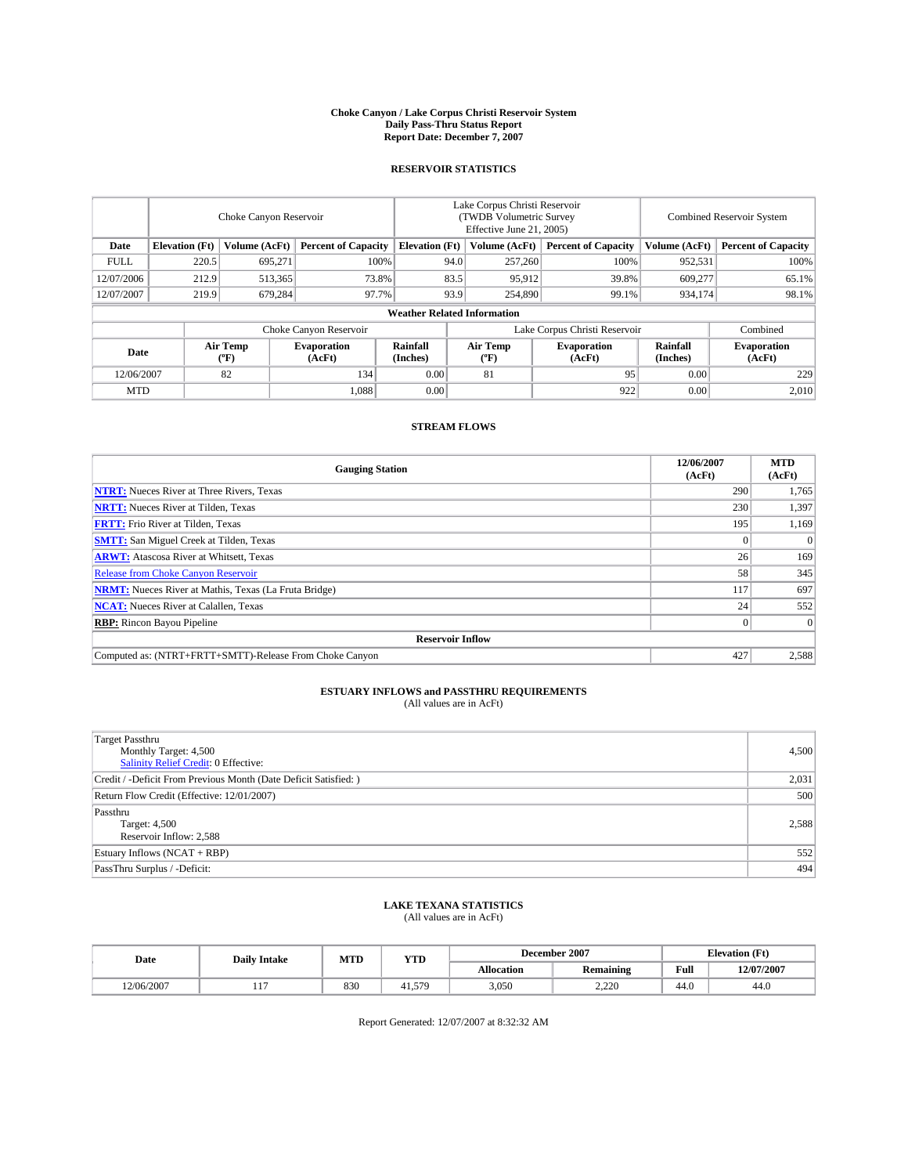#### **Choke Canyon / Lake Corpus Christi Reservoir System Daily Pass-Thru Status Report Report Date: December 7, 2007**

### **RESERVOIR STATISTICS**

|             | Choke Canyon Reservoir             |                  |                              |                       | Lake Corpus Christi Reservoir<br>(TWDB Volumetric Survey<br>Effective June 21, 2005) |                  |                               |                      | Combined Reservoir System    |  |  |
|-------------|------------------------------------|------------------|------------------------------|-----------------------|--------------------------------------------------------------------------------------|------------------|-------------------------------|----------------------|------------------------------|--|--|
| Date        | <b>Elevation</b> (Ft)              | Volume (AcFt)    | <b>Percent of Capacity</b>   | <b>Elevation</b> (Ft) |                                                                                      | Volume (AcFt)    | <b>Percent of Capacity</b>    | Volume (AcFt)        | <b>Percent of Capacity</b>   |  |  |
| <b>FULL</b> | 220.5                              | 695,271          |                              | 100%                  | 94.0                                                                                 | 257,260          | 100%                          | 952,531              | 100%                         |  |  |
| 12/07/2006  | 212.9                              | 513,365          | 73.8%                        |                       | 83.5                                                                                 | 95,912           | 39.8%                         | 609,277              | 65.1%                        |  |  |
| 12/07/2007  | 219.9                              | 679.284          | 97.7%                        |                       | 93.9                                                                                 | 254,890          | 99.1%                         | 934.174              | 98.1%                        |  |  |
|             | <b>Weather Related Information</b> |                  |                              |                       |                                                                                      |                  |                               |                      |                              |  |  |
|             |                                    |                  | Choke Canyon Reservoir       |                       |                                                                                      |                  | Lake Corpus Christi Reservoir |                      | Combined                     |  |  |
| Date        |                                    | Air Temp<br>(°F) | <b>Evaporation</b><br>(AcFt) | Rainfall<br>(Inches)  |                                                                                      | Air Temp<br>("F) | <b>Evaporation</b><br>(AcFt)  | Rainfall<br>(Inches) | <b>Evaporation</b><br>(AcFt) |  |  |
| 12/06/2007  |                                    | 82               | 134                          | 0.00                  |                                                                                      | 81               | 95                            | 0.00                 | 229                          |  |  |
| <b>MTD</b>  |                                    |                  | 1,088                        | 0.00                  |                                                                                      |                  | 922                           | 0.00                 | 2,010                        |  |  |

## **STREAM FLOWS**

| <b>Gauging Station</b>                                       | 12/06/2007<br>(AcFt) | <b>MTD</b><br>(AcFt) |
|--------------------------------------------------------------|----------------------|----------------------|
| <b>NTRT:</b> Nueces River at Three Rivers, Texas             | 290                  | 1,765                |
| <b>NRTT:</b> Nueces River at Tilden, Texas                   | 230                  | 1,397                |
| <b>FRTT:</b> Frio River at Tilden, Texas                     | 195                  | 1,169                |
| <b>SMTT:</b> San Miguel Creek at Tilden, Texas               |                      | $\Omega$             |
| <b>ARWT:</b> Atascosa River at Whitsett, Texas               | 26                   | 169                  |
| <b>Release from Choke Canyon Reservoir</b>                   | 58                   | 345                  |
| <b>NRMT:</b> Nueces River at Mathis, Texas (La Fruta Bridge) | 117                  | 697                  |
| <b>NCAT:</b> Nueces River at Calallen, Texas                 | 24                   | 552                  |
| <b>RBP:</b> Rincon Bayou Pipeline                            |                      | $\Omega$             |
| <b>Reservoir Inflow</b>                                      |                      |                      |
| Computed as: (NTRT+FRTT+SMTT)-Release From Choke Canyon      | 427                  | 2.588                |

# **ESTUARY INFLOWS and PASSTHRU REQUIREMENTS**<br>(All values are in AcFt)

| <b>Target Passthru</b><br>Monthly Target: 4,500<br>Salinity Relief Credit: 0 Effective: | 4,500 |
|-----------------------------------------------------------------------------------------|-------|
| Credit / -Deficit From Previous Month (Date Deficit Satisfied: )                        | 2,031 |
| Return Flow Credit (Effective: 12/01/2007)                                              | 500   |
| Passthru<br>Target: 4,500<br>Reservoir Inflow: 2,588                                    | 2.588 |
| Estuary Inflows (NCAT + RBP)                                                            | 552   |
| PassThru Surplus / -Deficit:                                                            | 494   |

## **LAKE TEXANA STATISTICS** (All values are in AcFt)

| Date       | <b>Daily Intake</b> | MTD | <b>YTD</b> |                   | December 2007    | <b>Elevation</b> (Ft) |            |
|------------|---------------------|-----|------------|-------------------|------------------|-----------------------|------------|
|            |                     |     |            | <b>Allocation</b> | <b>Remaining</b> | Full                  | 12/07/2007 |
| 12/06/2007 | <b>LLI</b>          | 830 | 41.579     | 3,050             | 2.220            | 44.0                  | 44.0       |

Report Generated: 12/07/2007 at 8:32:32 AM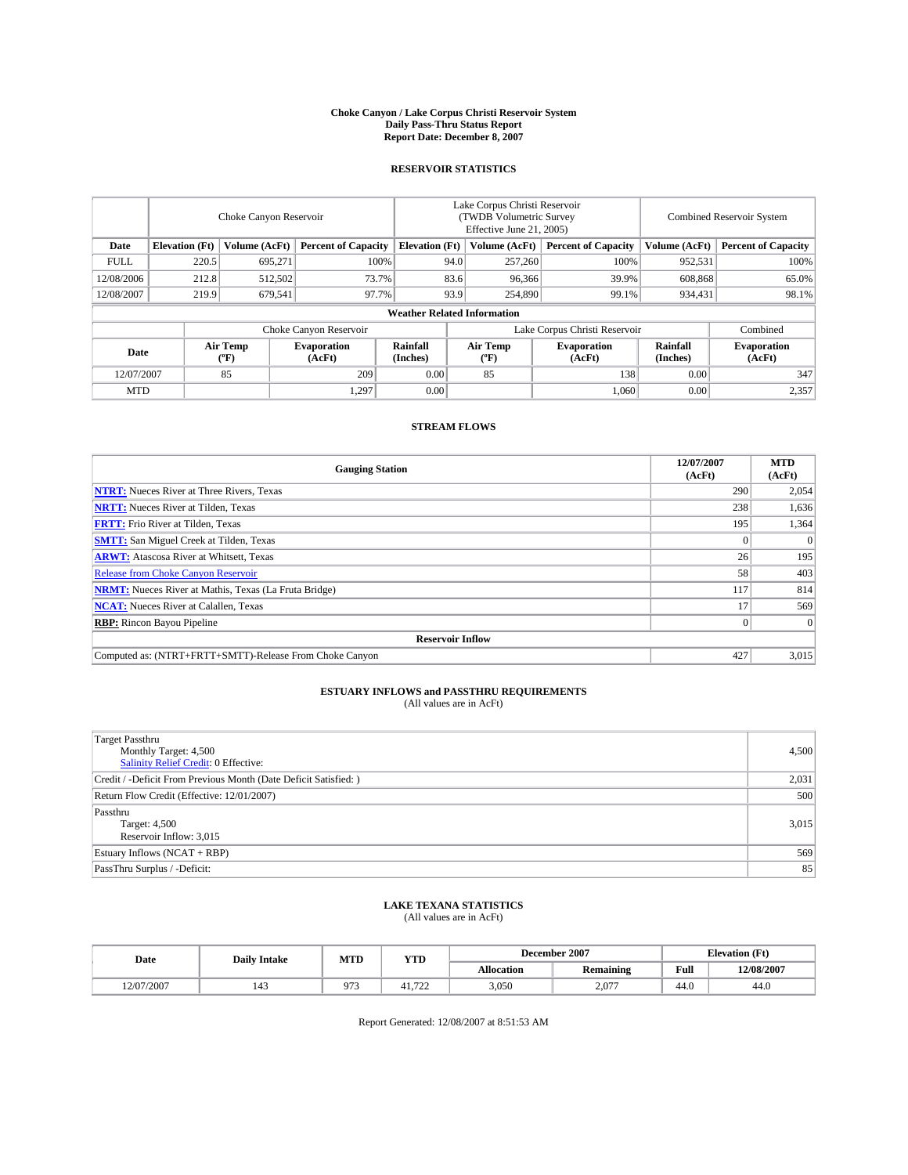#### **Choke Canyon / Lake Corpus Christi Reservoir System Daily Pass-Thru Status Report Report Date: December 8, 2007**

### **RESERVOIR STATISTICS**

|             | Choke Canyon Reservoir |                  |                              |                                    | Lake Corpus Christi Reservoir<br>(TWDB Volumetric Survey<br>Effective June 21, 2005) |                  |                              | <b>Combined Reservoir System</b> |                              |  |
|-------------|------------------------|------------------|------------------------------|------------------------------------|--------------------------------------------------------------------------------------|------------------|------------------------------|----------------------------------|------------------------------|--|
| Date        | <b>Elevation</b> (Ft)  | Volume (AcFt)    | <b>Percent of Capacity</b>   | <b>Elevation</b> (Ft)              |                                                                                      | Volume (AcFt)    | <b>Percent of Capacity</b>   | Volume (AcFt)                    | <b>Percent of Capacity</b>   |  |
| <b>FULL</b> | 220.5                  | 695,271          | 100%                         |                                    | 94.0                                                                                 | 257,260          | 100%                         | 952,531                          | 100%                         |  |
| 12/08/2006  | 212.8                  | 512,502          | 73.7%                        |                                    | 83.6                                                                                 | 96,366           | 39.9%                        | 608,868                          | 65.0%                        |  |
| 12/08/2007  | 219.9                  | 679,541          | 97.7%                        |                                    | 93.9                                                                                 | 254,890          | 99.1%                        | 934,431                          | 98.1%                        |  |
|             |                        |                  |                              | <b>Weather Related Information</b> |                                                                                      |                  |                              |                                  |                              |  |
|             |                        |                  |                              | Lake Corpus Christi Reservoir      |                                                                                      | Combined         |                              |                                  |                              |  |
| Date        |                        | Air Temp<br>(°F) | <b>Evaporation</b><br>(AcFt) | Rainfall<br>(Inches)               |                                                                                      | Air Temp<br>("F) | <b>Evaporation</b><br>(AcFt) | Rainfall<br>(Inches)             | <b>Evaporation</b><br>(AcFt) |  |
| 12/07/2007  |                        | 85               | 209                          | 0.00                               |                                                                                      | 85               | 138                          | 0.00                             | 347                          |  |
| <b>MTD</b>  |                        |                  | 1.297                        | 0.00                               |                                                                                      |                  | 1,060                        | 0.00                             | 2,357                        |  |

### **STREAM FLOWS**

| <b>Gauging Station</b>                                       | 12/07/2007<br>(AcFt) | <b>MTD</b><br>(AcFt) |
|--------------------------------------------------------------|----------------------|----------------------|
| <b>NTRT:</b> Nueces River at Three Rivers, Texas             | 290                  | 2,054                |
| <b>NRTT:</b> Nueces River at Tilden, Texas                   | 238                  | 1,636                |
| <b>FRTT:</b> Frio River at Tilden, Texas                     | 195                  | 1,364                |
| <b>SMTT:</b> San Miguel Creek at Tilden, Texas               |                      | $\Omega$             |
| <b>ARWT:</b> Atascosa River at Whitsett, Texas               | 26                   | 195                  |
| <b>Release from Choke Canyon Reservoir</b>                   | 58                   | 403                  |
| <b>NRMT:</b> Nueces River at Mathis, Texas (La Fruta Bridge) | 117                  | 814                  |
| <b>NCAT:</b> Nueces River at Calallen, Texas                 |                      | 569                  |
| <b>RBP:</b> Rincon Bayou Pipeline                            |                      | $\Omega$             |
| <b>Reservoir Inflow</b>                                      |                      |                      |
| Computed as: (NTRT+FRTT+SMTT)-Release From Choke Canyon      | 427                  | 3.015                |

## **ESTUARY INFLOWS and PASSTHRU REQUIREMENTS**<br>(All values are in AcFt)

| <b>Target Passthru</b><br>Monthly Target: 4,500<br>Salinity Relief Credit: 0 Effective: | 4,500 |
|-----------------------------------------------------------------------------------------|-------|
| Credit / -Deficit From Previous Month (Date Deficit Satisfied: )                        | 2,031 |
| Return Flow Credit (Effective: 12/01/2007)                                              | 500   |
| Passthru<br>Target: 4,500<br>Reservoir Inflow: 3,015                                    | 3,015 |
| Estuary Inflows (NCAT + RBP)                                                            | 569   |
| PassThru Surplus / -Deficit:                                                            | 85    |

## **LAKE TEXANA STATISTICS** (All values are in AcFt)

| Date       | <b>Daily Intake</b> | MTD      | <b>YTD</b>             | December 2007     |                  | <b>Elevation</b> (Ft) |            |
|------------|---------------------|----------|------------------------|-------------------|------------------|-----------------------|------------|
|            |                     |          |                        | <b>Allocation</b> | <b>Remaining</b> | Full                  | 12/08/2007 |
| 12/07/2007 | 143                 | $\Omega$ | $\mathbf{a}$<br>41.144 | 3,050             | 2.077            | 44.0                  | 44.0       |

Report Generated: 12/08/2007 at 8:51:53 AM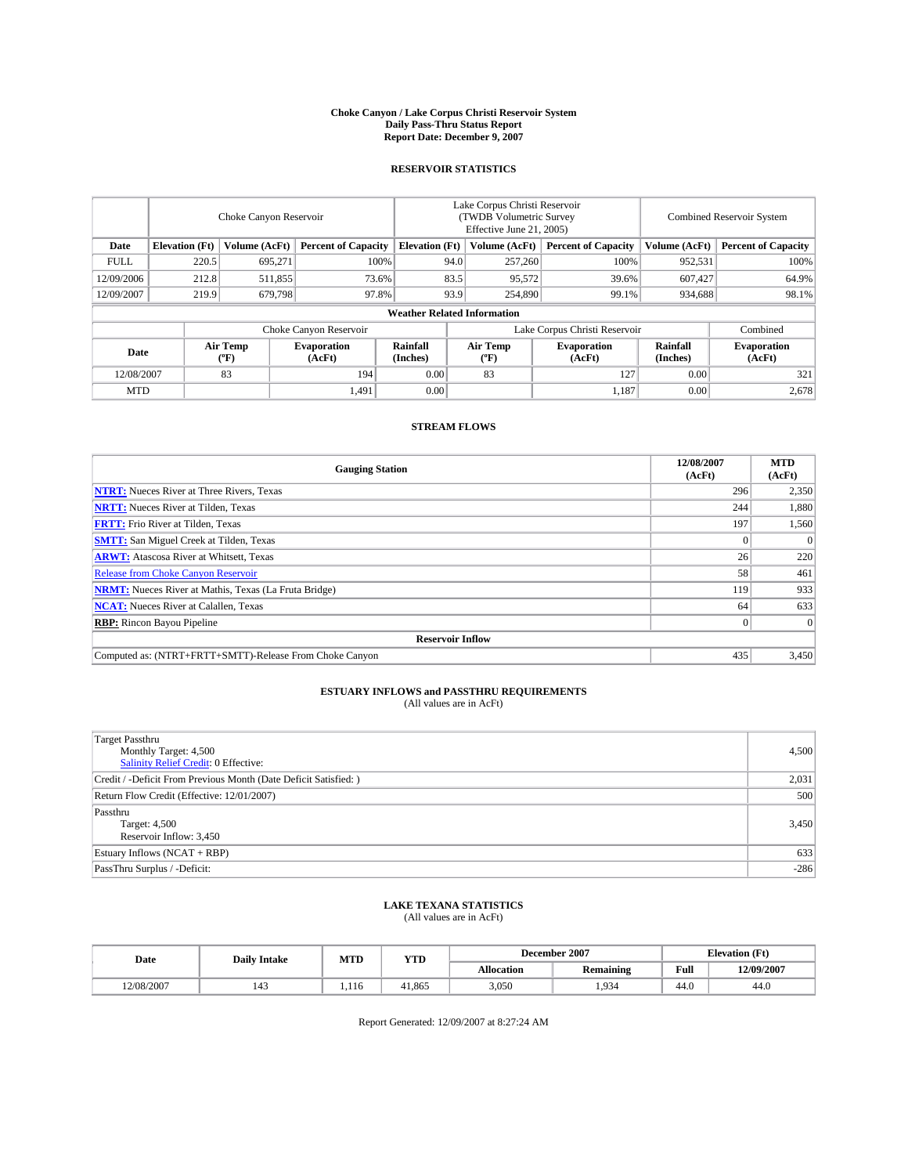#### **Choke Canyon / Lake Corpus Christi Reservoir System Daily Pass-Thru Status Report Report Date: December 9, 2007**

### **RESERVOIR STATISTICS**

|             | Choke Canyon Reservoir             |                  |                              |                       | Lake Corpus Christi Reservoir<br>(TWDB Volumetric Survey<br>Effective June 21, 2005) |                  |                               |                      | Combined Reservoir System    |  |  |
|-------------|------------------------------------|------------------|------------------------------|-----------------------|--------------------------------------------------------------------------------------|------------------|-------------------------------|----------------------|------------------------------|--|--|
| Date        | <b>Elevation</b> (Ft)              | Volume (AcFt)    | <b>Percent of Capacity</b>   | <b>Elevation</b> (Ft) |                                                                                      | Volume (AcFt)    | <b>Percent of Capacity</b>    | Volume (AcFt)        | <b>Percent of Capacity</b>   |  |  |
| <b>FULL</b> | 220.5                              | 695,271          |                              | 100%                  | 94.0                                                                                 | 257,260          | 100%                          | 952,531              | 100%                         |  |  |
| 12/09/2006  | 212.8                              | 511,855          | 73.6%                        |                       | 83.5                                                                                 | 95,572           | 39.6%                         | 607,427              | 64.9%                        |  |  |
| 12/09/2007  | 219.9                              | 679.798          | 97.8%                        |                       | 93.9                                                                                 | 254,890          | 99.1%                         | 934.688              | 98.1%                        |  |  |
|             | <b>Weather Related Information</b> |                  |                              |                       |                                                                                      |                  |                               |                      |                              |  |  |
|             |                                    |                  | Choke Canyon Reservoir       |                       |                                                                                      |                  | Lake Corpus Christi Reservoir |                      | Combined                     |  |  |
| Date        |                                    | Air Temp<br>(°F) | <b>Evaporation</b><br>(AcFt) | Rainfall<br>(Inches)  |                                                                                      | Air Temp<br>("F) | <b>Evaporation</b><br>(AcFt)  | Rainfall<br>(Inches) | <b>Evaporation</b><br>(AcFt) |  |  |
| 12/08/2007  |                                    | 83               | 194                          | 0.00                  |                                                                                      | 83               | 127                           | 0.00                 | 321                          |  |  |
| <b>MTD</b>  |                                    |                  | 1.491                        | 0.00                  |                                                                                      |                  | 1,187                         | 0.00                 | 2,678                        |  |  |

## **STREAM FLOWS**

| <b>Gauging Station</b>                                       | 12/08/2007<br>(AcFt) | <b>MTD</b><br>(AcFt) |
|--------------------------------------------------------------|----------------------|----------------------|
| <b>NTRT:</b> Nueces River at Three Rivers, Texas             | 296                  | 2,350                |
| <b>NRTT:</b> Nueces River at Tilden, Texas                   | 244                  | 1,880                |
| <b>FRTT:</b> Frio River at Tilden, Texas                     | 197                  | 1,560                |
| <b>SMTT:</b> San Miguel Creek at Tilden, Texas               |                      | $\Omega$             |
| <b>ARWT:</b> Atascosa River at Whitsett, Texas               | 26                   | 220                  |
| <b>Release from Choke Canyon Reservoir</b>                   | 58                   | 461                  |
| <b>NRMT:</b> Nueces River at Mathis, Texas (La Fruta Bridge) | 119                  | 933                  |
| <b>NCAT:</b> Nueces River at Calallen, Texas                 | 64                   | 633                  |
| <b>RBP:</b> Rincon Bayou Pipeline                            |                      | $\Omega$             |
| <b>Reservoir Inflow</b>                                      |                      |                      |
| Computed as: (NTRT+FRTT+SMTT)-Release From Choke Canyon      | 435                  | 3.450                |

# **ESTUARY INFLOWS and PASSTHRU REQUIREMENTS**<br>(All values are in AcFt)

| <b>Target Passthru</b><br>Monthly Target: 4,500<br>Salinity Relief Credit: 0 Effective: | 4,500  |
|-----------------------------------------------------------------------------------------|--------|
| Credit / -Deficit From Previous Month (Date Deficit Satisfied: )                        | 2,031  |
| Return Flow Credit (Effective: 12/01/2007)                                              | 500    |
| Passthru<br>Target: 4,500<br>Reservoir Inflow: 3,450                                    | 3,450  |
| Estuary Inflows (NCAT + RBP)                                                            | 633    |
| PassThru Surplus / -Deficit:                                                            | $-286$ |

## **LAKE TEXANA STATISTICS** (All values are in AcFt)

| Date       | <b>Daily Intake</b> | MTD   | <b>YTD</b> |            | December 2007    | <b>Elevation</b> (Ft) |            |
|------------|---------------------|-------|------------|------------|------------------|-----------------------|------------|
|            |                     |       |            | Allocation | <b>Remaining</b> | Full                  | 12/09/2007 |
| 12/08/2007 | 143                 | 1.116 | 41.865     | 3.050      | .934             | 44.0                  | 44.0       |

Report Generated: 12/09/2007 at 8:27:24 AM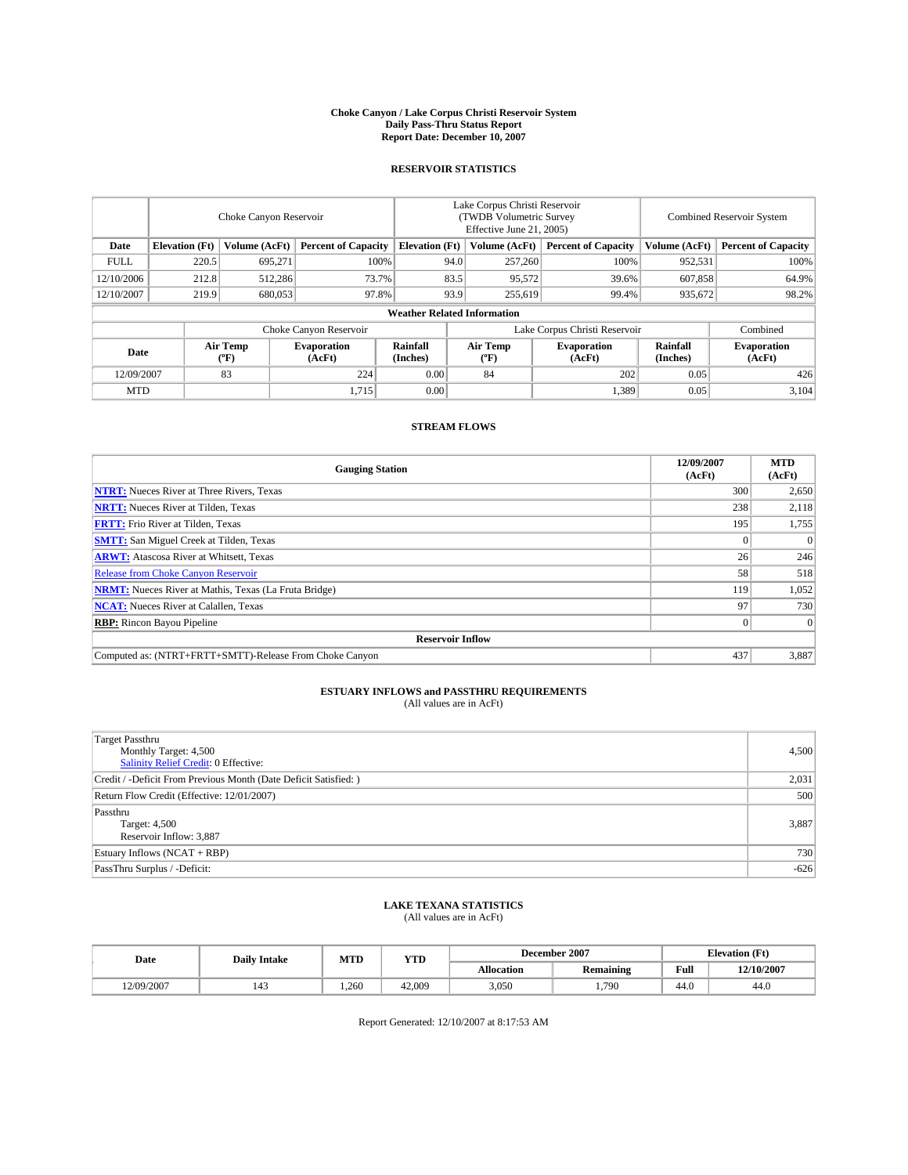#### **Choke Canyon / Lake Corpus Christi Reservoir System Daily Pass-Thru Status Report Report Date: December 10, 2007**

### **RESERVOIR STATISTICS**

|             | Choke Canyon Reservoir |                         |                              |                                                     | Lake Corpus Christi Reservoir<br>(TWDB Volumetric Survey<br>Effective June 21, 2005) |                  |                               | Combined Reservoir System |                              |  |
|-------------|------------------------|-------------------------|------------------------------|-----------------------------------------------------|--------------------------------------------------------------------------------------|------------------|-------------------------------|---------------------------|------------------------------|--|
| Date        | <b>Elevation</b> (Ft)  | Volume (AcFt)           |                              | <b>Percent of Capacity</b><br><b>Elevation</b> (Ft) |                                                                                      | Volume (AcFt)    | <b>Percent of Capacity</b>    | Volume (AcFt)             | <b>Percent of Capacity</b>   |  |
| <b>FULL</b> | 220.5                  | 695.271                 |                              | 100%                                                | 94.0                                                                                 | 257,260          | 100%                          | 952,531                   | 100%                         |  |
| 12/10/2006  | 212.8                  | 512,286                 | 73.7%                        |                                                     | 83.5                                                                                 | 95,572           | 39.6%                         | 607,858                   | 64.9%                        |  |
| 12/10/2007  | 219.9                  | 680,053                 | 97.8%                        |                                                     | 93.9                                                                                 | 255,619          | 99.4%                         | 935.672                   | 98.2%                        |  |
|             |                        |                         |                              | <b>Weather Related Information</b>                  |                                                                                      |                  |                               |                           |                              |  |
|             |                        |                         | Choke Canyon Reservoir       |                                                     |                                                                                      |                  | Lake Corpus Christi Reservoir |                           | Combined                     |  |
| Date        |                        | <b>Air Temp</b><br>(°F) | <b>Evaporation</b><br>(AcFt) | Rainfall<br>(Inches)                                |                                                                                      | Air Temp<br>("F) | <b>Evaporation</b><br>(AcFt)  | Rainfall<br>(Inches)      | <b>Evaporation</b><br>(AcFt) |  |
| 12/09/2007  |                        | 83                      | 224                          | 0.00                                                |                                                                                      | 84               | 202                           | 0.05                      | 426                          |  |
| <b>MTD</b>  |                        |                         | 1,715                        | 0.00                                                |                                                                                      |                  | 1,389                         | 0.05                      | 3,104                        |  |

### **STREAM FLOWS**

| <b>Gauging Station</b>                                       | 12/09/2007<br>(AcFt) | <b>MTD</b><br>(AcFt) |
|--------------------------------------------------------------|----------------------|----------------------|
| <b>NTRT:</b> Nueces River at Three Rivers, Texas             | 300                  | 2,650                |
| <b>NRTT:</b> Nueces River at Tilden, Texas                   | 238                  | 2,118                |
| <b>FRTT:</b> Frio River at Tilden, Texas                     | 195                  | 1,755                |
| <b>SMTT:</b> San Miguel Creek at Tilden, Texas               |                      | $\Omega$             |
| <b>ARWT:</b> Atascosa River at Whitsett, Texas               | 26                   | 246                  |
| <b>Release from Choke Canyon Reservoir</b>                   | 58                   | 518                  |
| <b>NRMT:</b> Nueces River at Mathis, Texas (La Fruta Bridge) | 119                  | 1,052                |
| <b>NCAT:</b> Nueces River at Calallen, Texas                 | 97                   | 730                  |
| <b>RBP:</b> Rincon Bayou Pipeline                            |                      | $\Omega$             |
| <b>Reservoir Inflow</b>                                      |                      |                      |
| Computed as: (NTRT+FRTT+SMTT)-Release From Choke Canyon      | 437                  | 3.887                |

## **ESTUARY INFLOWS and PASSTHRU REQUIREMENTS**<br>(All values are in AcFt)

| <b>Target Passthru</b><br>Monthly Target: 4,500<br>Salinity Relief Credit: 0 Effective: | 4,500  |
|-----------------------------------------------------------------------------------------|--------|
| Credit / -Deficit From Previous Month (Date Deficit Satisfied: )                        | 2,031  |
| Return Flow Credit (Effective: 12/01/2007)                                              | 500    |
| Passthru<br>Target: 4,500<br>Reservoir Inflow: 3,887                                    | 3,887  |
| Estuary Inflows (NCAT + RBP)                                                            | 730    |
| PassThru Surplus / -Deficit:                                                            | $-626$ |

## **LAKE TEXANA STATISTICS** (All values are in AcFt)

| Date       | <b>Daily Intake</b>   | MTD   | <b>YTD</b> |                   | December 2007    | <b>Elevation</b> (Ft) |            |
|------------|-----------------------|-------|------------|-------------------|------------------|-----------------------|------------|
|            |                       |       |            | <b>Allocation</b> | <b>Remaining</b> | Full                  | 12/10/2007 |
| 12/09/2007 | $\overline{A}$<br>143 | 1.260 | 42,009     | 3,050             | .790             | 44.0                  | 44.0       |

Report Generated: 12/10/2007 at 8:17:53 AM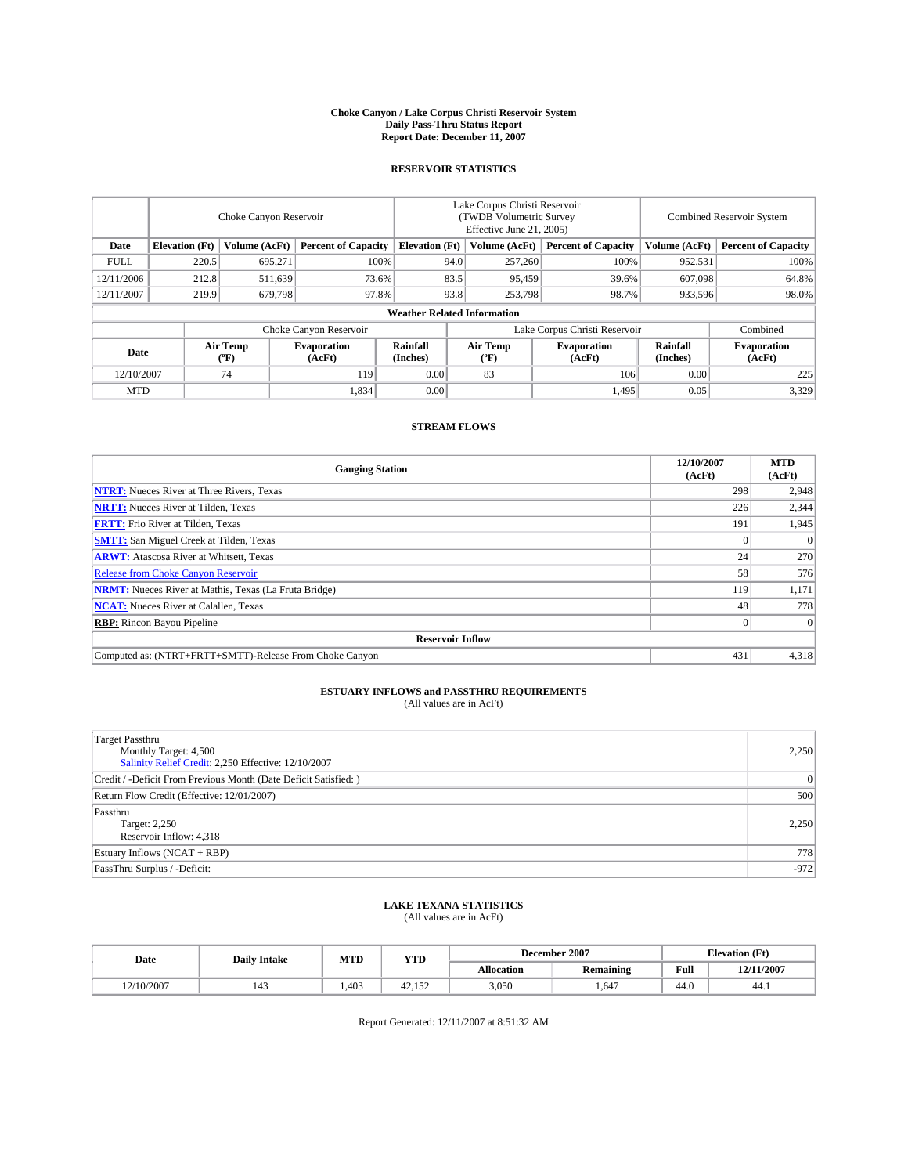#### **Choke Canyon / Lake Corpus Christi Reservoir System Daily Pass-Thru Status Report Report Date: December 11, 2007**

### **RESERVOIR STATISTICS**

|             | Choke Canyon Reservoir             |                  |                              |                       | Lake Corpus Christi Reservoir<br>(TWDB Volumetric Survey<br>Effective June 21, 2005) |                  |                               | Combined Reservoir System |                              |  |
|-------------|------------------------------------|------------------|------------------------------|-----------------------|--------------------------------------------------------------------------------------|------------------|-------------------------------|---------------------------|------------------------------|--|
| Date        | <b>Elevation</b> (Ft)              | Volume (AcFt)    | <b>Percent of Capacity</b>   | <b>Elevation</b> (Ft) |                                                                                      | Volume (AcFt)    | <b>Percent of Capacity</b>    | Volume (AcFt)             | <b>Percent of Capacity</b>   |  |
| <b>FULL</b> | 220.5                              | 695,271          |                              | 100%                  | 94.0                                                                                 | 257,260          | 100%                          | 952,531                   | 100%                         |  |
| 12/11/2006  | 212.8                              | 511,639          | 73.6%                        |                       | 83.5                                                                                 | 95,459           | 39.6%                         | 607,098                   | 64.8%                        |  |
| 12/11/2007  | 219.9                              | 679.798          | 97.8%                        |                       | 93.8                                                                                 | 253,798          | 98.7%                         | 933,596                   | 98.0%                        |  |
|             | <b>Weather Related Information</b> |                  |                              |                       |                                                                                      |                  |                               |                           |                              |  |
|             |                                    |                  | Choke Canyon Reservoir       |                       |                                                                                      |                  | Lake Corpus Christi Reservoir |                           | Combined                     |  |
| Date        |                                    | Air Temp<br>(°F) | <b>Evaporation</b><br>(AcFt) | Rainfall<br>(Inches)  |                                                                                      | Air Temp<br>("F) | <b>Evaporation</b><br>(AcFt)  | Rainfall<br>(Inches)      | <b>Evaporation</b><br>(AcFt) |  |
| 12/10/2007  |                                    | 74               | 119                          | 0.00                  |                                                                                      | 83               | 106                           | 0.00                      | 225                          |  |
| <b>MTD</b>  |                                    |                  | 1,834                        | 0.00                  |                                                                                      |                  | 1,495                         | 0.05                      | 3,329                        |  |

## **STREAM FLOWS**

| <b>Gauging Station</b>                                       | 12/10/2007<br>(AcFt) | <b>MTD</b><br>(AcFt) |
|--------------------------------------------------------------|----------------------|----------------------|
| <b>NTRT:</b> Nueces River at Three Rivers, Texas             | 298                  | 2,948                |
| <b>NRTT:</b> Nueces River at Tilden, Texas                   | 226                  | 2,344                |
| <b>FRTT:</b> Frio River at Tilden, Texas                     | 191                  | 1,945                |
| <b>SMTT:</b> San Miguel Creek at Tilden, Texas               |                      | $\Omega$             |
| <b>ARWT:</b> Atascosa River at Whitsett, Texas               | 24 <sub>1</sub>      | 270                  |
| <b>Release from Choke Canyon Reservoir</b>                   | 58                   | 576                  |
| <b>NRMT:</b> Nueces River at Mathis, Texas (La Fruta Bridge) | 119                  | 1,171                |
| <b>NCAT:</b> Nueces River at Calallen, Texas                 | 48                   | 778                  |
| <b>RBP:</b> Rincon Bayou Pipeline                            |                      | $\overline{0}$       |
| <b>Reservoir Inflow</b>                                      |                      |                      |
| Computed as: (NTRT+FRTT+SMTT)-Release From Choke Canyon      | 431                  | 4,318                |

# **ESTUARY INFLOWS and PASSTHRU REQUIREMENTS**<br>(All values are in AcFt)

| <b>Target Passthru</b><br>Monthly Target: 4,500<br>Salinity Relief Credit: 2,250 Effective: 12/10/2007 | 2,250          |
|--------------------------------------------------------------------------------------------------------|----------------|
| Credit / -Deficit From Previous Month (Date Deficit Satisfied: )                                       | $\overline{0}$ |
| Return Flow Credit (Effective: 12/01/2007)                                                             | 500            |
| Passthru<br>Target: 2,250<br>Reservoir Inflow: 4,318                                                   | 2.250          |
| Estuary Inflows (NCAT + RBP)                                                                           | 778            |
| PassThru Surplus / -Deficit:                                                                           | $-972$         |

# **LAKE TEXANA STATISTICS** (All values are in AcFt)

| Date       | <b>Daily Intake</b>   | MTD   | <b>YTD</b>                       |                   | December 2007    | <b>Elevation (Ft)</b> |            |
|------------|-----------------------|-------|----------------------------------|-------------------|------------------|-----------------------|------------|
|            |                       |       |                                  | <b>Allocation</b> | <b>Remaining</b> | Full                  | 12/11/2007 |
| 12/10/2007 | $\overline{A}$<br>143 | 1.403 | 12 <sub>1</sub><br>150<br>42.192 | 3,050             | 647              | 44.0                  | 44.1       |

Report Generated: 12/11/2007 at 8:51:32 AM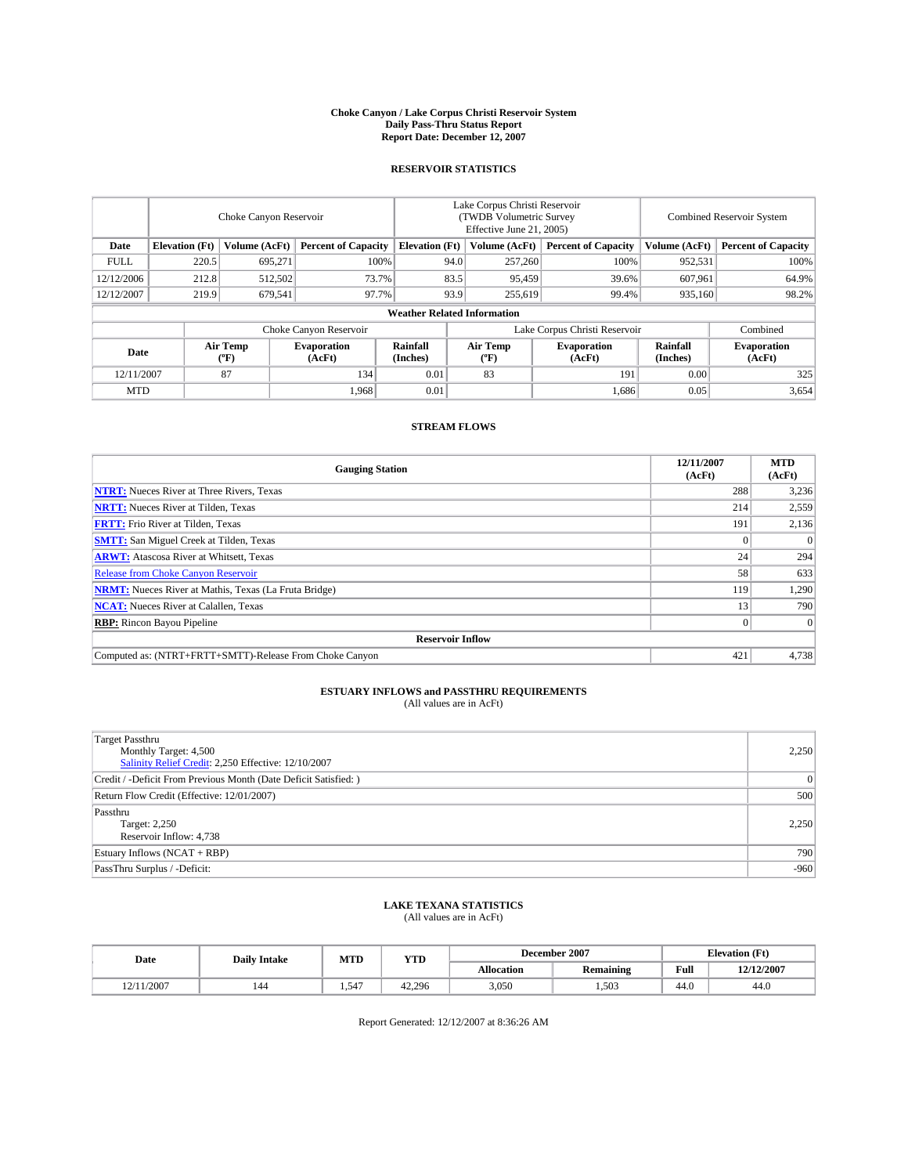#### **Choke Canyon / Lake Corpus Christi Reservoir System Daily Pass-Thru Status Report Report Date: December 12, 2007**

### **RESERVOIR STATISTICS**

|             | Choke Canyon Reservoir             |                         |                              |                       | Lake Corpus Christi Reservoir<br>(TWDB Volumetric Survey<br>Effective June 21, 2005) |                  |                               | Combined Reservoir System |                              |  |
|-------------|------------------------------------|-------------------------|------------------------------|-----------------------|--------------------------------------------------------------------------------------|------------------|-------------------------------|---------------------------|------------------------------|--|
| Date        | <b>Elevation</b> (Ft)              | Volume (AcFt)           | <b>Percent of Capacity</b>   | <b>Elevation</b> (Ft) |                                                                                      | Volume (AcFt)    | <b>Percent of Capacity</b>    | Volume (AcFt)             | <b>Percent of Capacity</b>   |  |
| <b>FULL</b> | 220.5                              | 695.271                 |                              | 100%                  | 94.0                                                                                 | 257,260          | 100%                          | 952,531                   | 100%                         |  |
| 12/12/2006  | 212.8                              | 512,502                 | 73.7%                        |                       | 83.5                                                                                 | 95,459           | 39.6%                         | 607.961                   | 64.9%                        |  |
| 12/12/2007  | 219.9                              | 679,541                 | 97.7%                        |                       | 93.9                                                                                 | 255,619          | 99.4%                         | 935,160                   | 98.2%                        |  |
|             | <b>Weather Related Information</b> |                         |                              |                       |                                                                                      |                  |                               |                           |                              |  |
|             |                                    |                         | Choke Canyon Reservoir       |                       |                                                                                      |                  | Lake Corpus Christi Reservoir |                           | Combined                     |  |
| Date        |                                    | <b>Air Temp</b><br>(°F) | <b>Evaporation</b><br>(AcFt) | Rainfall<br>(Inches)  |                                                                                      | Air Temp<br>("F) | <b>Evaporation</b><br>(AcFt)  | Rainfall<br>(Inches)      | <b>Evaporation</b><br>(AcFt) |  |
| 12/11/2007  |                                    | 87                      | 134                          | 0.01                  |                                                                                      | 83               | 191                           | 0.00                      | 325                          |  |
| <b>MTD</b>  |                                    |                         | 1,968                        | 0.01                  |                                                                                      |                  | 1,686                         | 0.05                      | 3,654                        |  |

## **STREAM FLOWS**

| <b>Gauging Station</b>                                       | 12/11/2007<br>(AcFt) | <b>MTD</b><br>(AcFt) |
|--------------------------------------------------------------|----------------------|----------------------|
| <b>NTRT:</b> Nueces River at Three Rivers, Texas             | 288                  | 3,236                |
| <b>NRTT:</b> Nueces River at Tilden, Texas                   | 214                  | 2,559                |
| <b>FRTT:</b> Frio River at Tilden, Texas                     | 191                  | 2,136                |
| <b>SMTT:</b> San Miguel Creek at Tilden, Texas               |                      | $\Omega$             |
| <b>ARWT:</b> Atascosa River at Whitsett, Texas               | 24 <sub>1</sub>      | 294                  |
| <b>Release from Choke Canyon Reservoir</b>                   | 58                   | 633                  |
| <b>NRMT:</b> Nueces River at Mathis, Texas (La Fruta Bridge) | 119                  | 1,290                |
| <b>NCAT:</b> Nueces River at Calallen, Texas                 | 13                   | 790                  |
| <b>RBP:</b> Rincon Bayou Pipeline                            |                      | $\Omega$             |
| <b>Reservoir Inflow</b>                                      |                      |                      |
| Computed as: (NTRT+FRTT+SMTT)-Release From Choke Canyon      | 421                  | 4.738                |

## **ESTUARY INFLOWS and PASSTHRU REQUIREMENTS**<br>(All values are in AcFt)

| Target Passthru<br>Monthly Target: 4,500<br>Salinity Relief Credit: 2,250 Effective: 12/10/2007 | 2,250        |
|-------------------------------------------------------------------------------------------------|--------------|
| Credit / -Deficit From Previous Month (Date Deficit Satisfied: )                                | $\mathbf{0}$ |
| Return Flow Credit (Effective: 12/01/2007)                                                      | 500          |
| Passthru<br>Target: 2,250<br>Reservoir Inflow: 4,738                                            | 2,250        |
| Estuary Inflows (NCAT + RBP)                                                                    | 790          |
| PassThru Surplus / -Deficit:                                                                    | $-960$       |

## **LAKE TEXANA STATISTICS** (All values are in AcFt)

| Date       | <b>Daily Intake</b> | MTD     | <b>YTD</b> |                   | December 2007    | <b>Elevation</b> (Ft) |            |
|------------|---------------------|---------|------------|-------------------|------------------|-----------------------|------------|
|            |                     |         |            | <b>Allocation</b> | <b>Remaining</b> | Full                  | 12/12/2007 |
| 12/11/2007 | 144                 | $1.54-$ | 42.296     | 3,050             | .503             | 44.0                  | 44.0       |

Report Generated: 12/12/2007 at 8:36:26 AM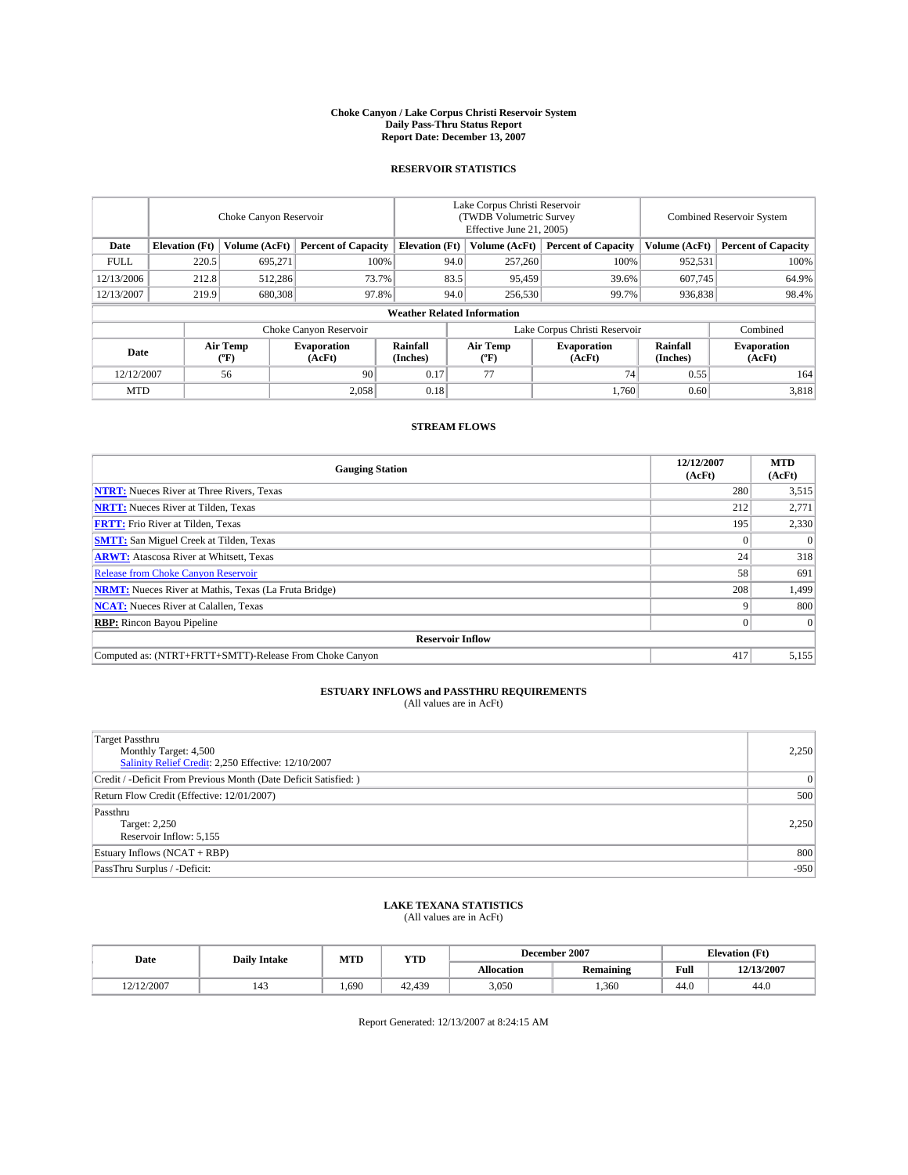#### **Choke Canyon / Lake Corpus Christi Reservoir System Daily Pass-Thru Status Report Report Date: December 13, 2007**

### **RESERVOIR STATISTICS**

|             | Choke Canyon Reservoir             |                         |                              |                       | Lake Corpus Christi Reservoir<br>(TWDB Volumetric Survey<br>Effective June 21, 2005) |                  |                               | Combined Reservoir System |                              |  |
|-------------|------------------------------------|-------------------------|------------------------------|-----------------------|--------------------------------------------------------------------------------------|------------------|-------------------------------|---------------------------|------------------------------|--|
| Date        | <b>Elevation</b> (Ft)              | Volume (AcFt)           | <b>Percent of Capacity</b>   | <b>Elevation</b> (Ft) |                                                                                      | Volume (AcFt)    | <b>Percent of Capacity</b>    | Volume (AcFt)             | <b>Percent of Capacity</b>   |  |
| <b>FULL</b> | 220.5                              | 695.271                 |                              | 100%                  | 94.0                                                                                 | 257,260          | 100%                          | 952,531                   | 100%                         |  |
| 12/13/2006  | 212.8                              | 512,286                 | 73.7%                        |                       | 83.5                                                                                 | 95,459           | 39.6%                         | 607.745                   | 64.9%                        |  |
| 12/13/2007  | 219.9                              | 680,308                 | 97.8%                        |                       | 94.0                                                                                 | 256,530          | 99.7%                         | 936.838                   | 98.4%                        |  |
|             | <b>Weather Related Information</b> |                         |                              |                       |                                                                                      |                  |                               |                           |                              |  |
|             |                                    |                         | Choke Canyon Reservoir       |                       |                                                                                      |                  | Lake Corpus Christi Reservoir |                           | Combined                     |  |
| Date        |                                    | <b>Air Temp</b><br>(°F) | <b>Evaporation</b><br>(AcFt) | Rainfall<br>(Inches)  |                                                                                      | Air Temp<br>("F) | <b>Evaporation</b><br>(AcFt)  | Rainfall<br>(Inches)      | <b>Evaporation</b><br>(AcFt) |  |
| 12/12/2007  |                                    | 56                      | 90                           | 0.17                  |                                                                                      | 77               | 74                            | 0.55                      | 164                          |  |
| <b>MTD</b>  |                                    |                         | 2,058                        | 0.18                  |                                                                                      |                  | 1.760                         | 0.60                      | 3,818                        |  |

## **STREAM FLOWS**

| <b>Gauging Station</b>                                       | 12/12/2007<br>(AcFt) | <b>MTD</b><br>(AcFt) |  |  |  |  |
|--------------------------------------------------------------|----------------------|----------------------|--|--|--|--|
| <b>NTRT:</b> Nueces River at Three Rivers, Texas             | 280                  | 3,515                |  |  |  |  |
| <b>NRTT:</b> Nueces River at Tilden, Texas                   | 212                  | 2,771                |  |  |  |  |
| <b>FRTT:</b> Frio River at Tilden, Texas                     | 195                  | 2,330                |  |  |  |  |
| <b>SMTT:</b> San Miguel Creek at Tilden, Texas               |                      | $\Omega$             |  |  |  |  |
| <b>ARWT:</b> Atascosa River at Whitsett, Texas               | 24                   | 318                  |  |  |  |  |
| <b>Release from Choke Canyon Reservoir</b>                   | 58                   | 691                  |  |  |  |  |
| <b>NRMT:</b> Nueces River at Mathis, Texas (La Fruta Bridge) | 208                  | 1,499                |  |  |  |  |
| <b>NCAT:</b> Nueces River at Calallen, Texas                 |                      | 800                  |  |  |  |  |
| <b>RBP:</b> Rincon Bayou Pipeline                            |                      | $\Omega$             |  |  |  |  |
| <b>Reservoir Inflow</b>                                      |                      |                      |  |  |  |  |
| Computed as: (NTRT+FRTT+SMTT)-Release From Choke Canyon      | 417                  | 5,155                |  |  |  |  |

## **ESTUARY INFLOWS and PASSTHRU REQUIREMENTS**<br>(All values are in AcFt)

| <b>Target Passthru</b><br>Monthly Target: 4,500<br>Salinity Relief Credit: 2,250 Effective: 12/10/2007 | 2,250          |
|--------------------------------------------------------------------------------------------------------|----------------|
| Credit / -Deficit From Previous Month (Date Deficit Satisfied: )                                       | $\overline{0}$ |
| Return Flow Credit (Effective: 12/01/2007)                                                             | 500            |
| Passthru<br>Target: 2,250<br>Reservoir Inflow: 5,155                                                   | 2.250          |
| Estuary Inflows (NCAT + RBP)                                                                           | 800            |
| PassThru Surplus / -Deficit:                                                                           | $-950$         |

# **LAKE TEXANA STATISTICS** (All values are in AcFt)

| Date       | <b>Daily Intake</b>   | MTD  | <b>YTD</b> |                   | December 2007    | <b>Elevation (Ft)</b> |            |
|------------|-----------------------|------|------------|-------------------|------------------|-----------------------|------------|
|            |                       |      |            | <b>Allocation</b> | <b>Remaining</b> | Full                  | 12/13/2007 |
| 12/12/2007 | $\overline{A}$<br>143 | .690 | 42.439     | 3,050             | .360             | 44.0                  | 44.0       |

Report Generated: 12/13/2007 at 8:24:15 AM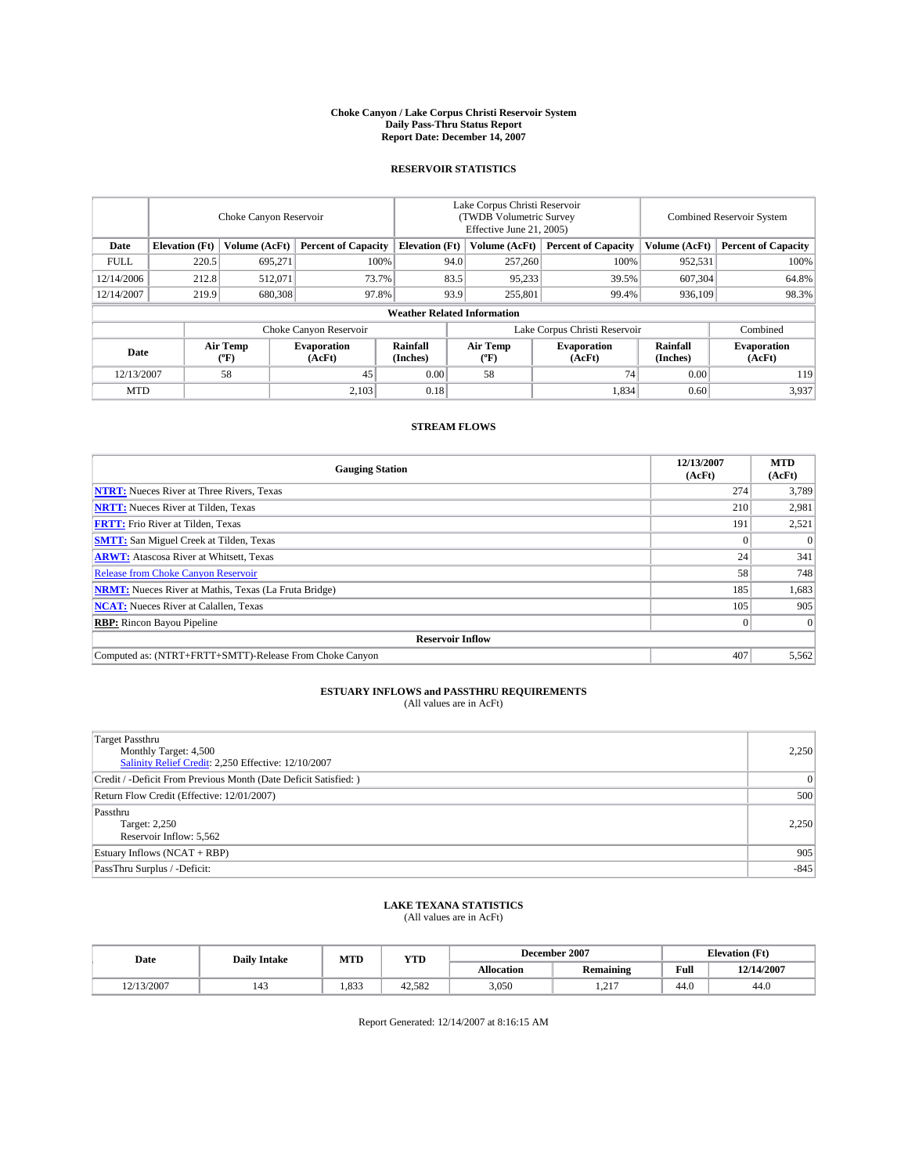#### **Choke Canyon / Lake Corpus Christi Reservoir System Daily Pass-Thru Status Report Report Date: December 14, 2007**

### **RESERVOIR STATISTICS**

|             | Choke Canyon Reservoir             |                  |                              |                       | Lake Corpus Christi Reservoir<br>(TWDB Volumetric Survey<br>Effective June 21, 2005) |                  |                               | Combined Reservoir System |                              |  |
|-------------|------------------------------------|------------------|------------------------------|-----------------------|--------------------------------------------------------------------------------------|------------------|-------------------------------|---------------------------|------------------------------|--|
| Date        | <b>Elevation</b> (Ft)              | Volume (AcFt)    | <b>Percent of Capacity</b>   | <b>Elevation</b> (Ft) |                                                                                      | Volume (AcFt)    | <b>Percent of Capacity</b>    | Volume (AcFt)             | <b>Percent of Capacity</b>   |  |
| <b>FULL</b> | 220.5                              | 695,271          | 100%                         |                       | 94.0                                                                                 | 257,260          | 100%                          | 952,531                   | 100%                         |  |
| 12/14/2006  | 212.8                              | 512.071          | 73.7%                        |                       | 83.5                                                                                 | 95,233           | 39.5%                         | 607,304                   | 64.8%                        |  |
| 12/14/2007  | 219.9                              | 680,308          | 97.8%                        |                       | 93.9                                                                                 | 255,801          | 99.4%                         | 936,109                   | 98.3%                        |  |
|             | <b>Weather Related Information</b> |                  |                              |                       |                                                                                      |                  |                               |                           |                              |  |
|             |                                    |                  | Choke Canyon Reservoir       |                       |                                                                                      |                  | Lake Corpus Christi Reservoir |                           | Combined                     |  |
| Date        |                                    | Air Temp<br>(°F) | <b>Evaporation</b><br>(AcFt) | Rainfall<br>(Inches)  |                                                                                      | Air Temp<br>("F) | <b>Evaporation</b><br>(AcFt)  | Rainfall<br>(Inches)      | <b>Evaporation</b><br>(AcFt) |  |
| 12/13/2007  |                                    | 58               | 45                           | 0.00                  |                                                                                      | 58               | 74 <sub>1</sub>               | 0.00                      | 119                          |  |
| <b>MTD</b>  |                                    |                  | 2,103                        | 0.18                  |                                                                                      |                  | 1,834                         | 0.60                      | 3,937                        |  |

### **STREAM FLOWS**

| <b>Gauging Station</b>                                       | 12/13/2007<br>(AcFt) | <b>MTD</b><br>(AcFt) |
|--------------------------------------------------------------|----------------------|----------------------|
| <b>NTRT:</b> Nueces River at Three Rivers, Texas             | 274                  | 3,789                |
| <b>NRTT:</b> Nueces River at Tilden, Texas                   | 210                  | 2,981                |
| <b>FRTT:</b> Frio River at Tilden, Texas                     | 191                  | 2,521                |
| <b>SMTT:</b> San Miguel Creek at Tilden, Texas               |                      | $\Omega$             |
| <b>ARWT:</b> Atascosa River at Whitsett, Texas               | 24                   | 341                  |
| <b>Release from Choke Canyon Reservoir</b>                   | 58                   | 748                  |
| <b>NRMT:</b> Nueces River at Mathis, Texas (La Fruta Bridge) | 185                  | 1,683                |
| <b>NCAT:</b> Nueces River at Calallen, Texas                 | 105                  | 905                  |
| <b>RBP:</b> Rincon Bayou Pipeline                            |                      | $\Omega$             |
| <b>Reservoir Inflow</b>                                      |                      |                      |
| Computed as: (NTRT+FRTT+SMTT)-Release From Choke Canyon      | 407                  | 5,562                |

## **ESTUARY INFLOWS and PASSTHRU REQUIREMENTS**<br>(All values are in AcFt)

| <b>Target Passthru</b><br>Monthly Target: 4,500<br>Salinity Relief Credit: 2,250 Effective: 12/10/2007 | 2,250          |
|--------------------------------------------------------------------------------------------------------|----------------|
| Credit / -Deficit From Previous Month (Date Deficit Satisfied: )                                       | $\overline{0}$ |
| Return Flow Credit (Effective: 12/01/2007)                                                             | 500            |
| Passthru<br>Target: 2,250<br>Reservoir Inflow: 5,562                                                   | 2.250          |
| Estuary Inflows (NCAT + RBP)                                                                           | 905            |
| PassThru Surplus / -Deficit:                                                                           | $-845$         |

## **LAKE TEXANA STATISTICS** (All values are in AcFt)

| Date       | <b>Daily Intake</b>   | MTD   | <b>YTD</b> |                   | December 2007           | <b>Elevation (Ft)</b> |            |
|------------|-----------------------|-------|------------|-------------------|-------------------------|-----------------------|------------|
|            |                       |       |            | <b>Allocation</b> | <b>Remaining</b>        | Full                  | 12/14/2007 |
| 12/13/2007 | $\overline{A}$<br>143 | 1.833 | 42.582     | 3,050             | $\sim$ 1 $\sim$<br>1.41 | 44.0                  | 44.0       |

Report Generated: 12/14/2007 at 8:16:15 AM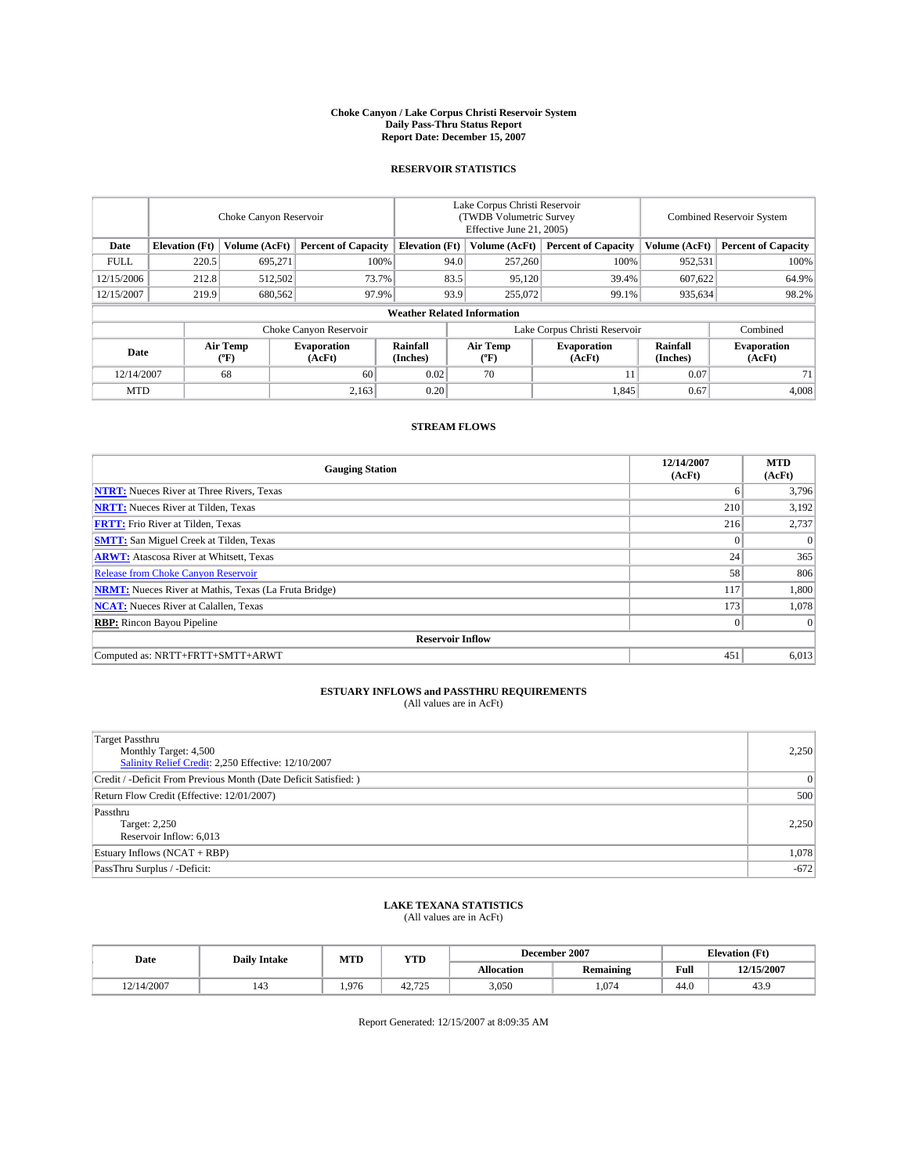#### **Choke Canyon / Lake Corpus Christi Reservoir System Daily Pass-Thru Status Report Report Date: December 15, 2007**

### **RESERVOIR STATISTICS**

|             | Choke Canyon Reservoir             |                         |                              |                       | Lake Corpus Christi Reservoir<br>(TWDB Volumetric Survey<br>Effective June 21, 2005) |                  |                               | Combined Reservoir System |                              |  |
|-------------|------------------------------------|-------------------------|------------------------------|-----------------------|--------------------------------------------------------------------------------------|------------------|-------------------------------|---------------------------|------------------------------|--|
| Date        | <b>Elevation</b> (Ft)              | Volume (AcFt)           | <b>Percent of Capacity</b>   | <b>Elevation</b> (Ft) |                                                                                      | Volume (AcFt)    | <b>Percent of Capacity</b>    | Volume (AcFt)             | <b>Percent of Capacity</b>   |  |
| <b>FULL</b> | 220.5                              | 695.271                 |                              | 100%                  | 94.0                                                                                 | 257,260          | 100%                          | 952,531                   | 100%                         |  |
| 12/15/2006  | 212.8                              | 512,502                 | 73.7%                        |                       | 83.5                                                                                 | 95,120           | 39.4%                         | 607,622                   | 64.9%                        |  |
| 12/15/2007  | 219.9                              | 680,562                 | 97.9%                        |                       | 93.9                                                                                 | 255,072          | 99.1%                         | 935,634                   | 98.2%                        |  |
|             | <b>Weather Related Information</b> |                         |                              |                       |                                                                                      |                  |                               |                           |                              |  |
|             |                                    |                         | Choke Canyon Reservoir       |                       |                                                                                      |                  | Lake Corpus Christi Reservoir |                           | Combined                     |  |
| Date        |                                    | <b>Air Temp</b><br>(°F) | <b>Evaporation</b><br>(AcFt) | Rainfall<br>(Inches)  |                                                                                      | Air Temp<br>("F) | <b>Evaporation</b><br>(AcFt)  | Rainfall<br>(Inches)      | <b>Evaporation</b><br>(AcFt) |  |
| 12/14/2007  |                                    | 68                      | 60                           | 0.02                  |                                                                                      | 70               |                               | 0.07                      | 71                           |  |
| <b>MTD</b>  |                                    |                         | 2,163                        | 0.20                  |                                                                                      |                  | 1,845                         | 0.67                      | 4,008                        |  |

## **STREAM FLOWS**

| <b>Gauging Station</b>                                       | 12/14/2007<br>(AcFt) | <b>MTD</b><br>(AcFt) |
|--------------------------------------------------------------|----------------------|----------------------|
| <b>NTRT:</b> Nueces River at Three Rivers, Texas             | 6                    | 3,796                |
| <b>NRTT:</b> Nueces River at Tilden, Texas                   | 210                  | 3,192                |
| <b>FRTT:</b> Frio River at Tilden, Texas                     | 216                  | 2,737                |
| <b>SMTT:</b> San Miguel Creek at Tilden, Texas               | $\theta$             | $\Omega$             |
| <b>ARWT:</b> Atascosa River at Whitsett, Texas               | 24                   | 365                  |
| <b>Release from Choke Canyon Reservoir</b>                   | 58                   | 806                  |
| <b>NRMT:</b> Nueces River at Mathis, Texas (La Fruta Bridge) | 117                  | 1,800                |
| <b>NCAT:</b> Nueces River at Calallen, Texas                 | 173                  | 1,078                |
| <b>RBP:</b> Rincon Bayou Pipeline                            | $\overline{0}$       | $\Omega$             |
| <b>Reservoir Inflow</b>                                      |                      |                      |
| Computed as: NRTT+FRTT+SMTT+ARWT                             | 451                  | 6,013                |

# **ESTUARY INFLOWS and PASSTHRU REQUIREMENTS**<br>(All values are in AcFt)

| Target Passthru<br>Monthly Target: 4,500<br>Salinity Relief Credit: 2,250 Effective: 12/10/2007 | 2,250        |
|-------------------------------------------------------------------------------------------------|--------------|
| Credit / -Deficit From Previous Month (Date Deficit Satisfied: )                                | $\mathbf{0}$ |
| Return Flow Credit (Effective: 12/01/2007)                                                      | 500          |
| Passthru<br>Target: 2,250<br>Reservoir Inflow: 6,013                                            | 2,250        |
| Estuary Inflows (NCAT + RBP)                                                                    | 1,078        |
| PassThru Surplus / -Deficit:                                                                    | $-672$       |

## **LAKE TEXANA STATISTICS** (All values are in AcFt)

| Date       | <b>Daily Intake</b> | MTD   | <b>YTD</b>       |            | December 2007    | <b>Elevation</b> (Ft) |            |
|------------|---------------------|-------|------------------|------------|------------------|-----------------------|------------|
|            |                     |       |                  | Allocation | <b>Remaining</b> | Full                  | 12/15/2007 |
| 12/14/2007 | 143                 | 1.976 | 12.725<br>42.129 | 3.050      | .074             | 44.0                  | 43.9       |

Report Generated: 12/15/2007 at 8:09:35 AM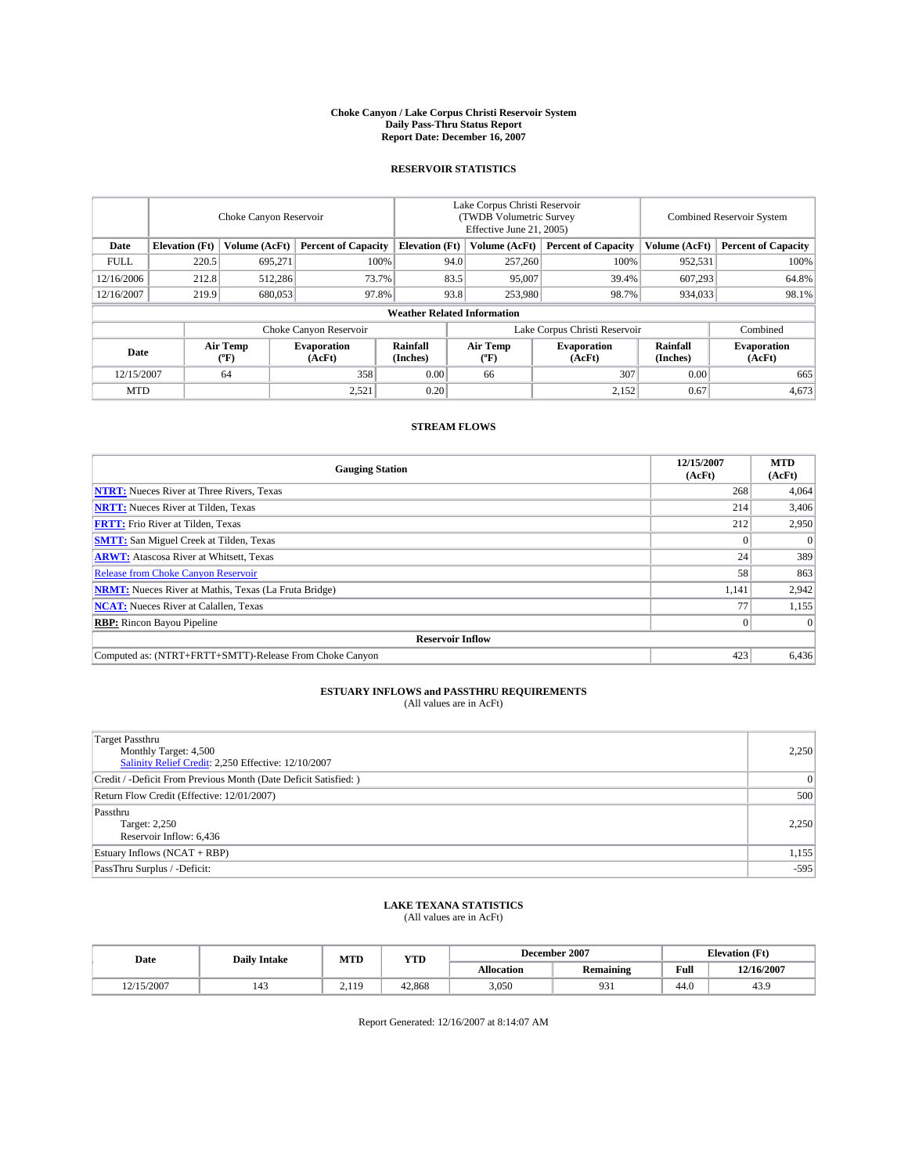#### **Choke Canyon / Lake Corpus Christi Reservoir System Daily Pass-Thru Status Report Report Date: December 16, 2007**

### **RESERVOIR STATISTICS**

|             | Choke Canyon Reservoir             |                  |                              |                       | Lake Corpus Christi Reservoir<br>(TWDB Volumetric Survey<br>Effective June 21, 2005) |                  |                               | <b>Combined Reservoir System</b> |                              |  |
|-------------|------------------------------------|------------------|------------------------------|-----------------------|--------------------------------------------------------------------------------------|------------------|-------------------------------|----------------------------------|------------------------------|--|
| Date        | <b>Elevation</b> (Ft)              | Volume (AcFt)    | <b>Percent of Capacity</b>   | <b>Elevation</b> (Ft) |                                                                                      | Volume (AcFt)    | <b>Percent of Capacity</b>    | Volume (AcFt)                    | <b>Percent of Capacity</b>   |  |
| <b>FULL</b> | 220.5                              | 695.271          |                              | 100%                  | 94.0                                                                                 | 257,260          | 100%                          | 952,531                          | 100%                         |  |
| 12/16/2006  | 212.8                              | 512,286          |                              | 73.7%                 | 83.5                                                                                 | 95,007           | 39.4%                         | 607.293                          | 64.8%                        |  |
| 12/16/2007  | 219.9                              | 680,053          |                              | 97.8%                 | 93.8                                                                                 | 253,980          | 98.7%                         | 934.033                          | 98.1%                        |  |
|             | <b>Weather Related Information</b> |                  |                              |                       |                                                                                      |                  |                               |                                  |                              |  |
|             |                                    |                  | Choke Canyon Reservoir       |                       |                                                                                      |                  | Lake Corpus Christi Reservoir |                                  | Combined                     |  |
| Date        |                                    | Air Temp<br>(°F) | <b>Evaporation</b><br>(AcFt) | Rainfall<br>(Inches)  |                                                                                      | Air Temp<br>("F) | <b>Evaporation</b><br>(AcFt)  | Rainfall<br>(Inches)             | <b>Evaporation</b><br>(AcFt) |  |
| 12/15/2007  |                                    | 64               | 358                          | 0.00                  |                                                                                      | 66               | 307                           | 0.00                             | 665                          |  |
| <b>MTD</b>  |                                    |                  | 2,521                        | 0.20                  |                                                                                      |                  | 2,152                         | 0.67                             | 4,673                        |  |

## **STREAM FLOWS**

| <b>Gauging Station</b>                                       | 12/15/2007<br>(AcFt) | <b>MTD</b><br>(AcFt) |
|--------------------------------------------------------------|----------------------|----------------------|
| <b>NTRT:</b> Nueces River at Three Rivers, Texas             | 268                  | 4,064                |
| <b>NRTT:</b> Nueces River at Tilden, Texas                   | 214                  | 3,406                |
| <b>FRTT:</b> Frio River at Tilden, Texas                     | 212                  | 2,950                |
| <b>SMTT:</b> San Miguel Creek at Tilden, Texas               |                      | $\Omega$             |
| <b>ARWT:</b> Atascosa River at Whitsett, Texas               | 24                   | 389                  |
| <b>Release from Choke Canyon Reservoir</b>                   | 58                   | 863                  |
| <b>NRMT:</b> Nueces River at Mathis, Texas (La Fruta Bridge) | 1,141                | 2,942                |
| <b>NCAT:</b> Nueces River at Calallen, Texas                 |                      | 1,155                |
| <b>RBP:</b> Rincon Bayou Pipeline                            |                      | $\Omega$             |
| <b>Reservoir Inflow</b>                                      |                      |                      |
| Computed as: (NTRT+FRTT+SMTT)-Release From Choke Canyon      | 423                  | 6,436                |

# **ESTUARY INFLOWS and PASSTHRU REQUIREMENTS**<br>(All values are in AcFt)

| <b>Target Passthru</b><br>Monthly Target: 4,500<br>Salinity Relief Credit: 2,250 Effective: 12/10/2007 | 2,250          |
|--------------------------------------------------------------------------------------------------------|----------------|
| Credit / -Deficit From Previous Month (Date Deficit Satisfied: )                                       | $\overline{0}$ |
| Return Flow Credit (Effective: 12/01/2007)                                                             | 500            |
| Passthru<br>Target: 2,250<br>Reservoir Inflow: 6,436                                                   | 2.250          |
| Estuary Inflows (NCAT + RBP)                                                                           | 1,155          |
| PassThru Surplus / -Deficit:                                                                           | $-595$         |

## **LAKE TEXANA STATISTICS** (All values are in AcFt)

| Date       | <b>Daily Intake</b> | MTD | YTD    |            | December 2007    |      | <b>Elevation (Ft)</b>  |
|------------|---------------------|-----|--------|------------|------------------|------|------------------------|
|            |                     |     |        | Allocation | <b>Remaining</b> | Full | 12/16/2007             |
| 12/15/2007 | 143                 | 119 | 42.868 | 3,050      | 931              | 44.0 | 2 <sub>0</sub><br>49.3 |

Report Generated: 12/16/2007 at 8:14:07 AM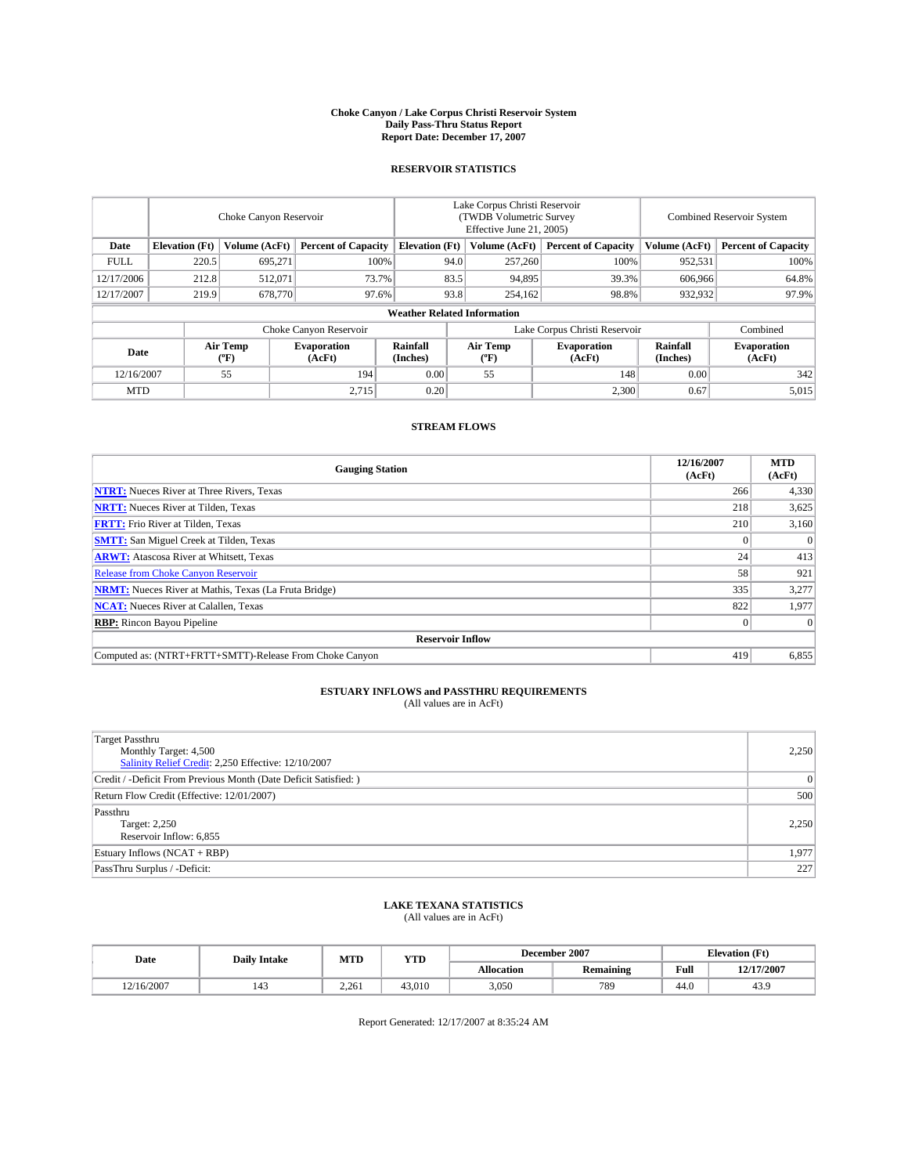#### **Choke Canyon / Lake Corpus Christi Reservoir System Daily Pass-Thru Status Report Report Date: December 17, 2007**

### **RESERVOIR STATISTICS**

|             | Choke Canyon Reservoir |                         |                              |                                    | Lake Corpus Christi Reservoir<br>(TWDB Volumetric Survey<br>Effective June 21, 2005) |                  |                               | Combined Reservoir System |                              |  |
|-------------|------------------------|-------------------------|------------------------------|------------------------------------|--------------------------------------------------------------------------------------|------------------|-------------------------------|---------------------------|------------------------------|--|
| Date        | <b>Elevation</b> (Ft)  | Volume (AcFt)           | <b>Percent of Capacity</b>   | <b>Elevation</b> (Ft)              |                                                                                      | Volume (AcFt)    | <b>Percent of Capacity</b>    | Volume (AcFt)             | <b>Percent of Capacity</b>   |  |
| <b>FULL</b> | 220.5                  | 695.271                 |                              | 100%                               | 94.0                                                                                 | 257,260          | 100%                          | 952,531                   | 100%                         |  |
| 12/17/2006  | 212.8                  | 512,071                 | 73.7%                        |                                    | 83.5                                                                                 | 94,895           | 39.3%                         | 606,966                   | 64.8%                        |  |
| 12/17/2007  | 219.9                  | 678,770                 | 97.6%                        |                                    | 93.8                                                                                 | 254,162          | 98.8%                         | 932,932                   | 97.9%                        |  |
|             |                        |                         |                              | <b>Weather Related Information</b> |                                                                                      |                  |                               |                           |                              |  |
|             |                        |                         | Choke Canyon Reservoir       |                                    |                                                                                      |                  | Lake Corpus Christi Reservoir |                           | Combined                     |  |
| Date        |                        | <b>Air Temp</b><br>(°F) | <b>Evaporation</b><br>(AcFt) | Rainfall<br>(Inches)               |                                                                                      | Air Temp<br>("F) | <b>Evaporation</b><br>(AcFt)  | Rainfall<br>(Inches)      | <b>Evaporation</b><br>(AcFt) |  |
| 12/16/2007  |                        | 55                      | 194                          | 0.00                               |                                                                                      | 55               | 148                           | 0.00                      | 342                          |  |
| <b>MTD</b>  |                        |                         | 2,715                        | 0.20                               |                                                                                      |                  | 2,300                         | 0.67                      | 5,015                        |  |

## **STREAM FLOWS**

| <b>Gauging Station</b>                                       | 12/16/2007<br>(AcFt) | <b>MTD</b><br>(AcFt) |
|--------------------------------------------------------------|----------------------|----------------------|
| <b>NTRT:</b> Nueces River at Three Rivers, Texas             | 266                  | 4,330                |
| <b>NRTT:</b> Nueces River at Tilden, Texas                   | 218                  | 3,625                |
| <b>FRTT:</b> Frio River at Tilden, Texas                     | 210                  | 3,160                |
| <b>SMTT:</b> San Miguel Creek at Tilden, Texas               |                      | $\Omega$             |
| <b>ARWT:</b> Atascosa River at Whitsett, Texas               | 24                   | 413                  |
| <b>Release from Choke Canyon Reservoir</b>                   | 58                   | 921                  |
| <b>NRMT:</b> Nueces River at Mathis, Texas (La Fruta Bridge) | 335                  | 3,277                |
| <b>NCAT:</b> Nueces River at Calallen, Texas                 | 822                  | 1,977                |
| <b>RBP:</b> Rincon Bayou Pipeline                            |                      | $\Omega$             |
| <b>Reservoir Inflow</b>                                      |                      |                      |
| Computed as: (NTRT+FRTT+SMTT)-Release From Choke Canyon      | 419                  | 6,855                |

# **ESTUARY INFLOWS and PASSTHRU REQUIREMENTS**<br>(All values are in AcFt)

| Target Passthru<br>Monthly Target: 4,500<br>Salinity Relief Credit: 2,250 Effective: 12/10/2007 | 2,250 |
|-------------------------------------------------------------------------------------------------|-------|
| Credit / -Deficit From Previous Month (Date Deficit Satisfied: )                                | 0     |
| Return Flow Credit (Effective: 12/01/2007)                                                      | 500   |
| Passthru<br>Target: 2,250<br>Reservoir Inflow: 6,855                                            | 2,250 |
| Estuary Inflows (NCAT + RBP)                                                                    | 1,977 |
| PassThru Surplus / -Deficit:                                                                    | 227   |

## **LAKE TEXANA STATISTICS** (All values are in AcFt)

| Date       | <b>Daily Intake</b>   | MTD   | <b>YTD</b> |                   | December 2007    | <b>Elevation (Ft)</b> |            |
|------------|-----------------------|-------|------------|-------------------|------------------|-----------------------|------------|
|            |                       |       |            | <b>Allocation</b> | <b>Remaining</b> | Full                  | 12/17/2007 |
| 12/16/2007 | $\overline{A}$<br>143 | 2.261 | 43.010     | 3.050             | 789              | 44.0                  | +3.9       |

Report Generated: 12/17/2007 at 8:35:24 AM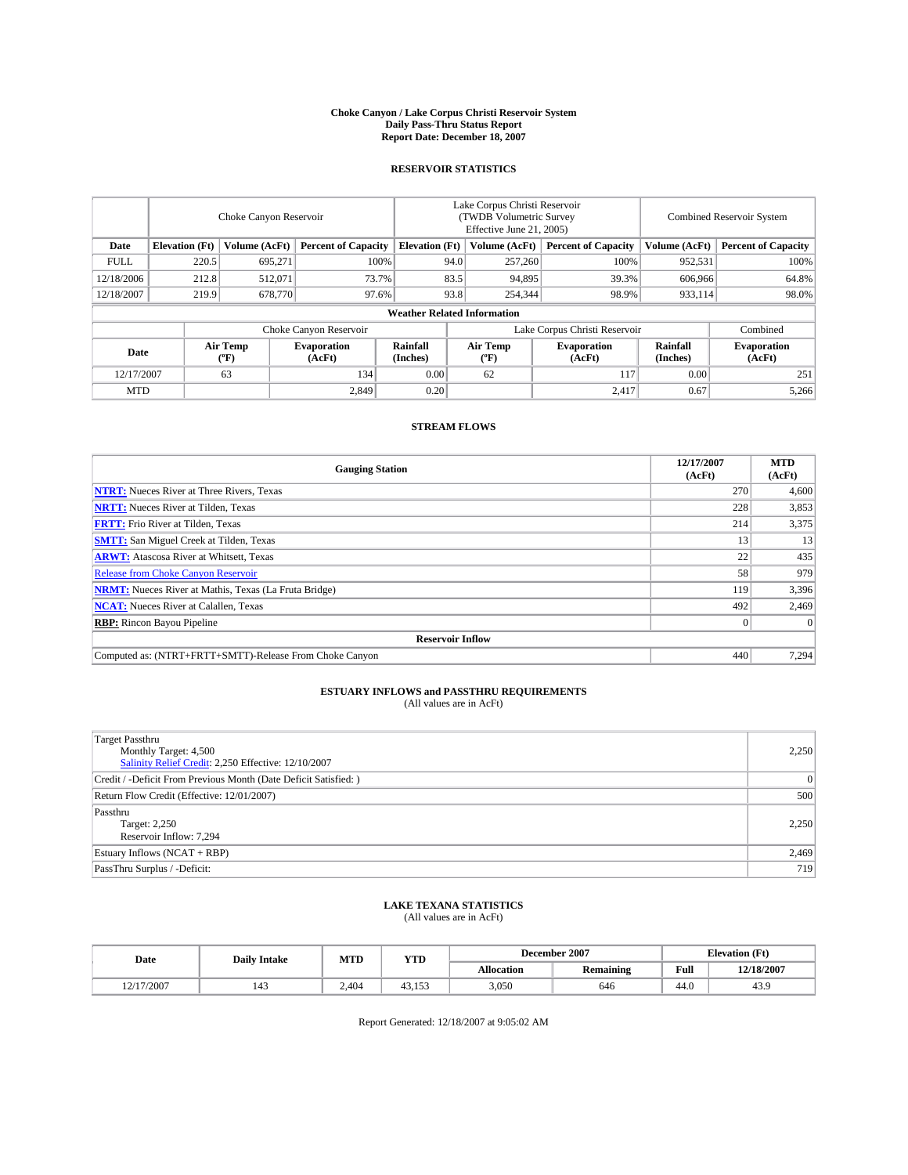#### **Choke Canyon / Lake Corpus Christi Reservoir System Daily Pass-Thru Status Report Report Date: December 18, 2007**

### **RESERVOIR STATISTICS**

|             | Choke Canyon Reservoir |                  |                              |                                    | Lake Corpus Christi Reservoir<br>(TWDB Volumetric Survey<br>Effective June 21, 2005) |                  |                               | Combined Reservoir System |                              |  |
|-------------|------------------------|------------------|------------------------------|------------------------------------|--------------------------------------------------------------------------------------|------------------|-------------------------------|---------------------------|------------------------------|--|
| Date        | <b>Elevation</b> (Ft)  | Volume (AcFt)    | <b>Percent of Capacity</b>   | <b>Elevation</b> (Ft)              |                                                                                      | Volume (AcFt)    | <b>Percent of Capacity</b>    | Volume (AcFt)             | <b>Percent of Capacity</b>   |  |
| <b>FULL</b> | 220.5                  | 695,271          |                              | 100%                               | 94.0                                                                                 | 257,260          | 100%                          | 952,531                   | 100%                         |  |
| 12/18/2006  | 212.8                  | 512,071          | 73.7%                        |                                    | 83.5                                                                                 | 94,895           | 39.3%                         | 606,966                   | 64.8%                        |  |
| 12/18/2007  | 219.9                  | 678,770          | 97.6%                        |                                    | 93.8                                                                                 | 254,344          | 98.9%                         | 933,114                   | 98.0%                        |  |
|             |                        |                  |                              | <b>Weather Related Information</b> |                                                                                      |                  |                               |                           |                              |  |
|             |                        |                  | Choke Canyon Reservoir       |                                    |                                                                                      |                  | Lake Corpus Christi Reservoir |                           | Combined                     |  |
| Date        |                        | Air Temp<br>(°F) | <b>Evaporation</b><br>(AcFt) | Rainfall<br>(Inches)               |                                                                                      | Air Temp<br>("F) | <b>Evaporation</b><br>(AcFt)  | Rainfall<br>(Inches)      | <b>Evaporation</b><br>(AcFt) |  |
| 12/17/2007  |                        | 63               | 134                          | 0.00                               |                                                                                      | 62               | 117                           | 0.00                      | 251                          |  |
| <b>MTD</b>  |                        |                  | 2,849                        | 0.20                               |                                                                                      |                  | 2,417                         | 0.67                      | 5,266                        |  |

## **STREAM FLOWS**

| <b>Gauging Station</b>                                       | 12/17/2007<br>(AcFt) | <b>MTD</b><br>(AcFt) |
|--------------------------------------------------------------|----------------------|----------------------|
| <b>NTRT:</b> Nueces River at Three Rivers, Texas             | 270                  | 4,600                |
| <b>NRTT:</b> Nueces River at Tilden, Texas                   | 228                  | 3,853                |
| <b>FRTT:</b> Frio River at Tilden, Texas                     | 214                  | 3,375                |
| <b>SMTT:</b> San Miguel Creek at Tilden, Texas               | 13                   | 13                   |
| <b>ARWT:</b> Atascosa River at Whitsett, Texas               | 22                   | 435                  |
| <b>Release from Choke Canyon Reservoir</b>                   | 58                   | 979                  |
| <b>NRMT:</b> Nueces River at Mathis, Texas (La Fruta Bridge) | 119                  | 3,396                |
| <b>NCAT:</b> Nueces River at Calallen, Texas                 | 492                  | 2,469                |
| <b>RBP:</b> Rincon Bayou Pipeline                            |                      | $\Omega$             |
| <b>Reservoir Inflow</b>                                      |                      |                      |
| Computed as: (NTRT+FRTT+SMTT)-Release From Choke Canyon      | 440                  | 7,294                |

# **ESTUARY INFLOWS and PASSTHRU REQUIREMENTS**<br>(All values are in AcFt)

| <b>Target Passthru</b><br>Monthly Target: 4,500<br>Salinity Relief Credit: 2,250 Effective: 12/10/2007 | 2,250          |
|--------------------------------------------------------------------------------------------------------|----------------|
| Credit / -Deficit From Previous Month (Date Deficit Satisfied: )                                       | $\overline{0}$ |
| Return Flow Credit (Effective: 12/01/2007)                                                             | 500            |
| Passthru<br>Target: 2,250<br>Reservoir Inflow: 7,294                                                   | 2.250          |
| Estuary Inflows (NCAT + RBP)                                                                           | 2,469          |
| PassThru Surplus / -Deficit:                                                                           | 719            |

## **LAKE TEXANA STATISTICS** (All values are in AcFt)

| Date       | <b>Daily Intake</b>   | MTD   | <b>YTD</b> |                   | December 2007    | <b>Elevation (Ft)</b> |            |
|------------|-----------------------|-------|------------|-------------------|------------------|-----------------------|------------|
|            |                       |       |            | <b>Allocation</b> | <b>Remaining</b> | Full                  | 12/18/2007 |
| 12/17/2007 | $\overline{A}$<br>143 | 2.404 | 43.15      | 3,050             | 646              | 44.0                  | 43.9       |

Report Generated: 12/18/2007 at 9:05:02 AM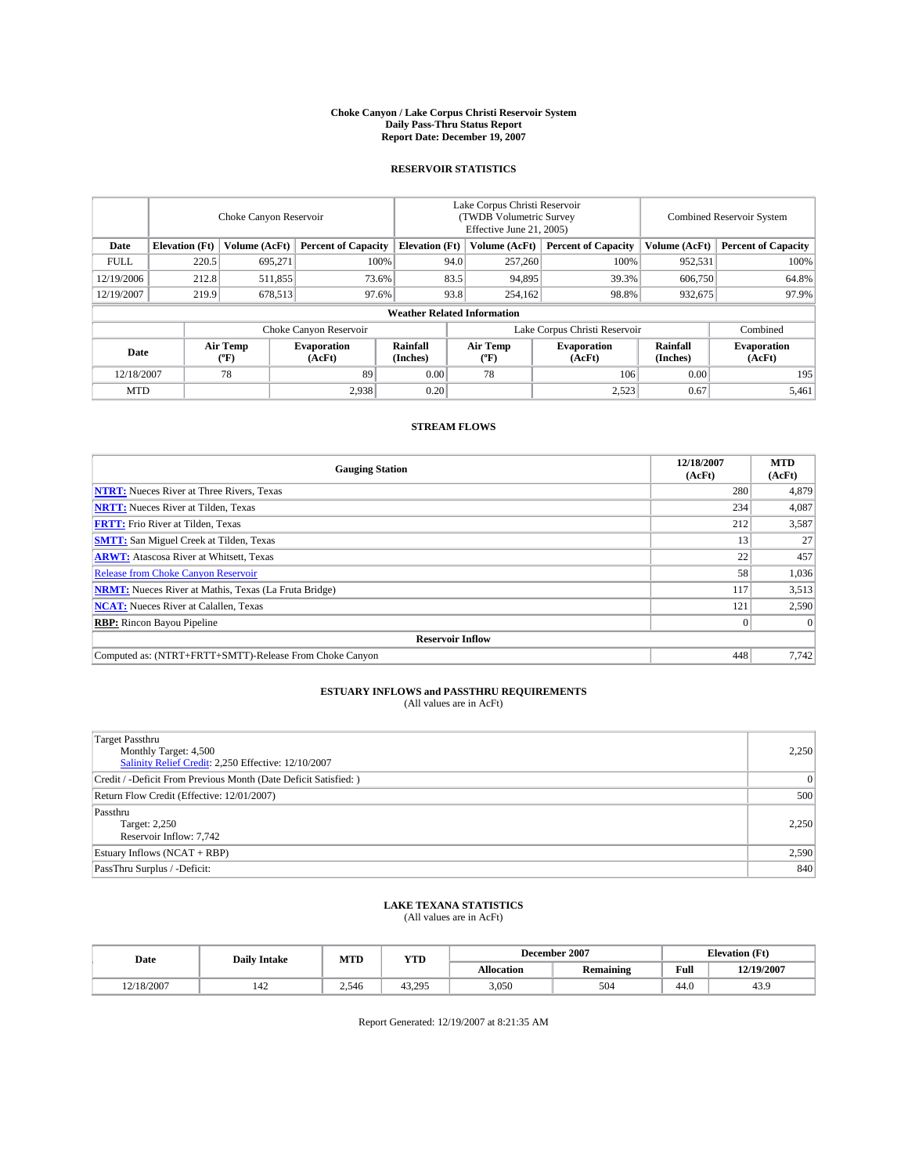#### **Choke Canyon / Lake Corpus Christi Reservoir System Daily Pass-Thru Status Report Report Date: December 19, 2007**

### **RESERVOIR STATISTICS**

|             | Choke Canyon Reservoir |                         |                              |                                    | Lake Corpus Christi Reservoir<br>(TWDB Volumetric Survey<br>Effective June 21, 2005) |                  |                               |                      | Combined Reservoir System    |  |  |
|-------------|------------------------|-------------------------|------------------------------|------------------------------------|--------------------------------------------------------------------------------------|------------------|-------------------------------|----------------------|------------------------------|--|--|
| Date        | <b>Elevation</b> (Ft)  | Volume (AcFt)           | <b>Percent of Capacity</b>   | <b>Elevation</b> (Ft)              |                                                                                      | Volume (AcFt)    | <b>Percent of Capacity</b>    | Volume (AcFt)        | <b>Percent of Capacity</b>   |  |  |
| <b>FULL</b> | 220.5                  | 695,271                 |                              | 100%                               | 94.0                                                                                 | 257,260          | 100%                          | 952,531              | 100%                         |  |  |
| 12/19/2006  | 212.8                  | 511,855                 | 73.6%                        |                                    | 83.5                                                                                 | 94,895           | 39.3%                         | 606,750              | 64.8%                        |  |  |
| 12/19/2007  | 219.9                  | 678,513                 | 97.6%                        |                                    | 93.8                                                                                 | 254,162          | 98.8%                         | 932,675              | 97.9%                        |  |  |
|             |                        |                         |                              | <b>Weather Related Information</b> |                                                                                      |                  |                               |                      |                              |  |  |
|             |                        |                         | Choke Canyon Reservoir       |                                    |                                                                                      |                  | Lake Corpus Christi Reservoir |                      | Combined                     |  |  |
| Date        |                        | <b>Air Temp</b><br>(°F) | <b>Evaporation</b><br>(AcFt) | Rainfall<br>(Inches)               |                                                                                      | Air Temp<br>("F) | <b>Evaporation</b><br>(AcFt)  | Rainfall<br>(Inches) | <b>Evaporation</b><br>(AcFt) |  |  |
| 12/18/2007  |                        | 78                      | 89                           | 0.00                               |                                                                                      | 78               | 106                           | 0.00                 | 195                          |  |  |
| <b>MTD</b>  |                        |                         | 2,938                        | 0.20                               |                                                                                      |                  | 2,523                         | 0.67                 | 5,461                        |  |  |

## **STREAM FLOWS**

| <b>Gauging Station</b>                                       | 12/18/2007<br>(AcFt) | <b>MTD</b><br>(AcFt) |
|--------------------------------------------------------------|----------------------|----------------------|
| <b>NTRT:</b> Nueces River at Three Rivers, Texas             | 280                  | 4,879                |
| <b>NRTT:</b> Nueces River at Tilden, Texas                   | 234                  | 4,087                |
| <b>FRTT:</b> Frio River at Tilden, Texas                     | 212                  | 3,587                |
| <b>SMTT:</b> San Miguel Creek at Tilden, Texas               | 13                   | 27                   |
| <b>ARWT:</b> Atascosa River at Whitsett, Texas               | 22                   | 457                  |
| <b>Release from Choke Canyon Reservoir</b>                   | 58                   | 1,036                |
| <b>NRMT:</b> Nueces River at Mathis, Texas (La Fruta Bridge) | 117                  | 3,513                |
| <b>NCAT:</b> Nueces River at Calallen, Texas                 | 121                  | 2,590                |
| <b>RBP:</b> Rincon Bayou Pipeline                            |                      | $\Omega$             |
| <b>Reservoir Inflow</b>                                      |                      |                      |
| Computed as: (NTRT+FRTT+SMTT)-Release From Choke Canyon      | 448                  | 7.742                |

## **ESTUARY INFLOWS and PASSTHRU REQUIREMENTS**<br>(All values are in AcFt)

| <b>Target Passthru</b><br>Monthly Target: 4,500<br>Salinity Relief Credit: 2,250 Effective: 12/10/2007 | 2,250 |
|--------------------------------------------------------------------------------------------------------|-------|
| Credit / -Deficit From Previous Month (Date Deficit Satisfied: )                                       | 0     |
| Return Flow Credit (Effective: 12/01/2007)                                                             | 500   |
| Passthru<br>Target: 2,250<br>Reservoir Inflow: 7,742                                                   | 2.250 |
| Estuary Inflows (NCAT + RBP)                                                                           | 2,590 |
| PassThru Surplus / -Deficit:                                                                           | 840   |

## **LAKE TEXANA STATISTICS** (All values are in AcFt)

| Date       | <b>Daily Intake</b>   | MTD   | <b>YTD</b> |                   | December 2007    | <b>Elevation (Ft)</b> |            |
|------------|-----------------------|-------|------------|-------------------|------------------|-----------------------|------------|
|            |                       |       |            | <b>Allocation</b> | <b>Remaining</b> | Full                  | 12/19/2007 |
| 12/18/2007 | $\overline{A}$<br>142 | 2.546 | 43.295     | 3,050             | 504              | 44.0                  | 43.9       |

Report Generated: 12/19/2007 at 8:21:35 AM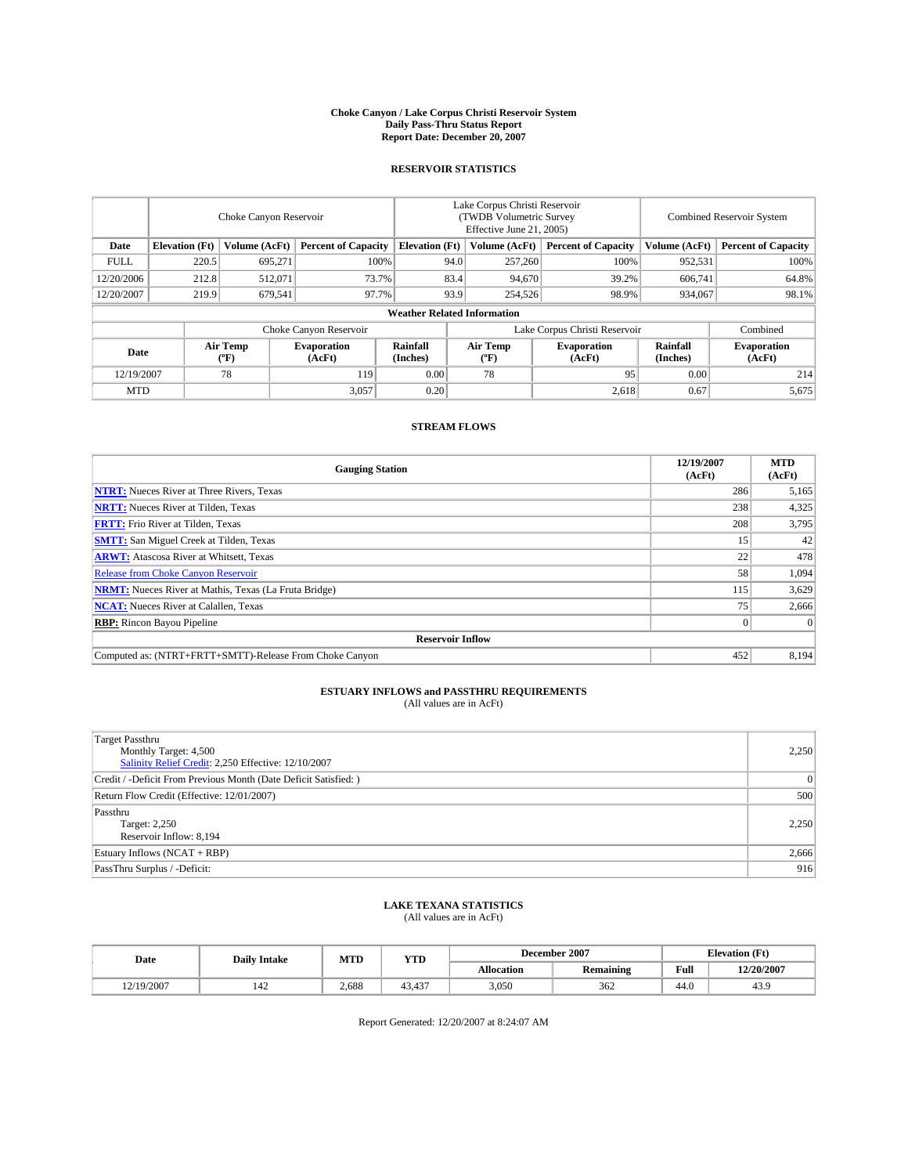#### **Choke Canyon / Lake Corpus Christi Reservoir System Daily Pass-Thru Status Report Report Date: December 20, 2007**

### **RESERVOIR STATISTICS**

|             | Choke Canyon Reservoir |                         |                              |                                    | Lake Corpus Christi Reservoir<br>(TWDB Volumetric Survey<br>Effective June 21, 2005) |                  |                               | Combined Reservoir System |                              |  |
|-------------|------------------------|-------------------------|------------------------------|------------------------------------|--------------------------------------------------------------------------------------|------------------|-------------------------------|---------------------------|------------------------------|--|
| Date        | <b>Elevation</b> (Ft)  | Volume (AcFt)           | <b>Percent of Capacity</b>   | <b>Elevation</b> (Ft)              |                                                                                      | Volume (AcFt)    | <b>Percent of Capacity</b>    | Volume (AcFt)             | <b>Percent of Capacity</b>   |  |
| <b>FULL</b> | 220.5                  | 695,271                 |                              | 100%                               | 94.0                                                                                 | 257,260          | 100%                          | 952,531                   | 100%                         |  |
| 12/20/2006  | 212.8                  | 512,071                 | 73.7%                        |                                    | 83.4                                                                                 | 94.670           | 39.2%                         | 606.741                   | 64.8%                        |  |
| 12/20/2007  | 219.9                  | 679,541                 | 97.7%                        |                                    | 93.9                                                                                 | 254,526          | 98.9%                         | 934,067                   | 98.1%                        |  |
|             |                        |                         |                              | <b>Weather Related Information</b> |                                                                                      |                  |                               |                           |                              |  |
|             |                        |                         | Choke Canyon Reservoir       |                                    |                                                                                      |                  | Lake Corpus Christi Reservoir |                           | Combined                     |  |
| Date        |                        | <b>Air Temp</b><br>("F) | <b>Evaporation</b><br>(AcFt) | Rainfall<br>(Inches)               |                                                                                      | Air Temp<br>("F) | <b>Evaporation</b><br>(AcFt)  | Rainfall<br>(Inches)      | <b>Evaporation</b><br>(AcFt) |  |
| 12/19/2007  |                        | 78                      | 119                          | 0.00                               |                                                                                      | 78               | 95                            | 0.00                      | 214                          |  |
| <b>MTD</b>  |                        |                         | 3,057                        | 0.20                               |                                                                                      |                  | 2,618                         | 0.67                      | 5,675                        |  |

## **STREAM FLOWS**

| <b>Gauging Station</b>                                       | 12/19/2007<br>(AcFt) | <b>MTD</b><br>(AcFt) |
|--------------------------------------------------------------|----------------------|----------------------|
| <b>NTRT:</b> Nueces River at Three Rivers, Texas             | 286                  | 5,165                |
| <b>NRTT:</b> Nueces River at Tilden, Texas                   | 238                  | 4,325                |
| <b>FRTT:</b> Frio River at Tilden, Texas                     | 208                  | 3,795                |
| <b>SMTT:</b> San Miguel Creek at Tilden, Texas               | 15                   | 42                   |
| <b>ARWT:</b> Atascosa River at Whitsett, Texas               | 22                   | 478                  |
| <b>Release from Choke Canyon Reservoir</b>                   | 58                   | 1,094                |
| <b>NRMT:</b> Nueces River at Mathis, Texas (La Fruta Bridge) | 115                  | 3,629                |
| <b>NCAT:</b> Nueces River at Calallen, Texas                 | 75                   | 2,666                |
| <b>RBP:</b> Rincon Bayou Pipeline                            |                      | $\Omega$             |
| <b>Reservoir Inflow</b>                                      |                      |                      |
| Computed as: (NTRT+FRTT+SMTT)-Release From Choke Canyon      | 452                  | 8,194                |

## **ESTUARY INFLOWS and PASSTHRU REQUIREMENTS**<br>(All values are in AcFt)

| Target Passthru<br>Monthly Target: 4,500<br>Salinity Relief Credit: 2,250 Effective: 12/10/2007 | 2,250        |
|-------------------------------------------------------------------------------------------------|--------------|
| Credit / -Deficit From Previous Month (Date Deficit Satisfied: )                                | $\mathbf{0}$ |
| Return Flow Credit (Effective: 12/01/2007)                                                      | 500          |
| Passthru<br>Target: 2,250<br>Reservoir Inflow: 8,194                                            | 2,250        |
| Estuary Inflows (NCAT + RBP)                                                                    | 2,666        |
| PassThru Surplus / -Deficit:                                                                    | 916          |

## **LAKE TEXANA STATISTICS** (All values are in AcFt)

| Date       | <b>Daily Intake</b>   | MTD   | <b>YTD</b>    |                   | December 2007    |      | <b>Elevation</b> (Ft) |
|------------|-----------------------|-------|---------------|-------------------|------------------|------|-----------------------|
|            |                       |       |               | <b>Allocation</b> | <b>Remaining</b> | Full | 12/20/2007            |
| 12/19/2007 | $\overline{A}$<br>142 | 2.688 | 407<br>43.45. | 3.050             | 362              | 44.0 | 43.9                  |

Report Generated: 12/20/2007 at 8:24:07 AM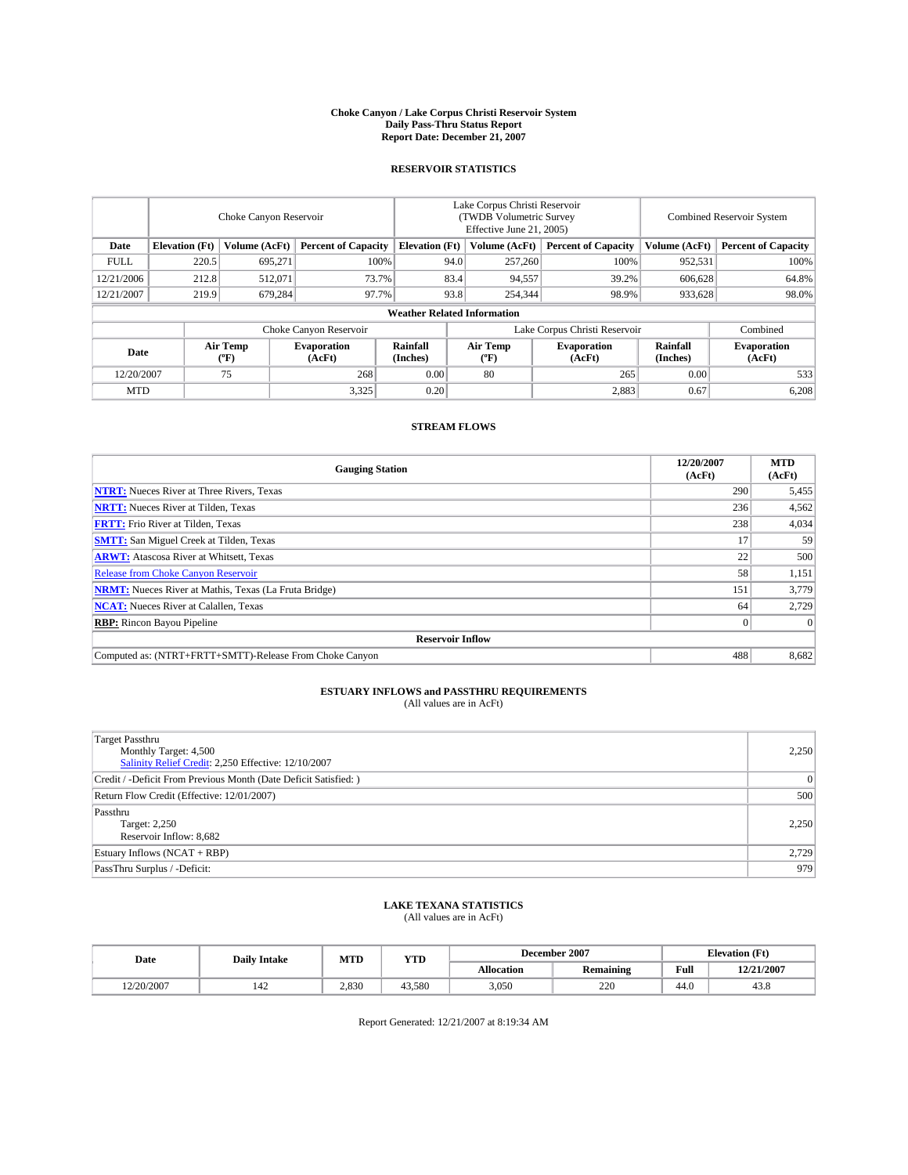#### **Choke Canyon / Lake Corpus Christi Reservoir System Daily Pass-Thru Status Report Report Date: December 21, 2007**

### **RESERVOIR STATISTICS**

|             | Choke Canyon Reservoir |                         |                              |                                    | Lake Corpus Christi Reservoir<br>(TWDB Volumetric Survey<br>Effective June 21, 2005) |                  |                               | Combined Reservoir System |                              |  |
|-------------|------------------------|-------------------------|------------------------------|------------------------------------|--------------------------------------------------------------------------------------|------------------|-------------------------------|---------------------------|------------------------------|--|
| Date        | <b>Elevation</b> (Ft)  | Volume (AcFt)           | <b>Percent of Capacity</b>   | <b>Elevation</b> (Ft)              |                                                                                      | Volume (AcFt)    | <b>Percent of Capacity</b>    | Volume (AcFt)             | <b>Percent of Capacity</b>   |  |
| <b>FULL</b> | 220.5                  | 695,271                 |                              | 100%                               | 94.0                                                                                 | 257,260          | 100%                          | 952,531                   | 100%                         |  |
| 12/21/2006  | 212.8                  | 512,071                 | 73.7%                        |                                    | 83.4                                                                                 | 94,557           | 39.2%                         | 606.628                   | 64.8%                        |  |
| 12/21/2007  | 219.9                  | 679,284                 | 97.7%                        |                                    | 93.8                                                                                 | 254,344          | 98.9%                         | 933,628                   | 98.0%                        |  |
|             |                        |                         |                              | <b>Weather Related Information</b> |                                                                                      |                  |                               |                           |                              |  |
|             |                        |                         | Choke Canyon Reservoir       |                                    |                                                                                      |                  | Lake Corpus Christi Reservoir |                           | Combined                     |  |
| Date        |                        | <b>Air Temp</b><br>(°F) | <b>Evaporation</b><br>(AcFt) | Rainfall<br>(Inches)               |                                                                                      | Air Temp<br>("F) | <b>Evaporation</b><br>(AcFt)  | Rainfall<br>(Inches)      | <b>Evaporation</b><br>(AcFt) |  |
| 12/20/2007  |                        | 75                      | 268                          | 0.00                               |                                                                                      | 80               | 265                           | 0.00                      | 533                          |  |
| <b>MTD</b>  |                        |                         | 3,325                        | 0.20                               |                                                                                      |                  | 2,883                         | 0.67                      | 6,208                        |  |

## **STREAM FLOWS**

| <b>Gauging Station</b>                                       | 12/20/2007<br>(AcFt) | <b>MTD</b><br>(AcFt) |
|--------------------------------------------------------------|----------------------|----------------------|
| <b>NTRT:</b> Nueces River at Three Rivers, Texas             | 290                  | 5,455                |
| <b>NRTT:</b> Nueces River at Tilden, Texas                   | 236                  | 4,562                |
| <b>FRTT:</b> Frio River at Tilden, Texas                     | 238                  | 4,034                |
| <b>SMTT:</b> San Miguel Creek at Tilden, Texas               | 17                   | 59                   |
| <b>ARWT:</b> Atascosa River at Whitsett, Texas               | 22                   | 500                  |
| <b>Release from Choke Canyon Reservoir</b>                   | 58                   | 1,151                |
| <b>NRMT:</b> Nueces River at Mathis, Texas (La Fruta Bridge) | 151                  | 3,779                |
| <b>NCAT:</b> Nueces River at Calallen, Texas                 | 64                   | 2,729                |
| <b>RBP:</b> Rincon Bayou Pipeline                            |                      | $\Omega$             |
| <b>Reservoir Inflow</b>                                      |                      |                      |
| Computed as: (NTRT+FRTT+SMTT)-Release From Choke Canyon      | 488                  | 8,682                |

## **ESTUARY INFLOWS and PASSTHRU REQUIREMENTS**<br>(All values are in AcFt)

| <b>Target Passthru</b><br>Monthly Target: 4,500<br>Salinity Relief Credit: 2,250 Effective: 12/10/2007 | 2,250          |
|--------------------------------------------------------------------------------------------------------|----------------|
| Credit / -Deficit From Previous Month (Date Deficit Satisfied: )                                       | $\overline{0}$ |
| Return Flow Credit (Effective: 12/01/2007)                                                             | 500            |
| Passthru<br>Target: 2,250<br>Reservoir Inflow: 8,682                                                   | 2.250          |
| Estuary Inflows (NCAT + RBP)                                                                           | 2,729          |
| PassThru Surplus / -Deficit:                                                                           | 979            |

## **LAKE TEXANA STATISTICS** (All values are in AcFt)

| Date       | <b>Daily Intake</b>   | MTD   | <b>YTD</b> |                   | December 2007    | <b>Elevation</b> (Ft) |            |
|------------|-----------------------|-------|------------|-------------------|------------------|-----------------------|------------|
|            |                       |       |            | <b>Allocation</b> | <b>Remaining</b> | Full                  | 12/21/2007 |
| 12/20/2007 | $\overline{A}$<br>142 | 2.830 | 43.580     | 3.050             | 220              | 44.0                  | 43.8       |

Report Generated: 12/21/2007 at 8:19:34 AM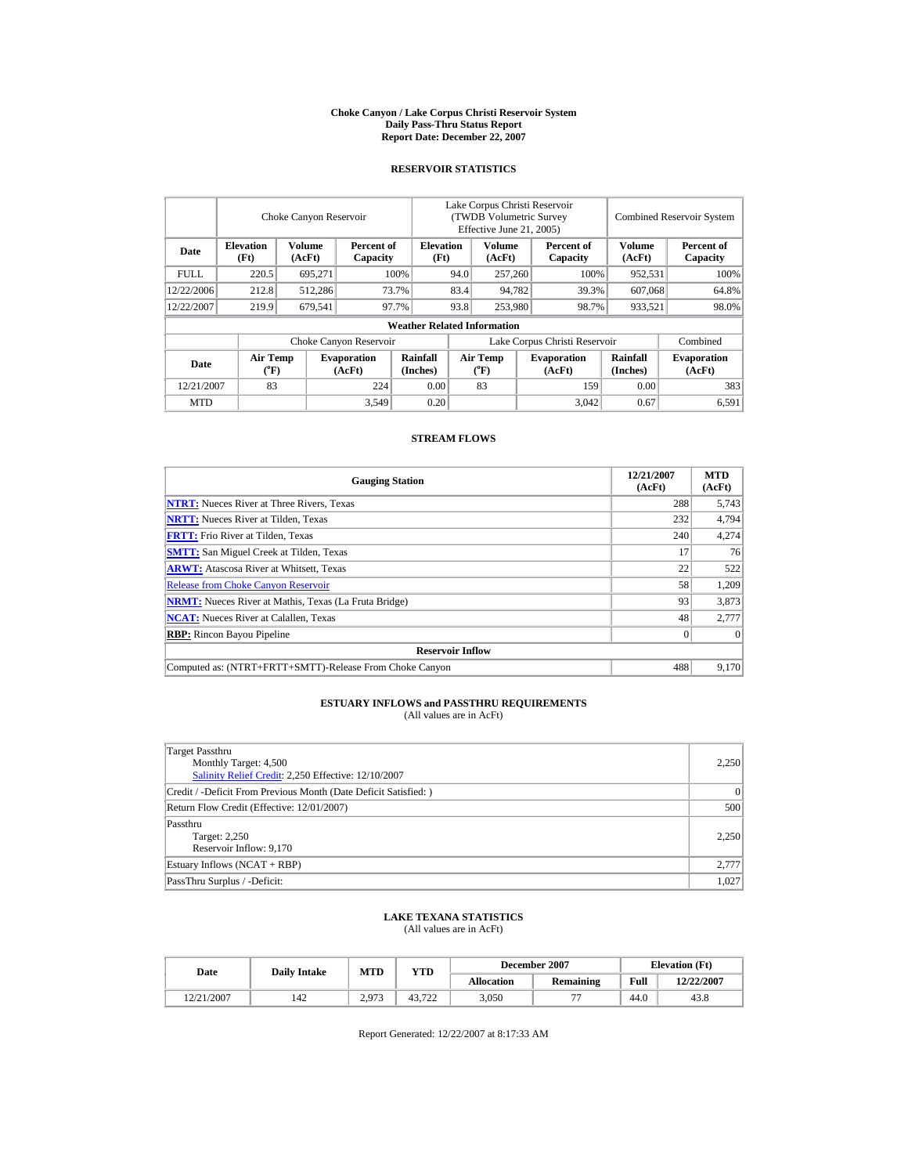#### **Choke Canyon / Lake Corpus Christi Reservoir System Daily Pass-Thru Status Report Report Date: December 22, 2007**

### **RESERVOIR STATISTICS**

|             |                                             | Choke Canyon Reservoir |                              |                                    |                                                     | Lake Corpus Christi Reservoir<br>(TWDB Volumetric Survey<br>Effective June 21, 2005) |  |                              |                      | <b>Combined Reservoir System</b> |
|-------------|---------------------------------------------|------------------------|------------------------------|------------------------------------|-----------------------------------------------------|--------------------------------------------------------------------------------------|--|------------------------------|----------------------|----------------------------------|
| Date        | <b>Elevation</b><br>(Ft)                    | Volume<br>(AcFt)       | Percent of<br>Capacity       |                                    | <b>Volume</b><br><b>Elevation</b><br>(Ft)<br>(AcFt) |                                                                                      |  | Percent of<br>Capacity       | Volume<br>(AcFt)     | Percent of<br>Capacity           |
| <b>FULL</b> | 220.5                                       | 695,271                |                              | 100%                               |                                                     | 94.0<br>257,260                                                                      |  | 100%                         | 952,531              | 100%                             |
| 12/22/2006  | 212.8                                       | 512.286                |                              | 73.7%                              | 83.4<br>94.782                                      |                                                                                      |  | 39.3%                        | 607,068              | 64.8%                            |
| 12/22/2007  | 219.9                                       | 679.541                |                              | 97.7%                              | 93.8                                                | 253,980                                                                              |  | 98.7%                        | 933,521              | 98.0%                            |
|             |                                             |                        |                              | <b>Weather Related Information</b> |                                                     |                                                                                      |  |                              |                      |                                  |
|             |                                             |                        | Choke Canyon Reservoir       |                                    | Lake Corpus Christi Reservoir                       |                                                                                      |  |                              |                      | Combined                         |
| Date        | <b>Air Temp</b><br>$({}^{\circ}\mathrm{F})$ |                        | <b>Evaporation</b><br>(AcFt) | Rainfall<br>(Inches)               |                                                     | <b>Air Temp</b><br>$({}^{\circ}\mathrm{F})$                                          |  | <b>Evaporation</b><br>(AcFt) | Rainfall<br>(Inches) | <b>Evaporation</b><br>(AcFt)     |
| 12/21/2007  | 83                                          |                        | 224                          | 0.00                               |                                                     | 83                                                                                   |  | 159                          | 0.00                 | 383                              |
| <b>MTD</b>  |                                             |                        | 3,549                        | 0.20                               |                                                     |                                                                                      |  | 3.042                        | 0.67                 | 6,591                            |

### **STREAM FLOWS**

| <b>Gauging Station</b>                                       | 12/21/2007<br>(AcFt) | <b>MTD</b><br>(AcFt) |
|--------------------------------------------------------------|----------------------|----------------------|
| <b>NTRT:</b> Nueces River at Three Rivers, Texas             | 288                  | 5.743                |
| <b>NRTT:</b> Nueces River at Tilden, Texas                   | 232                  | 4,794                |
| <b>FRTT:</b> Frio River at Tilden, Texas                     | 240                  | 4,274                |
| <b>SMTT:</b> San Miguel Creek at Tilden, Texas               | 17                   | 76                   |
| <b>ARWT:</b> Atascosa River at Whitsett, Texas               | 22                   | 522                  |
| <b>Release from Choke Canyon Reservoir</b>                   | 58                   | 1,209                |
| <b>NRMT:</b> Nueces River at Mathis, Texas (La Fruta Bridge) | 93                   | 3,873                |
| <b>NCAT:</b> Nueces River at Calallen, Texas                 | 48                   | 2,777                |
| <b>RBP:</b> Rincon Bayou Pipeline                            | $\Omega$             | $\theta$             |
| <b>Reservoir Inflow</b>                                      |                      |                      |
| Computed as: (NTRT+FRTT+SMTT)-Release From Choke Canyon      | 488                  | 9,170                |

# **ESTUARY INFLOWS and PASSTHRU REQUIREMENTS**<br>(All values are in AcFt)

| Target Passthru<br>Monthly Target: 4,500<br>Salinity Relief Credit: 2,250 Effective: 12/10/2007 | 2,250 |
|-------------------------------------------------------------------------------------------------|-------|
| Credit / -Deficit From Previous Month (Date Deficit Satisfied:)                                 | 0     |
| Return Flow Credit (Effective: 12/01/2007)                                                      | 500   |
| Passthru<br>Target: 2,250<br>Reservoir Inflow: 9,170                                            | 2,250 |
| Estuary Inflows (NCAT + RBP)                                                                    | 2,777 |
| PassThru Surplus / -Deficit:                                                                    | 1.027 |

## **LAKE TEXANA STATISTICS** (All values are in AcFt)

| Date       | <b>Daily Intake</b> | MTD   | <b>YTD</b>    |                   | December 2007            | <b>Elevation</b> (Ft) |            |
|------------|---------------------|-------|---------------|-------------------|--------------------------|-----------------------|------------|
|            |                     |       |               | <b>Allocation</b> | Remaining                | Full                  | 12/22/2007 |
| 12/21/2007 | 142                 | 2.973 | 43.722<br>ے ر | 3,050             | $\overline{\phantom{a}}$ | 44.0                  | 43.8       |

Report Generated: 12/22/2007 at 8:17:33 AM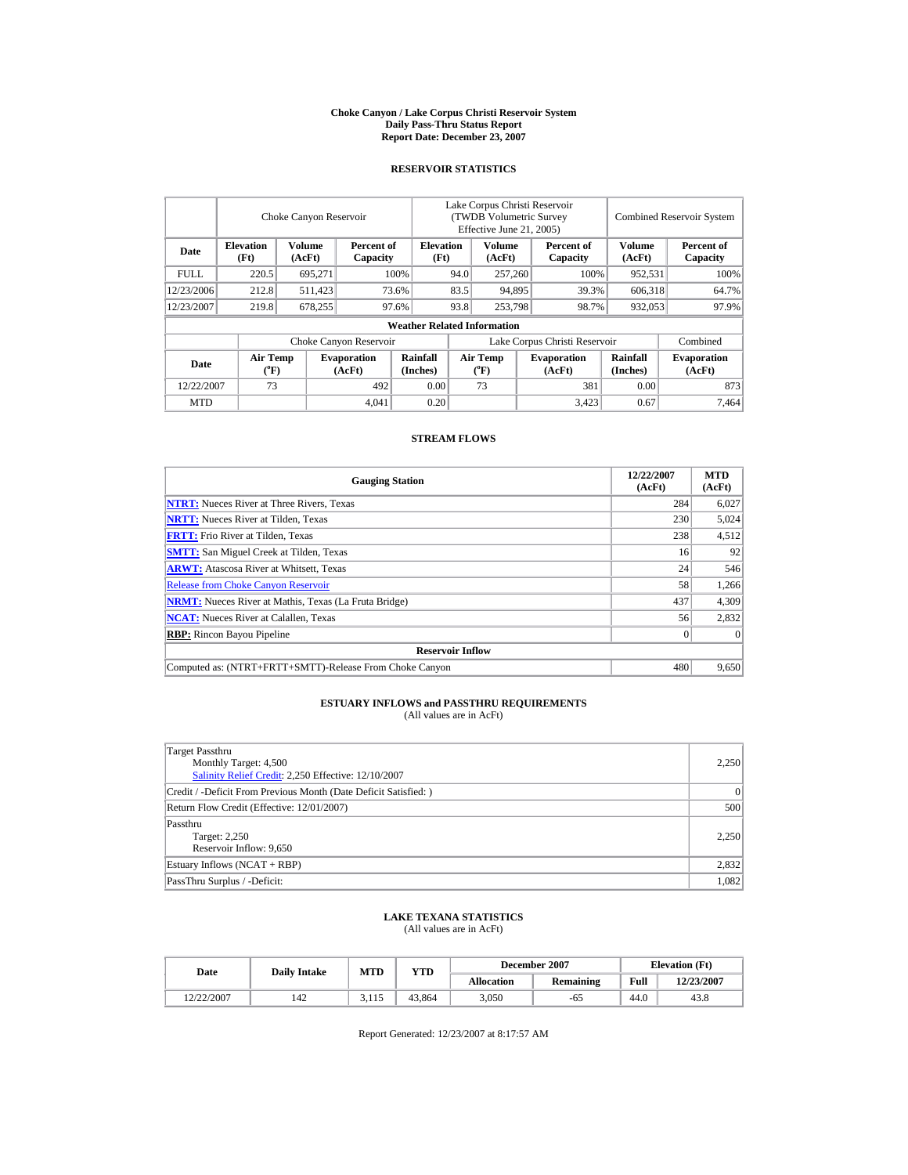#### **Choke Canyon / Lake Corpus Christi Reservoir System Daily Pass-Thru Status Report Report Date: December 23, 2007**

### **RESERVOIR STATISTICS**

|             |                                             | Choke Canyon Reservoir |                              |                                    | Lake Corpus Christi Reservoir<br>(TWDB Volumetric Survey<br>Effective June 21, 2005) |                                             |  |                              |                      | <b>Combined Reservoir System</b> |
|-------------|---------------------------------------------|------------------------|------------------------------|------------------------------------|--------------------------------------------------------------------------------------|---------------------------------------------|--|------------------------------|----------------------|----------------------------------|
| Date        | <b>Elevation</b><br>(Ft)                    | Volume<br>(AcFt)       | Percent of<br>Capacity       |                                    | <b>Volume</b><br><b>Elevation</b><br>(Ft)<br>(AcFt)                                  |                                             |  | Percent of<br>Capacity       | Volume<br>(AcFt)     | Percent of<br>Capacity           |
| <b>FULL</b> | 220.5                                       | 695,271                |                              | 100%                               | 94.0                                                                                 | 257,260                                     |  | 100%                         | 952,531              | 100%                             |
| 12/23/2006  | 212.8                                       | 511,423                |                              | 73.6%                              | 83.5                                                                                 | 94.895                                      |  | 39.3%                        | 606.318              | 64.7%                            |
| 12/23/2007  | 219.8                                       | 678,255                |                              | 97.6%                              | 93.8                                                                                 | 253,798                                     |  | 98.7%                        | 932,053              | 97.9%                            |
|             |                                             |                        |                              | <b>Weather Related Information</b> |                                                                                      |                                             |  |                              |                      |                                  |
|             |                                             |                        | Choke Canyon Reservoir       |                                    | Lake Corpus Christi Reservoir                                                        |                                             |  |                              |                      | Combined                         |
| Date        | <b>Air Temp</b><br>$({}^{\circ}\mathbf{F})$ |                        | <b>Evaporation</b><br>(AcFt) | Rainfall<br>(Inches)               |                                                                                      | <b>Air Temp</b><br>$({}^{\circ}\mathrm{F})$ |  | <b>Evaporation</b><br>(AcFt) | Rainfall<br>(Inches) | <b>Evaporation</b><br>(AcFt)     |
| 12/22/2007  | 73                                          |                        | 492                          | 0.00                               |                                                                                      | 73                                          |  | 381                          | 0.00                 | 873                              |
| <b>MTD</b>  |                                             |                        | 4.041                        | 0.20                               |                                                                                      |                                             |  | 3,423                        | 0.67                 | 7.464                            |

### **STREAM FLOWS**

| <b>Gauging Station</b>                                       | 12/22/2007<br>(AcFt) | <b>MTD</b><br>(AcFt) |
|--------------------------------------------------------------|----------------------|----------------------|
| <b>NTRT:</b> Nueces River at Three Rivers, Texas             | 284                  | 6,027                |
| <b>NRTT:</b> Nueces River at Tilden, Texas                   | 230                  | 5,024                |
| <b>FRTT:</b> Frio River at Tilden, Texas                     | 238                  | 4,512                |
| <b>SMTT:</b> San Miguel Creek at Tilden, Texas               | 16                   | 92                   |
| <b>ARWT:</b> Atascosa River at Whitsett, Texas               | 24                   | 546                  |
| <b>Release from Choke Canyon Reservoir</b>                   | 58                   | 1,266                |
| <b>NRMT:</b> Nueces River at Mathis, Texas (La Fruta Bridge) | 437                  | 4,309                |
| <b>NCAT:</b> Nueces River at Calallen, Texas                 | 56                   | 2,832                |
| <b>RBP:</b> Rincon Bayou Pipeline                            | $\mathbf{0}$         | $\Omega$             |
| <b>Reservoir Inflow</b>                                      |                      |                      |
| Computed as: (NTRT+FRTT+SMTT)-Release From Choke Canyon      | 480                  | 9,650                |

# **ESTUARY INFLOWS and PASSTHRU REQUIREMENTS**<br>(All values are in AcFt)

| Target Passthru<br>Monthly Target: 4,500<br>Salinity Relief Credit: 2,250 Effective: 12/10/2007 | 2,250 |
|-------------------------------------------------------------------------------------------------|-------|
| Credit / -Deficit From Previous Month (Date Deficit Satisfied:)                                 | 0     |
| Return Flow Credit (Effective: 12/01/2007)                                                      | 500   |
| Passthru<br>Target: 2,250<br>Reservoir Inflow: 9,650                                            | 2,250 |
| Estuary Inflows (NCAT + RBP)                                                                    | 2,832 |
| PassThru Surplus / -Deficit:                                                                    | 1.082 |

## **LAKE TEXANA STATISTICS** (All values are in AcFt)

| Date       | <b>Daily Intake</b> | MTD      | <b>YTD</b> |                   | December 2007 | <b>Elevation</b> (Ft) |            |
|------------|---------------------|----------|------------|-------------------|---------------|-----------------------|------------|
|            |                     |          |            | <b>Allocation</b> | Remaining     | Full                  | 12/23/2007 |
| 12/22/2007 | 142                 | ر، د د د | 43,864     | 3,050             | -65           | 44.0                  | 43.8       |

Report Generated: 12/23/2007 at 8:17:57 AM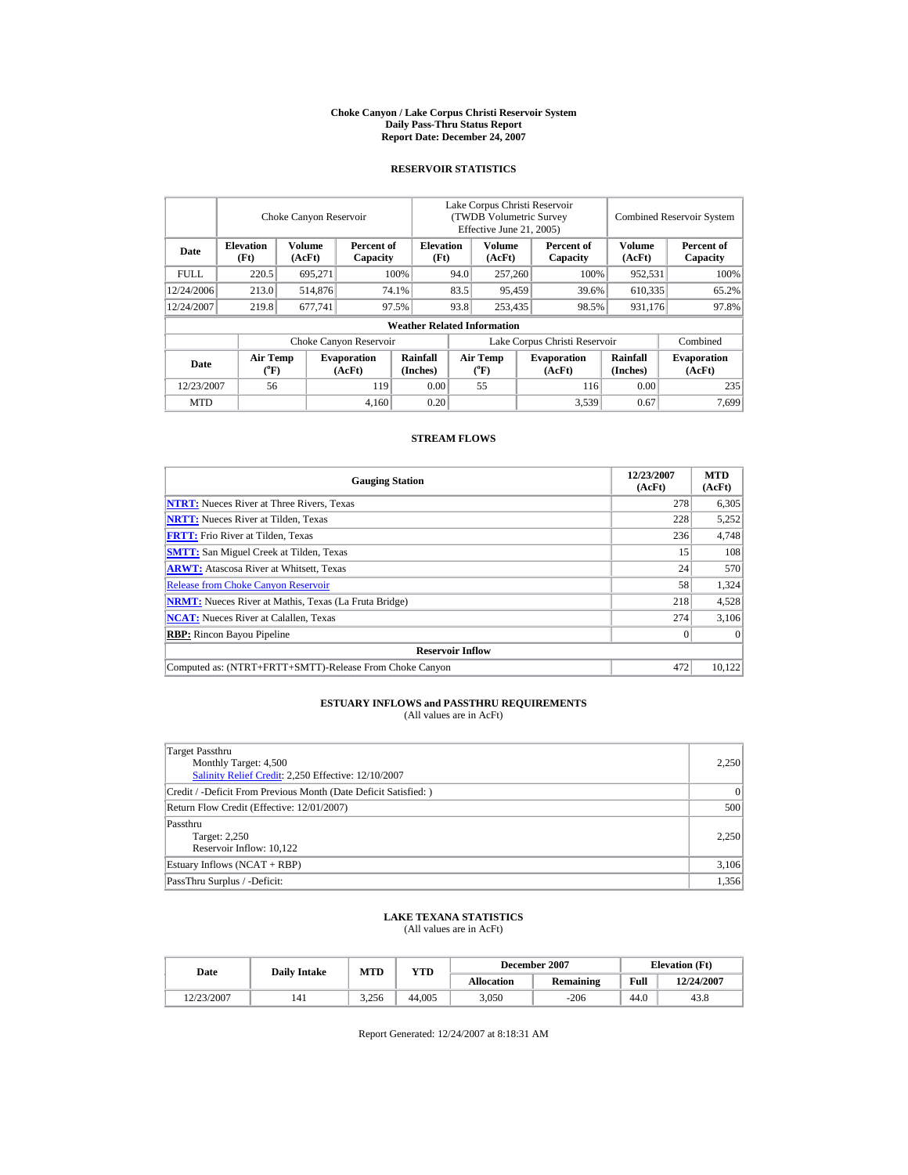#### **Choke Canyon / Lake Corpus Christi Reservoir System Daily Pass-Thru Status Report Report Date: December 24, 2007**

### **RESERVOIR STATISTICS**

|             |                                             | Choke Canyon Reservoir |                              |                                    | Lake Corpus Christi Reservoir<br>(TWDB Volumetric Survey<br>Effective June 21, 2005) |                                             |        |                              |                      | <b>Combined Reservoir System</b> |
|-------------|---------------------------------------------|------------------------|------------------------------|------------------------------------|--------------------------------------------------------------------------------------|---------------------------------------------|--------|------------------------------|----------------------|----------------------------------|
| Date        | <b>Elevation</b><br>(Ft)                    | Volume<br>(AcFt)       | Percent of<br>Capacity       |                                    | <b>Volume</b><br><b>Elevation</b><br>(Ft)<br>(AcFt)                                  |                                             |        | Percent of<br>Capacity       | Volume<br>(AcFt)     | Percent of<br>Capacity           |
| <b>FULL</b> | 220.5                                       | 695,271                |                              | 100%                               |                                                                                      | 257,260                                     |        | 100%                         | 952,531              | 100%                             |
| 12/24/2006  | 213.0                                       | 514,876                |                              | 74.1%                              | 83.5                                                                                 |                                             | 95,459 | 39.6%                        | 610.335              | 65.2%                            |
| 12/24/2007  | 219.8                                       | 677.741                |                              | 93.8<br>97.5%                      |                                                                                      | 253,435                                     |        | 98.5%                        | 931,176              | 97.8%                            |
|             |                                             |                        |                              | <b>Weather Related Information</b> |                                                                                      |                                             |        |                              |                      |                                  |
|             |                                             |                        | Choke Canyon Reservoir       |                                    | Lake Corpus Christi Reservoir                                                        |                                             |        |                              |                      | Combined                         |
| Date        | <b>Air Temp</b><br>$({}^{\circ}\mathbf{F})$ |                        | <b>Evaporation</b><br>(AcFt) | Rainfall<br>(Inches)               |                                                                                      | <b>Air Temp</b><br>$({}^{\circ}\mathrm{F})$ |        | <b>Evaporation</b><br>(AcFt) | Rainfall<br>(Inches) | <b>Evaporation</b><br>(AcFt)     |
| 12/23/2007  | 56                                          |                        | 119                          | 0.00                               |                                                                                      | 55                                          |        | 116                          | 0.00                 | 235                              |
| <b>MTD</b>  |                                             |                        | 4.160                        | 0.20                               |                                                                                      |                                             |        | 3,539                        | 0.67                 | 7.699                            |

### **STREAM FLOWS**

| <b>Gauging Station</b>                                       | 12/23/2007<br>(AcFt) | <b>MTD</b><br>(AcFt) |
|--------------------------------------------------------------|----------------------|----------------------|
| <b>NTRT:</b> Nueces River at Three Rivers, Texas             | 278                  | 6,305                |
| <b>NRTT:</b> Nueces River at Tilden, Texas                   | 228                  | 5,252                |
| <b>FRTT:</b> Frio River at Tilden, Texas                     | 236                  | 4,748                |
| <b>SMTT:</b> San Miguel Creek at Tilden, Texas               | 15                   | 108                  |
| <b>ARWT:</b> Atascosa River at Whitsett, Texas               | 24                   | 570                  |
| <b>Release from Choke Canyon Reservoir</b>                   | 58                   | 1,324                |
| <b>NRMT:</b> Nueces River at Mathis, Texas (La Fruta Bridge) | 218                  | 4,528                |
| <b>NCAT:</b> Nueces River at Calallen, Texas                 | 274                  | 3,106                |
| <b>RBP:</b> Rincon Bayou Pipeline                            | $\mathbf{0}$         | $\Omega$             |
| <b>Reservoir Inflow</b>                                      |                      |                      |
| Computed as: (NTRT+FRTT+SMTT)-Release From Choke Canyon      | 472                  | 10,122               |

# **ESTUARY INFLOWS and PASSTHRU REQUIREMENTS**<br>(All values are in AcFt)

| Target Passthru                                                 |                 |
|-----------------------------------------------------------------|-----------------|
| Monthly Target: 4,500                                           | 2,250           |
| Salinity Relief Credit: 2,250 Effective: 12/10/2007             |                 |
| Credit / -Deficit From Previous Month (Date Deficit Satisfied:) | $\vert 0 \vert$ |
| Return Flow Credit (Effective: 12/01/2007)                      | 500             |
| Passthru                                                        |                 |
| Target: 2,250                                                   | 2,250           |
| Reservoir Inflow: 10,122                                        |                 |
| Estuary Inflows (NCAT + RBP)                                    | 3,106           |
| PassThru Surplus / -Deficit:                                    | 1.356           |

## **LAKE TEXANA STATISTICS** (All values are in AcFt)

| Date       | <b>Daily Intake</b> | <b>MTD</b> | YTD    |                   | December 2007 | <b>Elevation</b> (Ft) |            |
|------------|---------------------|------------|--------|-------------------|---------------|-----------------------|------------|
|            |                     |            |        | <b>Allocation</b> | Remaining     | Full                  | 12/24/2007 |
| 12/23/2007 | 141                 | 3.256      | 44,005 | 3,050             | $-206$        | 44.0                  | 43.8       |

Report Generated: 12/24/2007 at 8:18:31 AM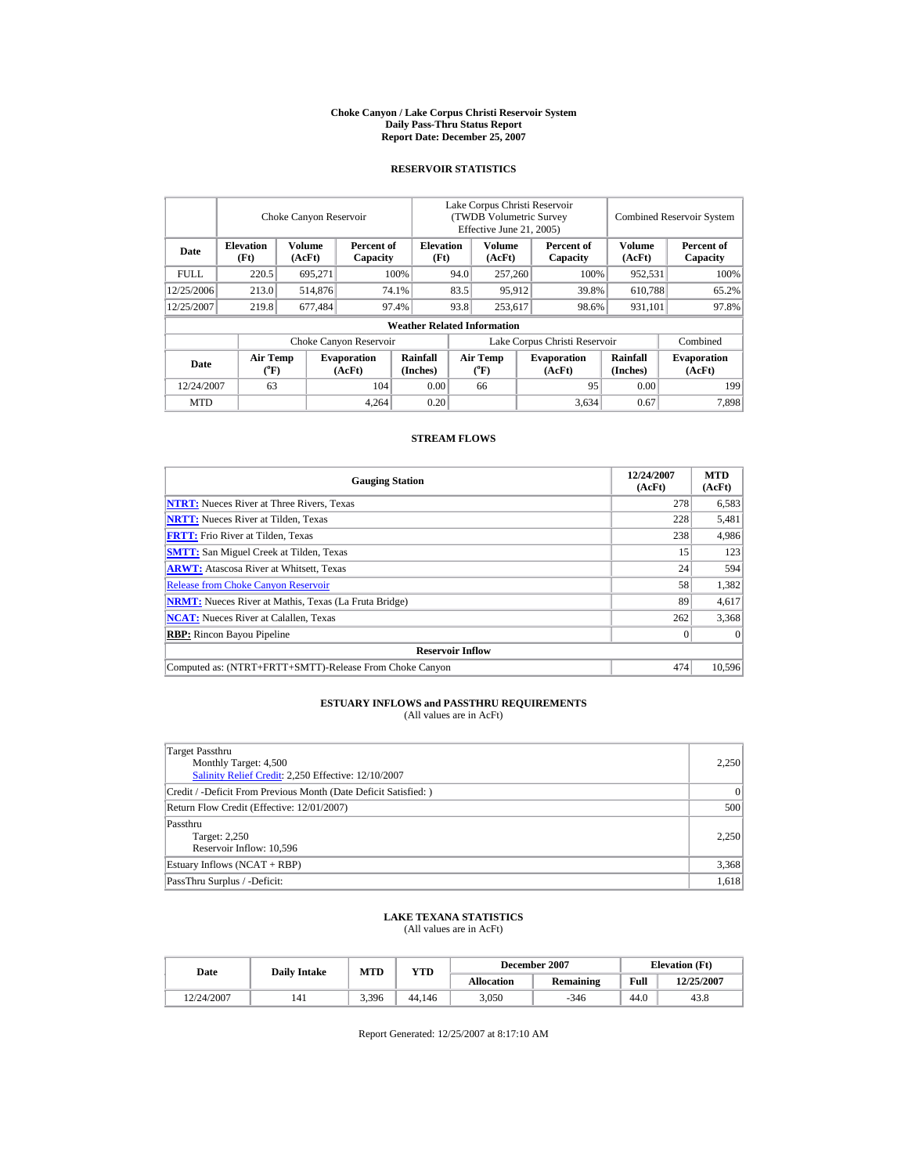#### **Choke Canyon / Lake Corpus Christi Reservoir System Daily Pass-Thru Status Report Report Date: December 25, 2007**

### **RESERVOIR STATISTICS**

|             | Choke Canyon Reservoir                |                  |                              |                                    | Lake Corpus Christi Reservoir<br>(TWDB Volumetric Survey<br>Effective June 21, 2005) |                              |  |                              | <b>Combined Reservoir System</b> |                              |  |
|-------------|---------------------------------------|------------------|------------------------------|------------------------------------|--------------------------------------------------------------------------------------|------------------------------|--|------------------------------|----------------------------------|------------------------------|--|
| Date        | <b>Elevation</b><br>(Ft)              | Volume<br>(AcFt) | Percent of<br>Capacity       | <b>Elevation</b><br>(Ft)           |                                                                                      | Volume<br>(AcFt)             |  | Percent of<br>Capacity       | <b>Volume</b><br>(AcFt)          | Percent of<br>Capacity       |  |
| <b>FULL</b> | 220.5                                 | 695.271          |                              | 100%                               |                                                                                      | 257,260                      |  | 100%                         | 952,531                          | 100%                         |  |
| 12/25/2006  | 213.0                                 | 514,876          |                              | 74.1%                              |                                                                                      | 95,912                       |  | 39.8%                        | 610,788                          | 65.2%                        |  |
| 12/25/2007  | 219.8                                 | 677,484          |                              | 97.4%                              | 93.8                                                                                 | 253,617                      |  | 98.6%                        | 931,101                          | 97.8%                        |  |
|             |                                       |                  |                              | <b>Weather Related Information</b> |                                                                                      |                              |  |                              |                                  |                              |  |
|             |                                       |                  | Choke Canyon Reservoir       |                                    | Lake Corpus Christi Reservoir                                                        |                              |  |                              |                                  | Combined                     |  |
| Date        | <b>Air Temp</b><br>$({}^o\mathrm{F})$ |                  | <b>Evaporation</b><br>(AcFt) | Rainfall<br>(Inches)               |                                                                                      | <b>Air Temp</b><br>$(^{o}F)$ |  | <b>Evaporation</b><br>(AcFt) | Rainfall<br>(Inches)             | <b>Evaporation</b><br>(AcFt) |  |
| 12/24/2007  | 63                                    |                  | 104                          | 0.00                               |                                                                                      | 66                           |  | 95                           | 0.00                             | 199                          |  |
| <b>MTD</b>  |                                       |                  | 4.264                        | 0.20                               |                                                                                      |                              |  | 3,634                        | 0.67                             | 7.898                        |  |

### **STREAM FLOWS**

| <b>Gauging Station</b>                                       | 12/24/2007<br>(AcFt) | <b>MTD</b><br>(AcFt) |
|--------------------------------------------------------------|----------------------|----------------------|
| <b>NTRT:</b> Nueces River at Three Rivers, Texas             | 278                  | 6,583                |
| <b>NRTT:</b> Nueces River at Tilden, Texas                   | 228                  | 5,481                |
| <b>FRTT:</b> Frio River at Tilden, Texas                     | 238                  | 4,986                |
| <b>SMTT:</b> San Miguel Creek at Tilden, Texas               | 15                   | 123                  |
| <b>ARWT:</b> Atascosa River at Whitsett, Texas               | 24                   | 594                  |
| <b>Release from Choke Canyon Reservoir</b>                   | 58                   | 1,382                |
| <b>NRMT:</b> Nueces River at Mathis, Texas (La Fruta Bridge) | 89                   | 4,617                |
| <b>NCAT:</b> Nueces River at Calallen, Texas                 | 262                  | 3,368                |
| <b>RBP:</b> Rincon Bayou Pipeline                            | $\mathbf{0}$         | $\Omega$             |
| <b>Reservoir Inflow</b>                                      |                      |                      |
| Computed as: (NTRT+FRTT+SMTT)-Release From Choke Canyon      | 474                  | 10,596               |

# **ESTUARY INFLOWS and PASSTHRU REQUIREMENTS**<br>(All values are in AcFt)

| Target Passthru                                                 |                 |
|-----------------------------------------------------------------|-----------------|
| Monthly Target: 4,500                                           | 2,250           |
| Salinity Relief Credit: 2,250 Effective: 12/10/2007             |                 |
| Credit / -Deficit From Previous Month (Date Deficit Satisfied:) | $\vert 0 \vert$ |
| Return Flow Credit (Effective: 12/01/2007)                      | 500             |
| Passthru                                                        |                 |
| Target: 2,250                                                   | 2,250           |
| Reservoir Inflow: 10,596                                        |                 |
| Estuary Inflows (NCAT + RBP)                                    | 3,368           |
| PassThru Surplus / -Deficit:                                    | 1.618           |

## **LAKE TEXANA STATISTICS** (All values are in AcFt)

| Date       | <b>Daily Intake</b> | <b>MTD</b> | YTD    |                   | December 2007 | <b>Elevation</b> (Ft) |            |
|------------|---------------------|------------|--------|-------------------|---------------|-----------------------|------------|
|            |                     |            |        | <b>Allocation</b> | Remaining     | Full                  | 12/25/2007 |
| 12/24/2007 | 141                 | 3,396      | 44,146 | 3,050             | $-346$        | 44.0                  | 43.8       |

Report Generated: 12/25/2007 at 8:17:10 AM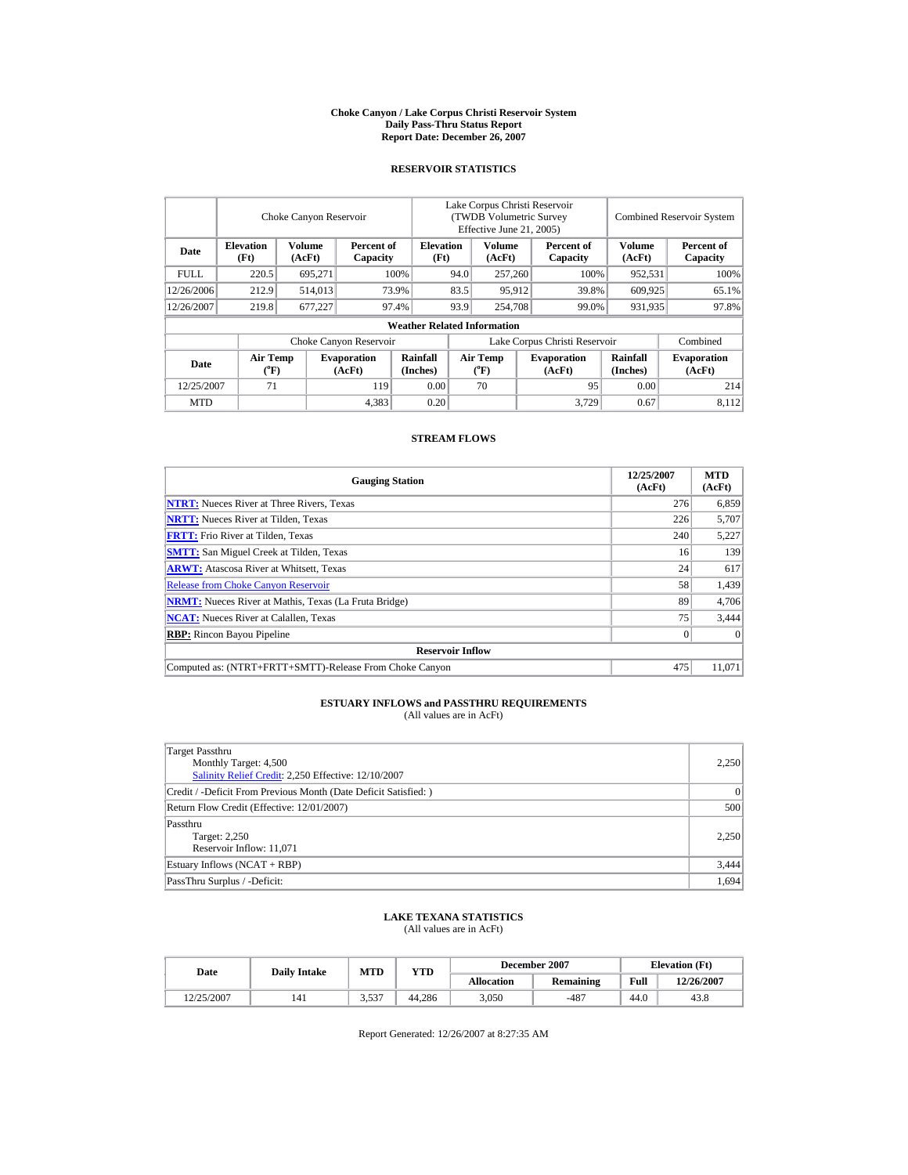#### **Choke Canyon / Lake Corpus Christi Reservoir System Daily Pass-Thru Status Report Report Date: December 26, 2007**

### **RESERVOIR STATISTICS**

|             |                                             | Choke Canyon Reservoir |                              |                                    |      | Lake Corpus Christi Reservoir<br>(TWDB Volumetric Survey<br>Effective June 21, 2005) |  |                               |                      | <b>Combined Reservoir System</b> |  |  |
|-------------|---------------------------------------------|------------------------|------------------------------|------------------------------------|------|--------------------------------------------------------------------------------------|--|-------------------------------|----------------------|----------------------------------|--|--|
| Date        | <b>Elevation</b><br>(Ft)                    | Volume<br>(AcFt)       | Percent of<br>Capacity       | <b>Elevation</b><br>(Ft)           |      | <b>Volume</b><br>(AcFt)                                                              |  | Percent of<br>Capacity        | Volume<br>(AcFt)     | Percent of<br>Capacity           |  |  |
| <b>FULL</b> | 220.5                                       | 695,271                |                              | 100%<br>94.0                       |      | 257,260                                                                              |  | 100%                          | 952,531              | 100%                             |  |  |
| 12/26/2006  | 212.9                                       | 514,013                |                              | 73.9%                              | 83.5 | 95,912                                                                               |  | 39.8%                         | 609,925              | 65.1%                            |  |  |
| 12/26/2007  | 219.8                                       | 677.227                |                              | 97.4%                              | 93.9 | 254,708                                                                              |  | 99.0%                         | 931,935              | 97.8%                            |  |  |
|             |                                             |                        |                              | <b>Weather Related Information</b> |      |                                                                                      |  |                               |                      |                                  |  |  |
|             |                                             |                        | Choke Canyon Reservoir       |                                    |      |                                                                                      |  | Lake Corpus Christi Reservoir |                      | Combined                         |  |  |
| Date        | <b>Air Temp</b><br>$({}^{\circ}\mathbf{F})$ |                        | <b>Evaporation</b><br>(AcFt) | Rainfall<br>(Inches)               |      | <b>Air Temp</b><br>$({}^{\circ}\mathrm{F})$                                          |  | <b>Evaporation</b><br>(AcFt)  | Rainfall<br>(Inches) | <b>Evaporation</b><br>(AcFt)     |  |  |
| 12/25/2007  | 71                                          |                        | 119                          | 0.00                               |      | 70                                                                                   |  | 95                            | 0.00                 | 214                              |  |  |
| <b>MTD</b>  |                                             |                        | 4,383                        | 0.20                               |      |                                                                                      |  | 3.729                         | 0.67                 | 8,112                            |  |  |

### **STREAM FLOWS**

| <b>Gauging Station</b>                                       | 12/25/2007<br>(AcFt) | <b>MTD</b><br>(AcFt) |
|--------------------------------------------------------------|----------------------|----------------------|
| <b>NTRT:</b> Nueces River at Three Rivers, Texas             | 276                  | 6,859                |
| <b>NRTT:</b> Nueces River at Tilden, Texas                   | 226                  | 5,707                |
| <b>FRTT:</b> Frio River at Tilden, Texas                     | 240                  | 5,227                |
| <b>SMTT:</b> San Miguel Creek at Tilden, Texas               | 16                   | 139                  |
| <b>ARWT:</b> Atascosa River at Whitsett, Texas               | 24                   | 617                  |
| <b>Release from Choke Canyon Reservoir</b>                   | 58                   | 1,439                |
| <b>NRMT:</b> Nueces River at Mathis, Texas (La Fruta Bridge) | 89                   | 4,706                |
| <b>NCAT:</b> Nueces River at Calallen, Texas                 | 75                   | 3,444                |
| <b>RBP:</b> Rincon Bayou Pipeline                            | $\overline{0}$       | $\Omega$             |
| <b>Reservoir Inflow</b>                                      |                      |                      |
| Computed as: (NTRT+FRTT+SMTT)-Release From Choke Canyon      | 475                  | 11,071               |

# **ESTUARY INFLOWS and PASSTHRU REQUIREMENTS**<br>(All values are in AcFt)

| Target Passthru<br>Monthly Target: 4,500<br>Salinity Relief Credit: 2,250 Effective: 12/10/2007 | 2,250 |
|-------------------------------------------------------------------------------------------------|-------|
| Credit / -Deficit From Previous Month (Date Deficit Satisfied:)                                 | 0     |
| Return Flow Credit (Effective: 12/01/2007)                                                      | 500   |
| Passthru<br>Target: 2,250<br>Reservoir Inflow: 11,071                                           | 2,250 |
| Estuary Inflows (NCAT + RBP)                                                                    | 3,444 |
| PassThru Surplus / -Deficit:                                                                    | 1.694 |

## **LAKE TEXANA STATISTICS** (All values are in AcFt)

| Date       | <b>Daily Intake</b> | MTD         | <b>YTD</b> |                   | December 2007 | <b>Elevation</b> (Ft) |            |
|------------|---------------------|-------------|------------|-------------------|---------------|-----------------------|------------|
|            |                     |             |            | <b>Allocation</b> | Remaining     | Full                  | 12/26/2007 |
| 12/25/2007 | 141                 | 527<br>J.JJ | 44.286     | 3.050             | $-487$        | 44.0                  | 43.8       |

Report Generated: 12/26/2007 at 8:27:35 AM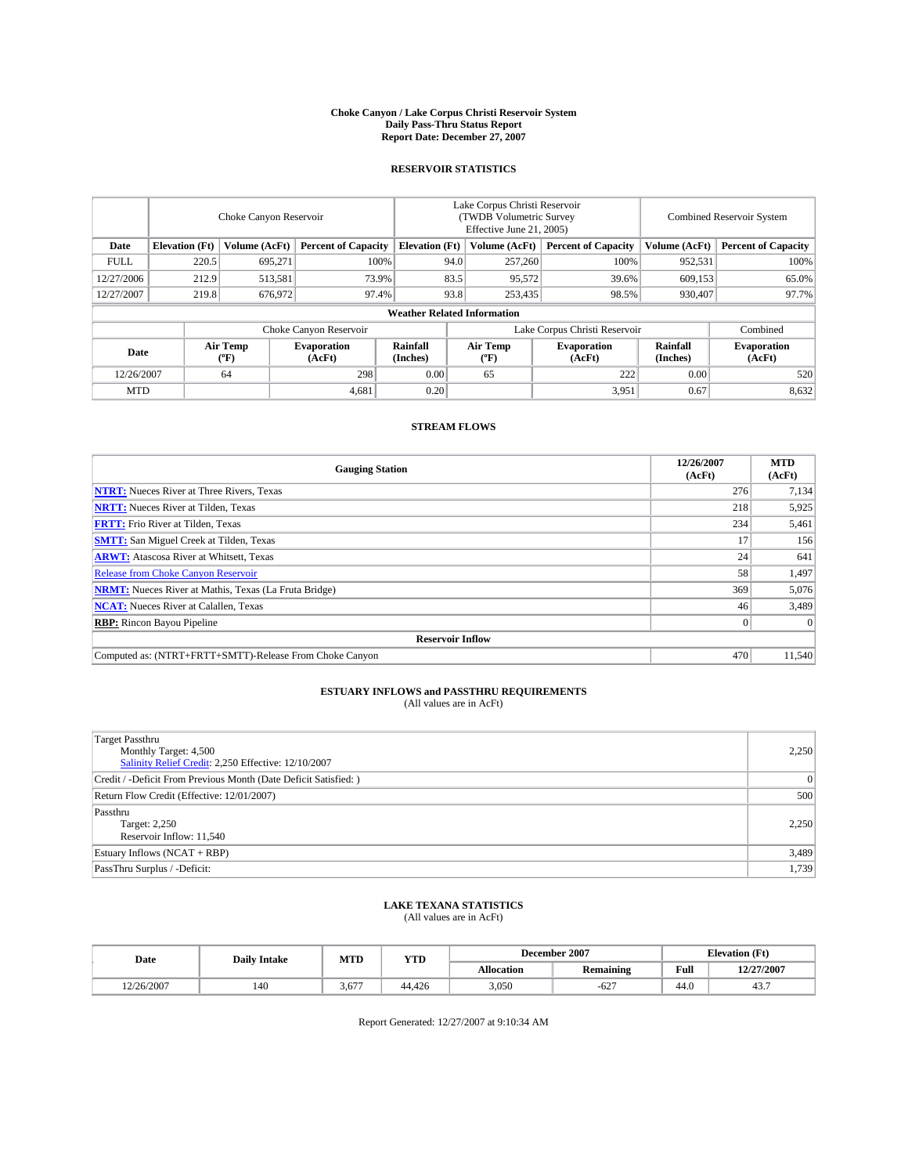#### **Choke Canyon / Lake Corpus Christi Reservoir System Daily Pass-Thru Status Report Report Date: December 27, 2007**

### **RESERVOIR STATISTICS**

|             | Choke Canyon Reservoir             |                         |                              |                       | Lake Corpus Christi Reservoir<br>(TWDB Volumetric Survey<br>Effective June 21, 2005) |                  |                              |                      | Combined Reservoir System    |  |  |
|-------------|------------------------------------|-------------------------|------------------------------|-----------------------|--------------------------------------------------------------------------------------|------------------|------------------------------|----------------------|------------------------------|--|--|
| Date        | <b>Elevation</b> (Ft)              | Volume (AcFt)           | <b>Percent of Capacity</b>   | <b>Elevation</b> (Ft) |                                                                                      | Volume (AcFt)    | <b>Percent of Capacity</b>   | Volume (AcFt)        | <b>Percent of Capacity</b>   |  |  |
| <b>FULL</b> | 220.5                              | 695.271                 |                              | 100%                  | 94.0                                                                                 | 257,260          | 100%                         | 952,531              | 100%                         |  |  |
| 12/27/2006  | 212.9                              | 513,581                 | 73.9%                        |                       | 83.5                                                                                 | 95,572           | 39.6%                        | 609,153              | 65.0%                        |  |  |
| 12/27/2007  | 219.8                              | 676,972                 | 97.4%                        |                       | 93.8                                                                                 | 253,435          | 98.5%                        | 930.407              | 97.7%                        |  |  |
|             | <b>Weather Related Information</b> |                         |                              |                       |                                                                                      |                  |                              |                      |                              |  |  |
|             |                                    |                         | Choke Canyon Reservoir       |                       | Lake Corpus Christi Reservoir                                                        |                  |                              |                      | Combined                     |  |  |
| Date        |                                    | <b>Air Temp</b><br>(°F) | <b>Evaporation</b><br>(AcFt) | Rainfall<br>(Inches)  |                                                                                      | Air Temp<br>("F) | <b>Evaporation</b><br>(AcFt) | Rainfall<br>(Inches) | <b>Evaporation</b><br>(AcFt) |  |  |
| 12/26/2007  |                                    | 64                      | 298                          | 0.00                  |                                                                                      | 65               | 222                          | 0.00                 | 520                          |  |  |
| <b>MTD</b>  |                                    |                         | 4,681                        | 0.20                  |                                                                                      |                  | 3,951                        | 0.67                 | 8,632                        |  |  |

## **STREAM FLOWS**

| <b>Gauging Station</b>                                       | 12/26/2007<br>(AcFt) | <b>MTD</b><br>(AcFt) |
|--------------------------------------------------------------|----------------------|----------------------|
| <b>NTRT:</b> Nueces River at Three Rivers, Texas             | 276                  | 7,134                |
| <b>NRTT:</b> Nueces River at Tilden, Texas                   | 218                  | 5,925                |
| <b>FRTT:</b> Frio River at Tilden, Texas                     | 234                  | 5,461                |
| <b>SMTT:</b> San Miguel Creek at Tilden, Texas               | 17                   | 156                  |
| <b>ARWT:</b> Atascosa River at Whitsett, Texas               | 24 <sub>1</sub>      | 641                  |
| <b>Release from Choke Canyon Reservoir</b>                   | 58                   | 1,497                |
| <b>NRMT:</b> Nueces River at Mathis, Texas (La Fruta Bridge) | 369                  | 5,076                |
| <b>NCAT:</b> Nueces River at Calallen, Texas                 | 46                   | 3,489                |
| <b>RBP:</b> Rincon Bayou Pipeline                            |                      | $\Omega$             |
| <b>Reservoir Inflow</b>                                      |                      |                      |
| Computed as: (NTRT+FRTT+SMTT)-Release From Choke Canyon      | 470                  | 11.540               |

## **ESTUARY INFLOWS and PASSTHRU REQUIREMENTS**<br>(All values are in AcFt)

| <b>Target Passthru</b><br>Monthly Target: 4,500<br>Salinity Relief Credit: 2,250 Effective: 12/10/2007 | 2,250          |
|--------------------------------------------------------------------------------------------------------|----------------|
| Credit / -Deficit From Previous Month (Date Deficit Satisfied: )                                       | $\overline{0}$ |
| Return Flow Credit (Effective: 12/01/2007)                                                             | 500            |
| Passthru<br>Target: 2,250<br>Reservoir Inflow: 11,540                                                  | 2.250          |
| Estuary Inflows (NCAT + RBP)                                                                           | 3,489          |
| PassThru Surplus / -Deficit:                                                                           | 1,739          |

# **LAKE TEXANA STATISTICS** (All values are in AcFt)

| Date       | <b>Daily Intake</b> | MTD   | <b>YTD</b> |                   | December 2007    | <b>Elevation (Ft)</b> |            |
|------------|---------------------|-------|------------|-------------------|------------------|-----------------------|------------|
|            |                     |       |            | <b>Allocation</b> | <b>Remaining</b> | Full                  | 12/27/2007 |
| 12/26/2007 | 140                 | 3,677 | 44.426     | 3.050             | $-627$           | 44.0                  | ┱┛.        |

Report Generated: 12/27/2007 at 9:10:34 AM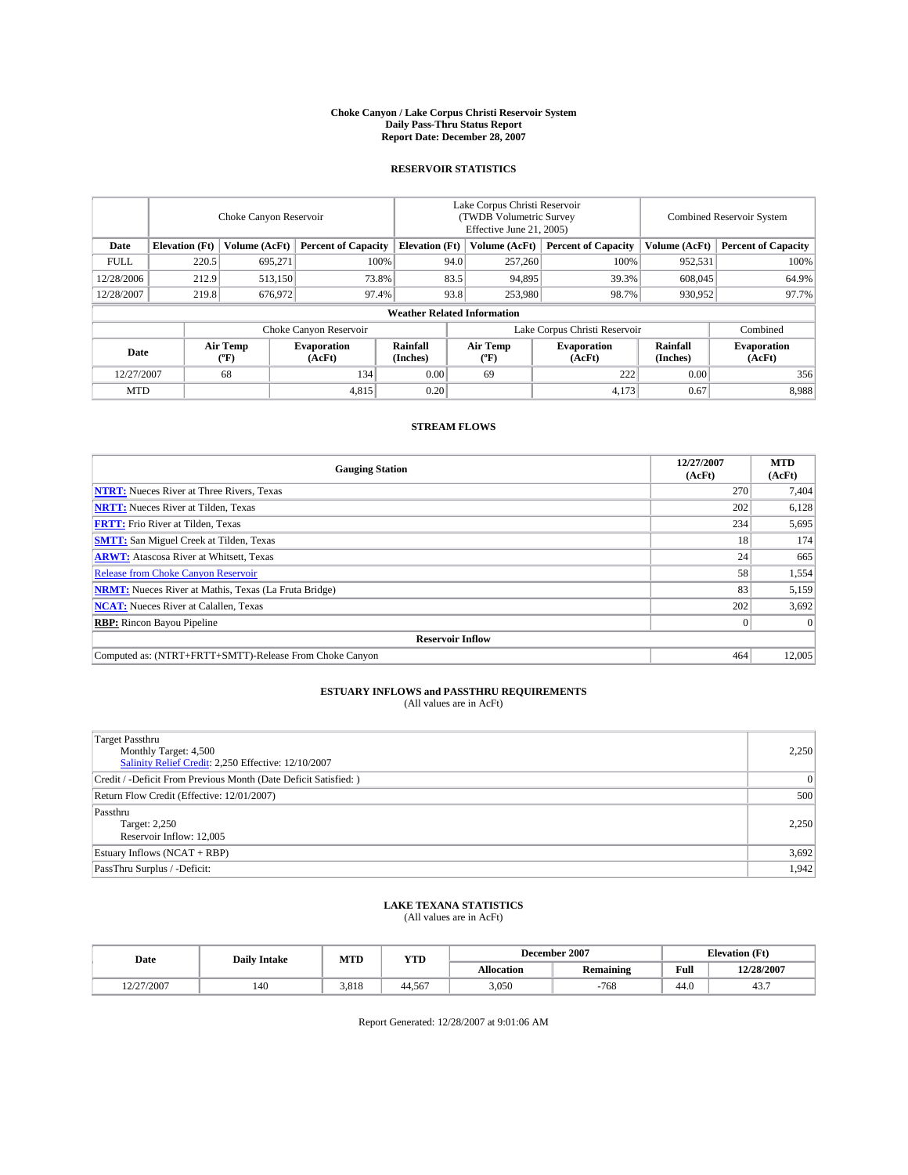#### **Choke Canyon / Lake Corpus Christi Reservoir System Daily Pass-Thru Status Report Report Date: December 28, 2007**

### **RESERVOIR STATISTICS**

|             | Choke Canyon Reservoir |                         |                              |                                    | Lake Corpus Christi Reservoir<br>(TWDB Volumetric Survey<br>Effective June 21, 2005) |                  |                               | Combined Reservoir System |                              |  |
|-------------|------------------------|-------------------------|------------------------------|------------------------------------|--------------------------------------------------------------------------------------|------------------|-------------------------------|---------------------------|------------------------------|--|
| Date        | <b>Elevation</b> (Ft)  | Volume (AcFt)           | <b>Percent of Capacity</b>   | <b>Elevation</b> (Ft)              |                                                                                      | Volume (AcFt)    | <b>Percent of Capacity</b>    | Volume (AcFt)             | <b>Percent of Capacity</b>   |  |
| <b>FULL</b> | 220.5                  | 695.271                 |                              | 100%                               | 94.0                                                                                 | 257,260          | 100%                          | 952,531                   | 100%                         |  |
| 12/28/2006  | 212.9                  | 513,150                 | 73.8%                        |                                    | 83.5                                                                                 | 94,895           | 39.3%                         | 608,045                   | 64.9%                        |  |
| 12/28/2007  | 219.8                  | 676,972                 | 97.4%                        |                                    | 93.8                                                                                 | 253,980          | 98.7%                         | 930,952                   | 97.7%                        |  |
|             |                        |                         |                              | <b>Weather Related Information</b> |                                                                                      |                  |                               |                           |                              |  |
|             |                        |                         | Choke Canyon Reservoir       |                                    |                                                                                      |                  | Lake Corpus Christi Reservoir |                           | Combined                     |  |
| Date        |                        | <b>Air Temp</b><br>(°F) | <b>Evaporation</b><br>(AcFt) | Rainfall<br>(Inches)               |                                                                                      | Air Temp<br>("F) | <b>Evaporation</b><br>(AcFt)  | Rainfall<br>(Inches)      | <b>Evaporation</b><br>(AcFt) |  |
| 12/27/2007  |                        | 68                      | 134                          | 0.00                               |                                                                                      | 69               | 222                           | 0.00                      | 356                          |  |
| <b>MTD</b>  |                        |                         | 4,815                        | 0.20                               |                                                                                      |                  | 4,173                         | 0.67                      | 8,988                        |  |

## **STREAM FLOWS**

| <b>Gauging Station</b>                                       | 12/27/2007<br>(AcFt) | <b>MTD</b><br>(AcFt) |
|--------------------------------------------------------------|----------------------|----------------------|
| <b>NTRT:</b> Nueces River at Three Rivers, Texas             | 270                  | 7,404                |
| <b>NRTT:</b> Nueces River at Tilden, Texas                   | 202                  | 6,128                |
| <b>FRTT:</b> Frio River at Tilden, Texas                     | 234                  | 5,695                |
| <b>SMTT:</b> San Miguel Creek at Tilden, Texas               | 18                   | 174                  |
| <b>ARWT:</b> Atascosa River at Whitsett, Texas               | 24 <sub>1</sub>      | 665                  |
| <b>Release from Choke Canyon Reservoir</b>                   | 58                   | 1,554                |
| <b>NRMT:</b> Nueces River at Mathis, Texas (La Fruta Bridge) | 83                   | 5,159                |
| <b>NCAT:</b> Nueces River at Calallen, Texas                 | 202                  | 3,692                |
| <b>RBP:</b> Rincon Bayou Pipeline                            |                      | $\Omega$             |
| <b>Reservoir Inflow</b>                                      |                      |                      |
| Computed as: (NTRT+FRTT+SMTT)-Release From Choke Canyon      | 464                  | 12,005               |

## **ESTUARY INFLOWS and PASSTHRU REQUIREMENTS**<br>(All values are in AcFt)

| Target Passthru<br>Monthly Target: 4,500<br>Salinity Relief Credit: 2,250 Effective: 12/10/2007 | 2,250           |
|-------------------------------------------------------------------------------------------------|-----------------|
| Credit / -Deficit From Previous Month (Date Deficit Satisfied: )                                | $\vert 0 \vert$ |
| Return Flow Credit (Effective: 12/01/2007)                                                      | 500             |
| Passthru<br>Target: 2,250<br>Reservoir Inflow: 12,005                                           | 2,250           |
| Estuary Inflows (NCAT + RBP)                                                                    | 3,692           |
| PassThru Surplus / -Deficit:                                                                    | 1,942           |

## **LAKE TEXANA STATISTICS** (All values are in AcFt)

| Date       | <b>Daily Intake</b> | MTD   | <b>YTD</b> |                   | December 2007    | <b>Elevation</b> (Ft) |            |
|------------|---------------------|-------|------------|-------------------|------------------|-----------------------|------------|
|            |                     |       |            | <b>Allocation</b> | <b>Remaining</b> | Full                  | 12/28/2007 |
| 12/27/2007 | 140                 | 3.818 | 44.567     | 3.050             | $-768$           | 44.0                  | ┱┛.        |

Report Generated: 12/28/2007 at 9:01:06 AM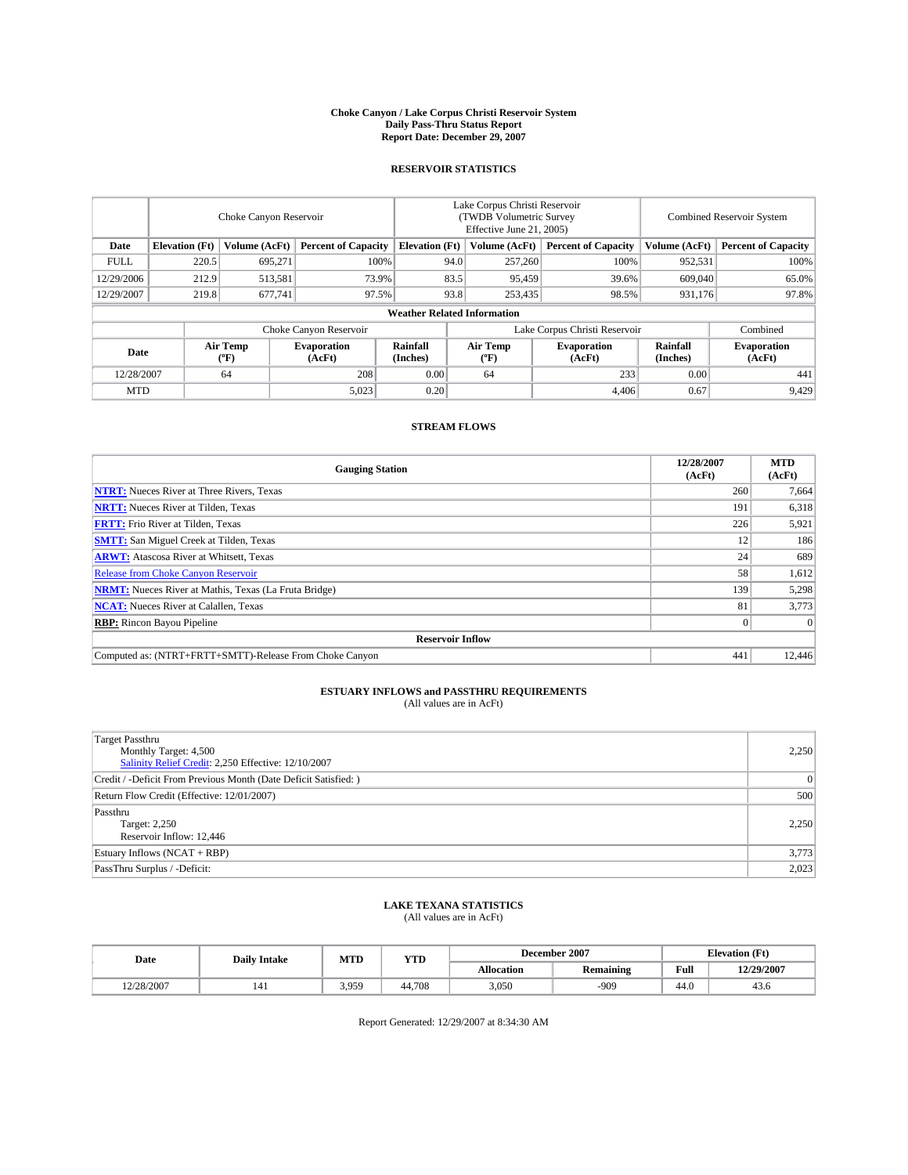#### **Choke Canyon / Lake Corpus Christi Reservoir System Daily Pass-Thru Status Report Report Date: December 29, 2007**

### **RESERVOIR STATISTICS**

|             | Choke Canyon Reservoir             |                  |                              |                       | Lake Corpus Christi Reservoir<br>(TWDB Volumetric Survey<br>Effective June 21, 2005) |                  |                               |                      | Combined Reservoir System    |  |  |
|-------------|------------------------------------|------------------|------------------------------|-----------------------|--------------------------------------------------------------------------------------|------------------|-------------------------------|----------------------|------------------------------|--|--|
| Date        | <b>Elevation</b> (Ft)              | Volume (AcFt)    | <b>Percent of Capacity</b>   | <b>Elevation</b> (Ft) |                                                                                      | Volume (AcFt)    | <b>Percent of Capacity</b>    | Volume (AcFt)        | <b>Percent of Capacity</b>   |  |  |
| <b>FULL</b> | 220.5                              | 695,271          |                              | 100%                  | 94.0                                                                                 | 257,260          | 100%                          | 952,531              | 100%                         |  |  |
| 12/29/2006  | 212.9                              | 513,581          | 73.9%                        |                       | 83.5                                                                                 | 95,459           | 39.6%                         | 609,040              | 65.0%                        |  |  |
| 12/29/2007  | 219.8                              | 677,741          | 97.5%                        |                       | 93.8                                                                                 | 253,435          | 98.5%                         | 931,176              | 97.8%                        |  |  |
|             | <b>Weather Related Information</b> |                  |                              |                       |                                                                                      |                  |                               |                      |                              |  |  |
|             |                                    |                  | Choke Canyon Reservoir       |                       |                                                                                      |                  | Lake Corpus Christi Reservoir |                      | Combined                     |  |  |
| Date        |                                    | Air Temp<br>(°F) | <b>Evaporation</b><br>(AcFt) | Rainfall<br>(Inches)  |                                                                                      | Air Temp<br>("F) | <b>Evaporation</b><br>(AcFt)  | Rainfall<br>(Inches) | <b>Evaporation</b><br>(AcFt) |  |  |
| 12/28/2007  |                                    | 64               | 208                          | 0.00                  |                                                                                      | 64               | 233                           | 0.00                 | 441                          |  |  |
| <b>MTD</b>  |                                    |                  | 5,023                        | 0.20                  |                                                                                      |                  | 4,406                         | 0.67                 | 9,429                        |  |  |

## **STREAM FLOWS**

| <b>Gauging Station</b>                                       | 12/28/2007<br>(AcFt) | <b>MTD</b><br>(AcFt) |
|--------------------------------------------------------------|----------------------|----------------------|
| <b>NTRT:</b> Nueces River at Three Rivers, Texas             | 260                  | 7,664                |
| <b>NRTT:</b> Nueces River at Tilden, Texas                   | 191                  | 6,318                |
| <b>FRTT:</b> Frio River at Tilden, Texas                     | 226                  | 5,921                |
| <b>SMTT:</b> San Miguel Creek at Tilden, Texas               | 12                   | 186                  |
| <b>ARWT:</b> Atascosa River at Whitsett, Texas               | 24                   | 689                  |
| <b>Release from Choke Canyon Reservoir</b>                   | 58                   | 1,612                |
| <b>NRMT:</b> Nueces River at Mathis, Texas (La Fruta Bridge) | 139                  | 5,298                |
| <b>NCAT:</b> Nueces River at Calallen, Texas                 | 81                   | 3,773                |
| <b>RBP:</b> Rincon Bayou Pipeline                            |                      | $\Omega$             |
| <b>Reservoir Inflow</b>                                      |                      |                      |
| Computed as: (NTRT+FRTT+SMTT)-Release From Choke Canyon      | 441                  | 12,446               |

## **ESTUARY INFLOWS and PASSTHRU REQUIREMENTS**<br>(All values are in AcFt)

| Target Passthru<br>Monthly Target: 4,500<br>Salinity Relief Credit: 2,250 Effective: 12/10/2007 | 2,250           |
|-------------------------------------------------------------------------------------------------|-----------------|
| Credit / -Deficit From Previous Month (Date Deficit Satisfied: )                                | $\vert 0 \vert$ |
| Return Flow Credit (Effective: 12/01/2007)                                                      | 500             |
| Passthru<br>Target: 2,250<br>Reservoir Inflow: 12,446                                           | 2,250           |
| Estuary Inflows (NCAT + RBP)                                                                    | 3,773           |
| PassThru Surplus / -Deficit:                                                                    | 2,023           |

# **LAKE TEXANA STATISTICS** (All values are in AcFt)

| Date       | <b>Daily Intake</b> | MTD   | <b>YTD</b> |                   | December 2007    |      | <b>Elevation</b> (Ft) |
|------------|---------------------|-------|------------|-------------------|------------------|------|-----------------------|
|            |                     |       |            | <b>Allocation</b> | <b>Remaining</b> | Full | 12/29/2007            |
| 12/28/2007 | 141                 | 3.959 | 44.708     | 3.050             | $-909$           | 44.0 | 43.0                  |

Report Generated: 12/29/2007 at 8:34:30 AM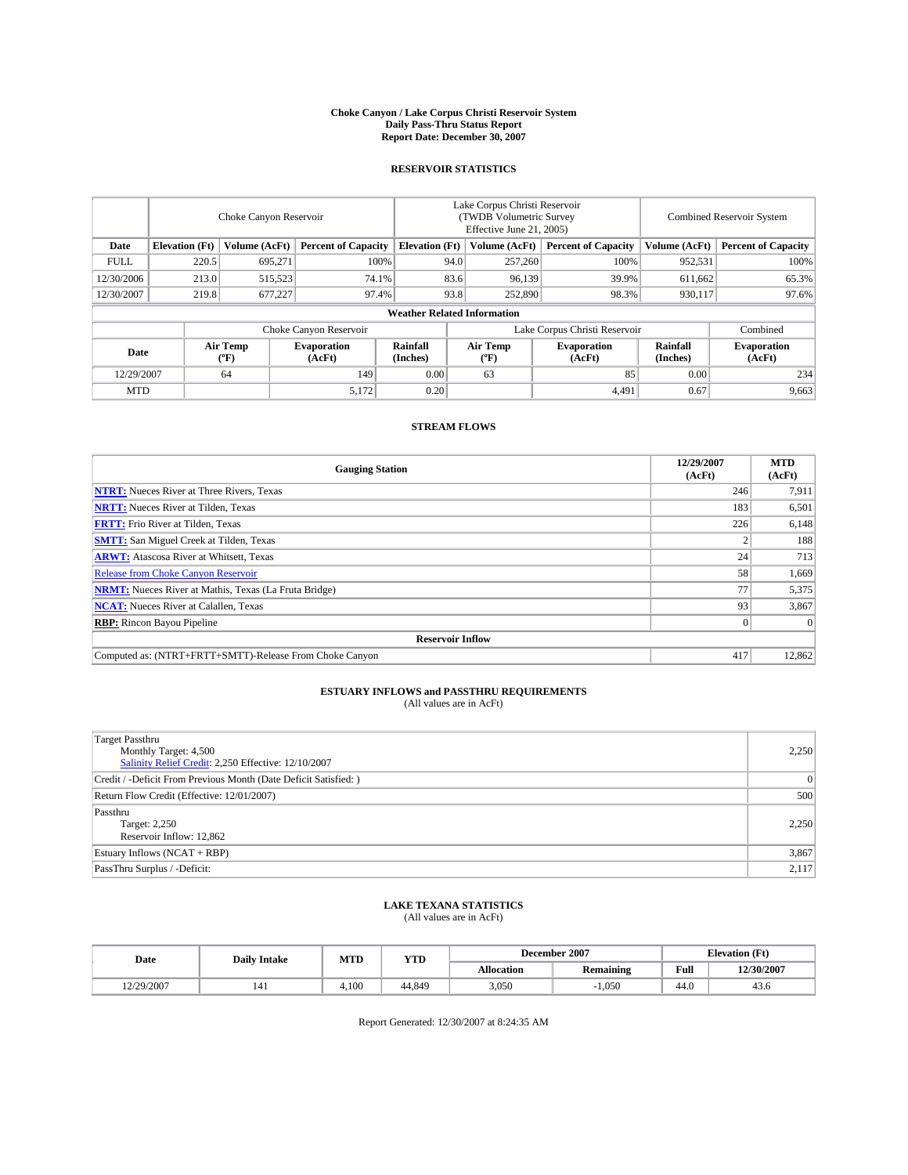#### **Choke Canyon / Lake Corpus Christi Reservoir System Daily Pass-Thru Status Report Report Date: December 30, 2007**

### **RESERVOIR STATISTICS**

|             | Choke Canyon Reservoir |                         |                              |                                    | Lake Corpus Christi Reservoir<br>(TWDB Volumetric Survey<br>Effective June 21, 2005) |                  |                               |                      | Combined Reservoir System    |  |  |
|-------------|------------------------|-------------------------|------------------------------|------------------------------------|--------------------------------------------------------------------------------------|------------------|-------------------------------|----------------------|------------------------------|--|--|
| Date        | <b>Elevation</b> (Ft)  | Volume (AcFt)           | <b>Percent of Capacity</b>   | <b>Elevation</b> (Ft)              |                                                                                      | Volume (AcFt)    | <b>Percent of Capacity</b>    | Volume (AcFt)        | <b>Percent of Capacity</b>   |  |  |
| <b>FULL</b> | 220.5                  | 695.271                 |                              | 100%                               | 94.0                                                                                 | 257,260          | 100%                          | 952,531              | 100%                         |  |  |
| 12/30/2006  | 213.0                  | 515,523                 | 74.1%                        |                                    | 83.6                                                                                 | 96,139           | 39.9%                         | 611,662              | 65.3%                        |  |  |
| 12/30/2007  | 219.8                  | 677,227                 | 97.4%                        |                                    | 93.8                                                                                 | 252,890          | 98.3%                         | 930.117              | 97.6%                        |  |  |
|             |                        |                         |                              | <b>Weather Related Information</b> |                                                                                      |                  |                               |                      |                              |  |  |
|             |                        |                         | Choke Canyon Reservoir       |                                    |                                                                                      |                  | Lake Corpus Christi Reservoir |                      | Combined                     |  |  |
| Date        |                        | <b>Air Temp</b><br>(°F) | <b>Evaporation</b><br>(AcFt) | Rainfall<br>(Inches)               |                                                                                      | Air Temp<br>("F) | <b>Evaporation</b><br>(AcFt)  | Rainfall<br>(Inches) | <b>Evaporation</b><br>(AcFt) |  |  |
| 12/29/2007  |                        | 64                      | 149                          | 0.00                               |                                                                                      | 63               | 85                            | 0.00                 | 234                          |  |  |
| <b>MTD</b>  |                        |                         | 5,172                        | 0.20                               |                                                                                      |                  | 4,491                         | 0.67                 | 9,663                        |  |  |

### **STREAM FLOWS**

| <b>Gauging Station</b>                                       | 12/29/2007<br>(AcFt) | <b>MTD</b><br>(AcFt) |
|--------------------------------------------------------------|----------------------|----------------------|
| <b>NTRT:</b> Nueces River at Three Rivers, Texas             | 246                  | 7,911                |
| <b>NRTT:</b> Nueces River at Tilden, Texas                   | 183                  | 6,501                |
| <b>FRTT:</b> Frio River at Tilden, Texas                     | 226                  | 6,148                |
| <b>SMTT:</b> San Miguel Creek at Tilden, Texas               |                      | 188                  |
| <b>ARWT:</b> Atascosa River at Whitsett, Texas               | 24                   | 713                  |
| <b>Release from Choke Canyon Reservoir</b>                   | 58                   | 1,669                |
| <b>NRMT:</b> Nueces River at Mathis, Texas (La Fruta Bridge) | 77                   | 5,375                |
| <b>NCAT:</b> Nueces River at Calallen, Texas                 | 93                   | 3,867                |
| <b>RBP:</b> Rincon Bayou Pipeline                            |                      | $\Omega$             |
| <b>Reservoir Inflow</b>                                      |                      |                      |
| Computed as: (NTRT+FRTT+SMTT)-Release From Choke Canyon      | 417                  | 12,862               |

# **ESTUARY INFLOWS and PASSTHRU REQUIREMENTS**<br>(All values are in AcFt)

| <b>Target Passthru</b><br>Monthly Target: 4,500<br>Salinity Relief Credit: 2,250 Effective: 12/10/2007 | 2,250          |
|--------------------------------------------------------------------------------------------------------|----------------|
| Credit / -Deficit From Previous Month (Date Deficit Satisfied: )                                       | $\overline{0}$ |
| Return Flow Credit (Effective: 12/01/2007)                                                             | 500            |
| Passthru<br>Target: 2,250<br>Reservoir Inflow: 12,862                                                  | 2.250          |
| Estuary Inflows (NCAT + RBP)                                                                           | 3,867          |
| PassThru Surplus / -Deficit:                                                                           | 2,117          |

## **LAKE TEXANA STATISTICS** (All values are in AcFt)

| Date       | <b>Daily Intake</b> | MTD        | <b>YTD</b> |                   | December 2007    | <b>Elevation (Ft)</b> |            |
|------------|---------------------|------------|------------|-------------------|------------------|-----------------------|------------|
|            |                     |            |            | <b>Allocation</b> | <b>Remaining</b> | Full                  | 12/30/2007 |
| 12/29/2007 | 141                 | <b>100</b> | 44.849     | 3.050             | $-1.050$         | 44.0                  | 43.0       |

Report Generated: 12/30/2007 at 8:24:35 AM